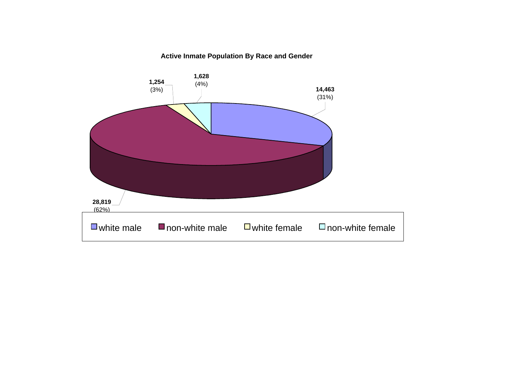# **Active Inmate Population By Race and Gender**

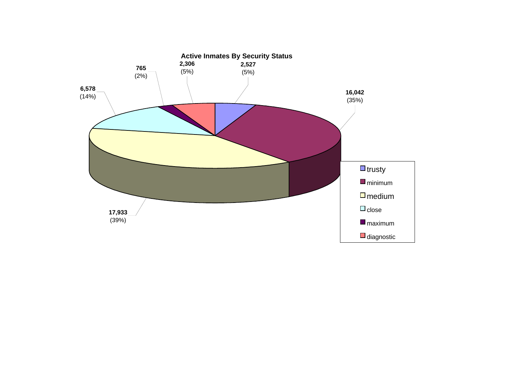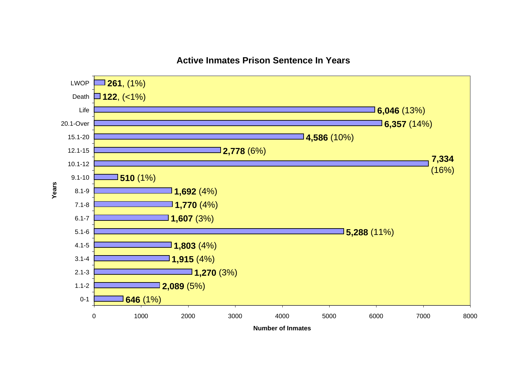

# **Active Inmates Prison Sentence In Years**

**Number of Inmates**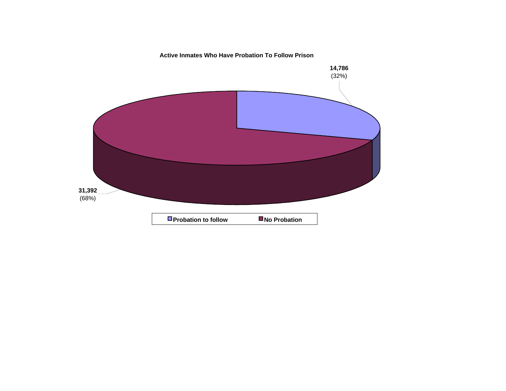# **Active Inmates Who Have Probation To Follow Prison**

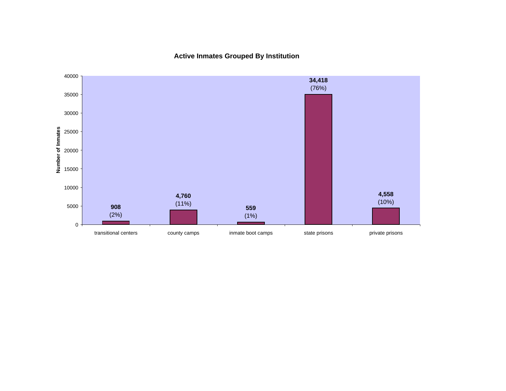**Active Inmates Grouped By Institution**

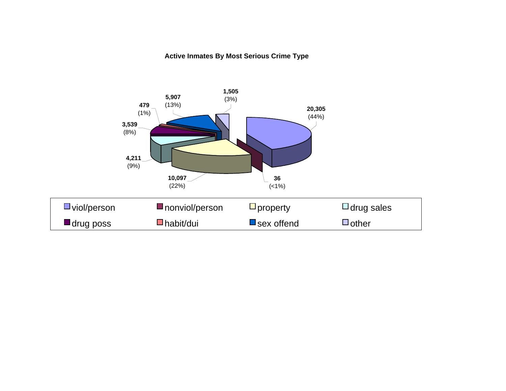# **Active Inmates By Most Serious Crime Type**

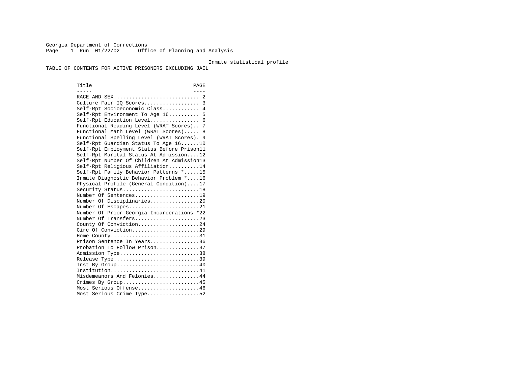Georgia Department of Corrections Page 1 Run 01/22/02 Office of Planning and Analysis

#### Inmate statistical profile

TABLE OF CONTENTS FOR ACTIVE PRISONERS EXCLUDING JAIL

Title PAGE ----- ---- RACE AND SEX............................ 2 Culture Fair IQ Scores.................. 3 Self-Rpt Socioeconomic Class............ 4 Self-Rpt Environment To Age 16.......... 5 Self-Rpt Education Level................ 6 Functional Reading Level (WRAT Scores).. 7 Functional Math Level (WRAT Scores)..... 8 Functional Spelling Level (WRAT Scores). 9 Self-Rpt Guardian Status To Age 16......10 Self-Rpt Employment Status Before Prison11 Self-Rpt Marital Status At Admission....12 Self-Rpt Number Of Children At Admission13 Self-Rpt Religious Affiliation..........14 Self-Rpt Family Behavior Patterns \*.....15 Inmate Diagnostic Behavior Problem \*....16 Physical Profile (General Condition)....17 Security Status...........................18 Number Of Sentences.....................19 Number Of Disciplinaries................20 Number Of Escapes........................21 Number Of Prior Georgia Incarcerations \*22 Number Of Transfers.....................23 County Of Conviction....................24 Circ Of Conviction......................29 Home County................................31 Prison Sentence In Years................36 Probation To Follow Prison..............37Admission Type.............................38 Release Type...............................39 Inst By Group..............................40 Institution.............................41 Misdemeanors And Felonies...............44 Crimes By Group...........................45 Most Serious Offense....................46 Most Serious Crime Type.................52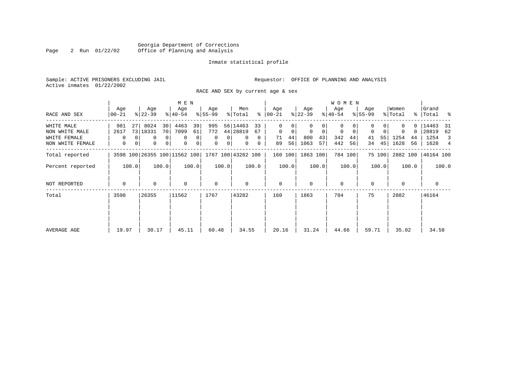# Georgia Department of Corrections<br>2 Run 01/22/02 Office of Planning and Analysis Page 2 Run 01/22/02 Office of Planning and Analysis

#### Inmate statistical profile

Active inmates 01/22/2002

Sample: ACTIVE PRISONERS EXCLUDING JAIL **Requestor:** OFFICE OF PLANNING AND ANALYSIS

RACE AND SEX by current age & sex

|                                                                  |                                    |                                                                                              | M E N                                                                  |                                                                    |                                                                                   |                                                           |                                                         | <b>WOMEN</b>                                              |                           |                                           |                                                       |
|------------------------------------------------------------------|------------------------------------|----------------------------------------------------------------------------------------------|------------------------------------------------------------------------|--------------------------------------------------------------------|-----------------------------------------------------------------------------------|-----------------------------------------------------------|---------------------------------------------------------|-----------------------------------------------------------|---------------------------|-------------------------------------------|-------------------------------------------------------|
| RACE AND SEX                                                     | Age<br>$00 - 21$                   | Age<br>$ 22-39 $                                                                             | Age<br>$ 40-54 $                                                       | Age<br>$ 55-99 $                                                   | Men<br>% Total                                                                    | Age<br>$8   00 - 21$                                      | Age<br>$ 22-39 $                                        | Age<br>$ 40-54 $                                          | Age<br>$ 55-99 $          | Women<br>% Total                          | Grand<br>%   Total %                                  |
| WHITE MALE<br>NON WHITE MALE<br>WHITE FEMALE<br>NON WHITE FEMALE | 981<br>27<br>2617<br>$\Omega$<br>0 | 8024<br>30 <sup>1</sup><br>73 18331<br>70<br>0<br>$\overline{0}$<br>0<br>0<br>0 <sup>1</sup> | 4463<br>39<br>7099<br>61<br>$\mathbf 0$<br>0<br>$\mathbf 0$<br>$\circ$ | 995<br>772<br>0 <sup>1</sup><br>$\mathbf 0$<br>0<br>0 <sup>1</sup> | 56 14463<br>33<br>44 28819<br>67<br>$\mathbf{0}$<br>$\Omega$<br>$\mathbf{0}$<br>0 | $\Omega$<br>0<br>$\mathbf 0$<br>0<br>44<br>71<br>56<br>89 | $\Omega$<br>$\mathbf 0$<br>0<br>800<br>43<br>1063<br>57 | 0<br>$\mathbf 0$<br>$\mathbf 0$<br>342<br>44<br>442<br>56 | 0<br>55<br>41<br>45<br>34 | 0<br>$\Omega$<br>1254<br>44<br>1628<br>56 | 14463<br>-31<br>28819<br>62<br>1254<br>3<br>1628<br>4 |
| Total reported                                                   |                                    |                                                                                              |                                                                        |                                                                    | 3598 100 26355 100 11562 100 1767 100 43282 100                                   | 160 100                                                   | 1863 100                                                | 784 100                                                   | 75 100                    | 2882 100                                  | 46164 100                                             |
| Percent reported                                                 | 100.0                              | 100.0                                                                                        | 100.0                                                                  | 100.0                                                              | 100.0                                                                             | 100.0                                                     | 100.0                                                   | 100.0                                                     | 100.0                     | 100.0                                     | 100.0                                                 |
| NOT REPORTED                                                     | $\Omega$                           | 0                                                                                            | $\mathbf 0$                                                            | $\mathbf 0$                                                        | $\Omega$                                                                          | $\mathbf{0}$                                              | $\Omega$                                                | $\mathbf{0}$                                              | $\Omega$                  | $\Omega$                                  | $\mathbf{0}$                                          |
| Total                                                            | 3598                               | 26355                                                                                        | 11562                                                                  | 1767                                                               | 43282                                                                             | 160                                                       | 1863                                                    | 784                                                       | 75                        | 2882                                      | 46164                                                 |
| AVERAGE AGE                                                      | 19.97                              | 30.17                                                                                        | 45.11                                                                  | 60.48                                                              | 34.55                                                                             | 20.16                                                     | 31.24                                                   | 44.66                                                     | 59.71                     | 35.02                                     | 34.58                                                 |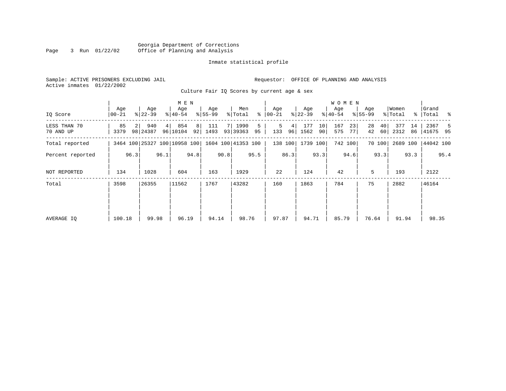|      |  |                |                                 | Georgia Department of Corrections |
|------|--|----------------|---------------------------------|-----------------------------------|
| Page |  | 3 Run 01/22/02 | Office of Planning and Analysis |                                   |

| Sample: ACTIVE PRISONERS EXCLUDING JAIL | Requestor: OFFICE OF PLANNING AND ANALYSIS |
|-----------------------------------------|--------------------------------------------|
| Active inmates 01/22/2002               |                                            |

Culture Fair IQ Scores by current age & sex

|                           |                  |      |                  |      | M E N                        |                      |                  |      |                    |         |                  |         |                  |          | W O M E N        |          |                    |          |                  |          |                      |      |
|---------------------------|------------------|------|------------------|------|------------------------------|----------------------|------------------|------|--------------------|---------|------------------|---------|------------------|----------|------------------|----------|--------------------|----------|------------------|----------|----------------------|------|
| IO Score                  | Age<br>$00 - 21$ |      | Age<br>$ 22-39 $ |      | Age<br>$ 40-54 $             |                      | Age<br>$ 55-99 $ |      | Men<br>% Total     | ႜၟ      | Age<br>$ 00-21 $ |         | Age<br>$ 22-39 $ |          | Age<br>$ 40-54 $ |          | Age<br>$8155 - 99$ |          | Women<br>% Total |          | Grand<br>%   Total % |      |
| LESS THAN 70<br>70 AND UP | 85<br>3379       |      | 940<br>98 24387  | 4    | 854<br>96 10104              | 8 <sup>1</sup><br>92 | 111<br>1493      |      | 7 1990<br>93 39363 | 5<br>95 | 5<br>133         | 4<br>96 | 177<br>1562      | 10<br>90 | 167<br>575       | 23<br>77 | 28<br>42           | 40<br>60 | 377<br>2312      | 14<br>86 | 2367<br> 41675 95    | -5   |
| Total reported            |                  |      |                  |      | 3464 100 25327 100 10958 100 |                      |                  |      | 1604 100 41353 100 |         | 138 100          |         | 1739 100         |          |                  | 742 100  |                    | 70 100   | 2689 100         |          | 44042 100            |      |
| Percent reported          |                  | 96.3 |                  | 96.1 |                              | 94.8                 |                  | 90.8 |                    | 95.5    |                  | 86.3    |                  | 93.3     |                  | 94.6     |                    | 93.3     |                  | 93.3     |                      | 95.4 |
| NOT REPORTED              | 134              |      | 1028             |      | 604                          |                      | 163              |      | 1929               |         | 22               |         | 124              |          | 42               |          | 5                  |          | 193              |          | 2122                 |      |
| Total                     | 3598             |      | 26355            |      | 11562                        |                      | 1767             |      | 43282              |         | 160              |         | 1863             |          | 784              |          | 75                 |          | 2882             |          | 46164                |      |
|                           |                  |      |                  |      |                              |                      |                  |      |                    |         |                  |         |                  |          |                  |          |                    |          |                  |          |                      |      |
|                           |                  |      |                  |      |                              |                      |                  |      |                    |         |                  |         |                  |          |                  |          |                    |          |                  |          |                      |      |
| AVERAGE IQ                | 100.18           |      | 99.98            |      | 96.19                        |                      | 94.14            |      | 98.76              |         | 97.87            |         | 94.71            |          | 85.79            |          | 76.64              |          | 91.94            |          | 98.35                |      |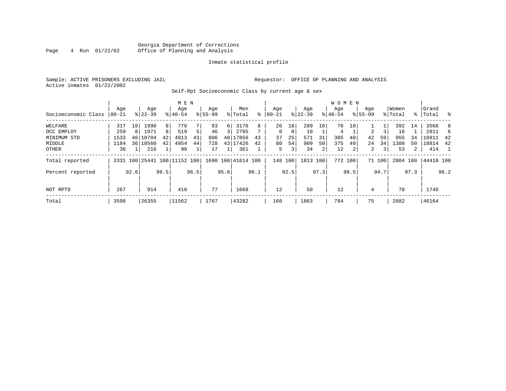# Georgia Department of Corrections<br>4 Run 01/22/02 Office of Planning and Analysis Page 4 Run 01/22/02 Office of Planning and Analysis

#### Inmate statistical profile

Sample: ACTIVE PRISONERS EXCLUDING JAIL **Requestor:** OFFICE OF PLANNING AND ANALYSIS Active inmates 01/22/2002

Self-Rpt Socioeconomic Class by current age & sex

|                     |       |      |           |                | M E N                        |      |             |          |                    |      |           |          |           |      | W O M E N |         |             |        |          |                |             |      |
|---------------------|-------|------|-----------|----------------|------------------------------|------|-------------|----------|--------------------|------|-----------|----------|-----------|------|-----------|---------|-------------|--------|----------|----------------|-------------|------|
|                     | Aqe   |      | Age       |                | Age                          |      | Age         |          | Men                |      | Age       |          | Age       |      | Aqe       |         | Age         |        | Women    |                | Grand       |      |
| Socioeconomic Class | 00-21 |      | $8 22-39$ |                | $8 40-54$                    |      | $8155 - 99$ |          | % Total            | ⊱    | $00 - 21$ |          | $ 22-39 $ |      | $8 40-54$ |         | $8155 - 99$ |        | % Total  |                | %   Total % |      |
| WELFARE             | 317   | 10   | 1990      | 8              | 776                          |      | 93          | $6 \mid$ | 3176               | 8    | 26        | 18       | 289       | 16   | 76        | 10      |             |        | 392      | 14             | 3568        | 8    |
| OCC EMPLOY          | 259   | 8    | 1971      | 8 <sup>1</sup> | 519                          | 5    | 46          |          | 2795               |      | $\Omega$  | $\Omega$ | 10        |      | 4         |         | 2           |        | 16       |                | 2811        | 6    |
| MINIMUM STD         | 1533  |      | 46 10704  | 42             | 4813                         | 43   | 806         |          | 48 17856           | 43   | 37        | 25       | 571       | 31   | 305       | 40      | 42          | 59     | 955      | 34             | 18811       | 42   |
| MIDDLE              | 1184  |      | 36 10560  | 42             | 4954                         | 44   | 728         |          | 43 17426           | 42   | 80        | 54       | 909       | 50   | 375       | 49      | 24          | 34     | 1388     | 50             | 18814       | 42   |
| <b>OTHER</b>        | 38    |      | 216       |                | 90                           |      | 17          |          | 361                |      | 5         | 3        | 34        | 2    | 12        | 2       | 2           | 3      | 53       | $\overline{2}$ | 414         |      |
| Total reported      |       |      |           |                | 3331 100 25441 100 11152 100 |      |             |          | 1690 100 41614 100 |      | 148 100   |          | 1813 100  |      |           | 772 100 |             | 71 100 | 2804 100 |                | 44418 100   |      |
| Percent reported    |       | 92.6 |           | 96.5           |                              | 96.5 |             | 95.6     |                    | 96.1 |           | 92.5     |           | 97.3 |           | 98.5    |             | 94.7   |          | 97.3           |             | 96.2 |
| NOT RPTD            | 267   |      | 914       |                | 410                          |      | 77          |          | 1668               |      | 12        |          | 50        |      | 12        |         | 4           |        | 78       |                | 1746        |      |
| Total               | 3598  |      | 26355     |                | 11562                        |      | 1767        |          | 43282              |      | 160       |          | 1863      |      | 784       |         | 75          |        | 2882     |                | 46164       |      |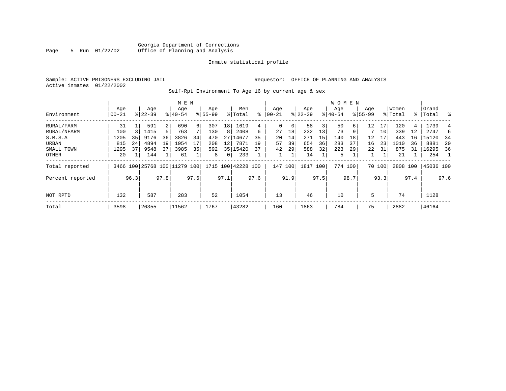# Georgia Department of Corrections<br>5 Run 01/22/02 Office of Planning and Analysis Page 5 Run 01/22/02 Office of Planning and Analysis

#### Inmate statistical profile

Active inmates 01/22/2002

Sample: ACTIVE PRISONERS EXCLUDING JAIL **Requestor:** OFFICE OF PLANNING AND ANALYSIS

Self-Rpt Environment To Age 16 by current age & sex

|                  |                  |      |                  |                | M E N                        |      |                    |                 |                    |      |                  |      |                  |      | <b>WOMEN</b>     |      |                    |        |                  |      |                 |      |
|------------------|------------------|------|------------------|----------------|------------------------------|------|--------------------|-----------------|--------------------|------|------------------|------|------------------|------|------------------|------|--------------------|--------|------------------|------|-----------------|------|
| Environment      | Age<br>$00 - 21$ |      | Age<br>$8 22-39$ |                | Age<br>$8140 - 54$           |      | Age<br>$8155 - 99$ |                 | Men<br>% Total     | ႜ    | Age<br>$00 - 21$ |      | Age<br>$ 22-39 $ |      | Age<br>$8 40-54$ |      | Age<br>$8155 - 99$ |        | Women<br>% Total | ႜၟ   | Grand<br> Total | ွေ   |
| RURAL/FARM       | 31               |      | 591              | $\overline{2}$ | 690                          | 6    | 307                | 18 <sup>1</sup> | 1619               | 4    | 0                | 0    | 58               | 3    | 50               | 6.   | 12                 | 17     | 120              | 4    | 1739            |      |
| RURAL/NFARM      | 100              |      | 1415             | 5              | 763                          |      | 130                | 8               | 2408               | 6    | 27               | 18   | 232              | 13   | 73               |      |                    | 10     | 339              | 12   | 2747            | 6    |
| S.M.S.A          | 1205             | 35   | 9176             | 36             | 3826                         | 34   | 470                |                 | 27 14677           | 35   | 20               | 14   | 271              | 15   | 140              | 18   | 12                 | 17     | 443              | 16   | 15120           | 34   |
| URBAN            | 815              | 24   | 4894             | 19             | 1954                         |      | 208                | 12              | 7871               | 19   | 57               | 39   | 654              | 36   | 283              | 37   | 16                 | 23     | 1010             | 36   | 8881            | -20  |
| SMALL TOWN       | 1295             | 37   | 9548             | 37             | 3985                         | 35   | 592                |                 | 35 15420           | 37   | 42               | 29   | 588              | 32   | 223              | 29   | 22                 | 31     | 875              | 31   | 16295           | 36   |
| OTHER            | 20               |      | 144              |                | 61                           |      | 8                  | 0 <sup>1</sup>  | 233                |      |                  |      | 14               |      | 5                |      |                    |        | 21               |      | 254             |      |
| Total reported   |                  |      |                  |                | 3466 100 25768 100 11279 100 |      |                    |                 | 1715 100 42228 100 |      | 147              | 100  | 1817 100         |      | 774 100          |      |                    | 70 100 | 2808 100         |      | 45036 100       |      |
| Percent reported |                  | 96.3 |                  | 97.8           |                              | 97.6 |                    | 97.1            |                    | 97.6 |                  | 91.9 |                  | 97.5 |                  | 98.7 |                    | 93.3   |                  | 97.4 |                 | 97.6 |
| NOT RPTD         | 132              |      | 587              |                | 283                          |      | 52                 |                 | 1054               |      | 13               |      | 46               |      | 10               |      | 5                  |        | 74               |      | 1128            |      |
| Total            | 3598             |      | 26355            |                | 11562                        |      | 1767               |                 | 43282              |      | 160              |      | 1863             |      | 784              |      | 75                 |        | 2882             |      | 46164           |      |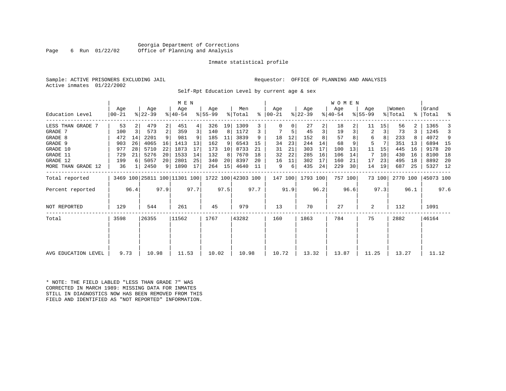#### Georgia Department of Corrections<br>6 Run 01/22/02 Office of Planning and Analysis Page 6 Run 01/22/02 Office of Planning and Analysis

#### Inmate statistical profile

|  | Sample: ACTIVE PRISONERS EXCLUDING JAII |  |
|--|-----------------------------------------|--|
|  | Active inmates 01/22/2002               |  |

L Sample: ACTIVE PRISONERS EXCLUDING AND ANALYSIS

Self-Rpt Education Level by current age & sex

|                     |                 |      |                              |                 | M E N              |      |                  |      |                    |      |                      |      |                  |      | W O M E N        |         |                    |        |                  |      |                    |      |
|---------------------|-----------------|------|------------------------------|-----------------|--------------------|------|------------------|------|--------------------|------|----------------------|------|------------------|------|------------------|---------|--------------------|--------|------------------|------|--------------------|------|
| Education Level     | Age<br>$ 00-21$ |      | Age<br>$ 22-39 $             |                 | Age<br>$8140 - 54$ |      | Age<br>$8 55-99$ |      | Men<br>% Total     |      | Age<br>$8   00 - 21$ |      | Age<br>$ 22-39 $ |      | Age<br>$ 40-54 $ |         | Age<br>$8155 - 99$ |        | Women<br>% Total |      | Grand<br>%   Total | ႜ    |
| LESS THAN GRADE 7   | 53              |      | 479                          | $\overline{2}$  | 451                | 4    | 326              | 19   | 1309               | 3    |                      | 0    | 27               | 2    | 18               |         | 11                 | 15     | 56               |      | 1365               |      |
| GRADE 7             | 100             | 3    | 573                          | 2               | 359                | 3    | 140              | 8    | 1172               | 3    |                      | 5    | 45               | 3    | 19               | 3       | 2                  | 3      | 73               |      | 1245               | 3    |
| GRADE 8             | 472             | 14   | 2201                         | 9               | 981                |      | 185              | 11   | 3839               | 9    | 18                   | 12   | 152              | 8    | 57               |         | 6                  | 8      | 233              |      | 4072               | 9    |
| GRADE 9             | 903             | 26   | 4065                         | 16              | 1413               | 13   | 162              | 9    | 6543               | 15   | 34                   | 23   | 244              | 14   | 68               |         | 5                  |        | 351              | 13   | 6894               | 15   |
| GRADE 10            | 977             | 28   | 5710                         | 22              | 1873               | 17   | 173              | 10   | 8733               | 21   | 31                   | 21   | 303              | 17   | 100              | 13      | 11                 | 15     | 445              | 16   | 9178               | -20  |
| GRADE 11            | 729             | 21   | 5276                         | 20              | 1533               | 14   | 132              | 8    | 7670               | 18   | 32                   | 22   | 285              | 16   | 106              | 14      | 7                  | 10     | 430              | 16   | 8100               | 18   |
| GRADE 12            | 199             | 6    | 5057                         | 20 <sub>1</sub> | 2801               | 25   | 340              | 20   | 8397               | 20   | 16                   | 11   | 302              | 17   | 160              | 21      | 17                 | 23     | 495              | 18   | 8892               | -20  |
| MORE THAN GRADE 12  | 36              |      | 2450                         |                 | 9   1890           | 17   | 264              | 15   | 4640               | 11   | 9                    | 6    | 435              | 24   | 229              | 30      | 14                 | 19     | 687              | 25   | 5327 12            |      |
| Total reported      |                 |      | 3469 100 25811 100 11301 100 |                 |                    |      |                  |      | 1722 100 42303 100 |      | 147 100              |      | 1793 100         |      |                  | 757 100 |                    | 73 100 | 2770 100         |      | 45073 100          |      |
| Percent reported    |                 | 96.4 |                              | 97.9            |                    | 97.7 |                  | 97.5 |                    | 97.7 |                      | 91.9 |                  | 96.2 |                  | 96.6    |                    | 97.3   |                  | 96.1 |                    | 97.6 |
| NOT REPORTED        | 129             |      | 544                          |                 | 261                |      | 45               |      | 979                |      | 13                   |      | 70               |      | 27               |         | 2                  |        | 112              |      | 1091               |      |
| Total               | 3598            |      | 26355                        |                 | 11562              |      | 1767             |      | 43282              |      | 160                  |      | 1863             |      | 784              |         | 75                 |        | 2882             |      | 46164              |      |
|                     |                 |      |                              |                 |                    |      |                  |      |                    |      |                      |      |                  |      |                  |         |                    |        |                  |      |                    |      |
| AVG EDUCATION LEVEL | 9.73            |      | 10.98                        |                 | 11.53              |      | 10.02            |      | 10.98              |      | 10.72                |      | 13.32            |      | 13.87            |         | 11.25              |        | 13.27            |      | 11.12              |      |

\* NOTE: THE FIELD LABLED "LESS THAN GRADE 7" WAS CORRECTED IN MARCH 1989: MISSING DATA FOR INMATES STILL IN DIAGNOSTICS NOW HAS BEEN REMOVED FROM THIS FIELD AND IDENTIFIED AS "NOT REPORTED" INFORMATION.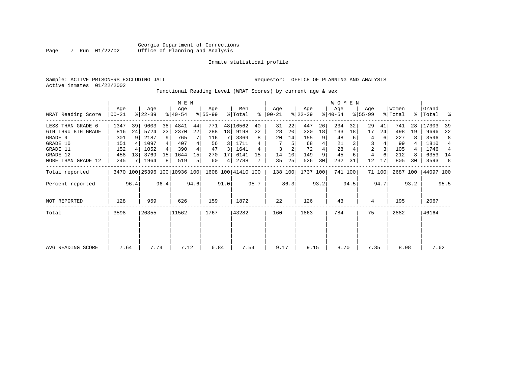|  | Sample: ACTIVE PRISONERS EXCLUDING JAIL |  |  |
|--|-----------------------------------------|--|--|
|  | Active inmates 01/22/2002               |  |  |

Requestor: OFFICE OF PLANNING AND ANALYSIS

Functional Reading Level (WRAT Scores) by current age & sex

|                     |                  |      |                                                 |                 | M E N            |      |                  |      |                |      |                      |      |                  |      | <b>WOMEN</b>     |         |                    |        |                  |      |                    |      |
|---------------------|------------------|------|-------------------------------------------------|-----------------|------------------|------|------------------|------|----------------|------|----------------------|------|------------------|------|------------------|---------|--------------------|--------|------------------|------|--------------------|------|
| WRAT Reading Score  | Age<br>$ 00-21 $ |      | Age<br>$ 22-39 $                                |                 | Age<br>$ 40-54 $ |      | Age<br>$8 55-99$ |      | Men<br>% Total |      | Age<br>$8   00 - 21$ |      | Age<br>$ 22-39 $ |      | Age<br>$ 40-54 $ |         | Age<br>$8155 - 99$ |        | Women<br>% Total |      | Grand<br>%   Total | ႜ    |
| LESS THAN GRADE 6   | 1347             | 39   | 9603                                            | 38              | 4841             | 44   | 771              |      | 48 16562       | 40   | 31                   | 22   | 447              | 26   | 234              | 32      | 29                 | 41     | 741              | 28   | 17303              | 39   |
| 6TH THRU 8TH GRADE  | 816              | 24   | 5724                                            | 23              | 2370             | 22   | 288              | 18   | 9198           | 22   | 28                   | 20   | 320              | 18   | 133              | 18      | 17                 | 24     | 498              | 19   | 9696               | 22   |
| GRADE 9             | 301              |      | 2187                                            | 9               | 765              |      | 116              |      | 3369           | 8    | 20                   | 14   | 155              | 9    | 48               |         | 4                  | 6      | 227              | 8    | 3596               | 8    |
| GRADE 10            | 151              |      | 1097                                            | 4               | 407              | 4    | 56               | 3    | 1711           |      |                      | 5    | 68               | 4    | 21               |         | 3                  |        | 99               |      | 1810               | 4    |
| GRADE 11            | 152              |      | 1052                                            | 4               | 390              | 4    | 47               | 3    | 1641           |      |                      |      | 72               |      | 28               |         | $\overline{2}$     |        | 105              |      | 1746               | 4    |
| GRADE 12            | 458              | 13   | 3769                                            | 15 <sup>1</sup> | 1644             | 15   | 270              | 17   | 6141           | 15   | 14                   | 10   | 149              | 9    | 45               |         | 4                  |        | 212              | 8    | 6353               | 14   |
| MORE THAN GRADE 12  | 245              |      | 1964                                            | 8               | 519              | 5    | 60               | 4    | 2788           |      | 35                   | 25   | 526              | 30   | 232              | 31      | 12                 | 17     | 805              | 30   | 3593               | -8   |
| Total reported      |                  |      | 3470 100 25396 100 10936 100 1608 100 41410 100 |                 |                  |      |                  |      |                |      | 138 100              |      | 1737 100         |      |                  | 741 100 |                    | 71 100 | 2687 100         |      | 44097 100          |      |
| Percent reported    |                  | 96.4 |                                                 | 96.4            |                  | 94.6 |                  | 91.0 |                | 95.7 |                      | 86.3 |                  | 93.2 |                  | 94.5    |                    | 94.7   |                  | 93.2 |                    | 95.5 |
| <b>NOT REPORTED</b> | 128              |      | 959                                             |                 | 626              |      | 159              |      | 1872           |      | 22                   |      | 126              |      | 43               |         | 4                  |        | 195              |      | 2067               |      |
| Total               | 3598             |      | 26355                                           |                 | 11562            |      | 1767             |      | 43282          |      | 160                  |      | 1863             |      | 784              |         | 75                 |        | 2882             |      | 46164              |      |
|                     |                  |      |                                                 |                 |                  |      |                  |      |                |      |                      |      |                  |      |                  |         |                    |        |                  |      |                    |      |
| AVG READING SCORE   | 7.64             |      | 7.74                                            |                 | 7.12             |      | 6.84             |      | 7.54           |      | 9.17                 |      | 9.15             |      | 8.70             |         | 7.35               |        | 8.98             |      | 7.62               |      |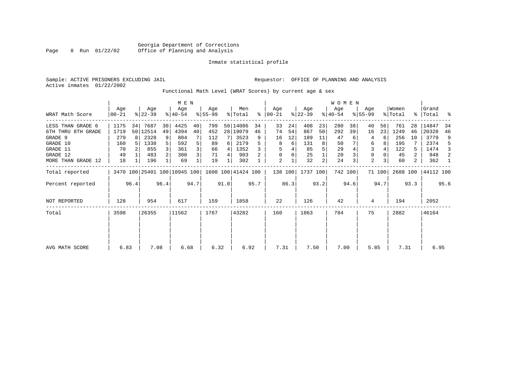|  |                           | Sample: ACTIVE PRISONERS EXCLUDING JAIL |  |
|--|---------------------------|-----------------------------------------|--|
|  | Active inmates 01/22/2002 |                                         |  |

Requestor: OFFICE OF PLANNING AND ANALYSIS

Functional Math Level (WRAT Scores) by current age & sex

|                    |                  |      |                  |      | M E N                        |      |                    |      |                |      |                  |      |                  |                | WOMEN            |         |                    |        |                  |                |                |      |
|--------------------|------------------|------|------------------|------|------------------------------|------|--------------------|------|----------------|------|------------------|------|------------------|----------------|------------------|---------|--------------------|--------|------------------|----------------|----------------|------|
| WRAT Math Score    | Age<br>$ 00-21 $ |      | Age<br>$8 22-39$ |      | Age<br>$ 40-54 $             |      | Age<br>$8 55-99$   |      | Men<br>% Total | ွေ   | Aqe<br>$ 00-21 $ |      | Age<br>$ 22-39 $ |                | Age<br>$ 40-54 $ |         | Age<br>$8155 - 99$ |        | Women<br>% Total | $\frac{1}{6}$  | Grand<br>Total |      |
| LESS THAN GRADE 6  | 1175             | 34   | 7687             | 30   | 4425                         | 40   | 799                |      | 50 14086       | 34   | 33               | 24   | 408              | 23             | 280              | 38      | 40                 | 56     | 761              | 28             | 14847          | 34   |
| 6TH THRU 8TH GRADE | 1719             |      | 50 12514         | 49   | 4394                         | 40   | 452                |      | 28 19079       | 46   | 74               | 54   | 867              | 50             | 292              | 39      | 16                 | 23     | 1249             | 46             | 20328          | 46   |
| GRADE 9            | 279              | 8 I  | 2328             | 9    | 804                          |      | 112                |      | 3523           | 9    | 16               | 12   | 189              | 11             | 47               |         | 4                  | 6      | 256              | 10             | 3779           | 9    |
| GRADE 10           | 160              |      | 1338             |      | 592                          | 5    | 89                 | 6    | 2179           | 5    | 8                | 6    | 131              | 8              | 50               |         | 6                  | 8      | 195              |                | 2374           | -5   |
| GRADE 11           | 70               |      | 855              |      | 361                          | 3    | 66                 | 4    | 1352           |      |                  |      | 85               |                | 29               |         | 3                  |        | 122              | 5.             | 1474           | 3    |
| GRADE 12           | 49               |      | 483              |      | 300                          | 3    | 71                 | 4    | 903            |      |                  | 0    | 25               |                | 20               |         | 0                  |        | 45               | 2              | 948            | 2    |
| MORE THAN GRADE 12 | 18               |      | 196              |      | 69                           |      | 19                 |      | 302            |      | 2                |      | 32               | $\overline{c}$ | 24               |         | 2                  |        | 60               | $\overline{2}$ | 362            | -1   |
| Total reported     |                  |      |                  |      | 3470 100 25401 100 10945 100 |      | 1608 100 41424 100 |      |                |      | 138 100          |      | 1737 100         |                |                  | 742 100 |                    | 71 100 | 2688 100         |                | 44112 100      |      |
| Percent reported   |                  | 96.4 |                  | 96.4 |                              | 94.7 |                    | 91.0 |                | 95.7 |                  | 86.3 |                  | 93.2           |                  | 94.6    |                    | 94.7   |                  | 93.3           |                | 95.6 |
| NOT REPORTED       | 128              |      | 954              |      | 617                          |      | 159                |      | 1858           |      | 22               |      | 126              |                | 42               |         | 4                  |        | 194              |                | 2052           |      |
| Total              | 3598             |      | 26355            |      | 11562                        |      | 1767               |      | 43282          |      | 160              |      | 1863             |                | 784              |         | 75                 |        | 2882             |                | 46164          |      |
|                    |                  |      |                  |      |                              |      |                    |      |                |      |                  |      |                  |                |                  |         |                    |        |                  |                |                |      |
| AVG MATH SCORE     | 6.83             |      | 7.08             |      | 6.68                         |      | 6.32               |      | 6.92           |      | 7.31             |      | 7.50             |                | 7.00             |         | 5.85               |        | 7.31             |                | 6.95           |      |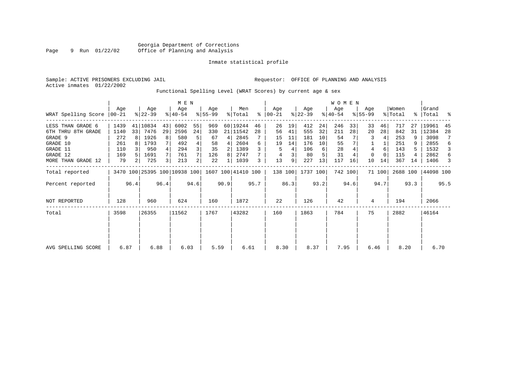| Sample: ACTIVE PRISONERS EXCLUDING JAIL | Requestor: OFFICE OF PLANNING AND ANALYSIS |
|-----------------------------------------|--------------------------------------------|
| Active inmates 01/22/2002               |                                            |

Functional Spelling Level (WRAT Scores) by current age & sex

|                     |                 |                |                  |      | M E N                        |      |                    |      |                |      |                  |      |                  |      | <b>WOMEN</b>     |         |                  |        |                  |      |                    |      |
|---------------------|-----------------|----------------|------------------|------|------------------------------|------|--------------------|------|----------------|------|------------------|------|------------------|------|------------------|---------|------------------|--------|------------------|------|--------------------|------|
| WRAT Spelling Score | Age<br>$ 00-21$ |                | Age<br>$ 22-39 $ |      | Age<br>$8140 - 54$           |      | Age<br>$ 55-99$    |      | Men<br>% Total | ⊱    | Age<br>$00 - 21$ |      | Age<br>$ 22-39 $ |      | Age<br>$ 40-54 $ |         | Age<br>$8 55-99$ |        | Women<br>% Total |      | Grand<br>%   Total | ್ಠಿ  |
| LESS THAN GRADE 6   | 1439            |                | 41 10834         | 43   | 6002                         | 55   | 969                |      | 60 19244       | 46   | 26               | 19   | 412              | 24   | 246              | 33      | 33               | 46     | 717              | 27   | 19961              | 45   |
| 6TH THRU 8TH GRADE  | 1140            | 33             | 7476             | 29   | 2596                         | 24   | 330                |      | 21   11542     | 28   | 56               | 41   | 555              | 32   | 211              | 28      | 20               | 28     | 842              | 31   | 12384              | 28   |
| GRADE 9             | 272             | R I            | 1926             | 8    | 580                          | 5    | 67                 | 4    | 2845           |      | 15               | 11   | 181              | 10   | 54               |         | 3                |        | 253              |      | 3098               | 7    |
| GRADE 10            | 261             |                | 1793             |      | 492                          |      | 58                 | 4    | 2604           | 6    | 19               | 14   | 176              | 10   | 55               |         |                  |        | 251              |      | 2855               | 6    |
| GRADE 11            | 110             |                | 950              |      | 294                          |      | 35                 | 2    | 1389           |      | 5                | 4    | 106              | 6    | 28               |         | 4                | 6      | 143              |      | 1532               | 3    |
| GRADE 12            | 169             |                | 1691             |      | 761                          |      | 126                | 8    | 2747           |      | 4                | 3    | 80               |      | 31               |         | $\Omega$         |        | 115              |      | 2862               | 6    |
| MORE THAN GRADE 12  | 79              | 2 <sub>1</sub> | 725              |      | 213                          | 2    | 22                 |      | 1039           | 3    | 13               | 9    | 227              | 13   | 117              | 16      | 10               | 14     | 367              | 14   | 1406               | 3    |
| Total reported      |                 |                |                  |      | 3470 100 25395 100 10938 100 |      | 1607 100 41410 100 |      |                |      | 138 100          |      | 1737 100         |      |                  | 742 100 |                  | 71 100 | 2688 100         |      | 44098 100          |      |
| Percent reported    |                 | 96.4           |                  | 96.4 |                              | 94.6 |                    | 90.9 |                | 95.7 |                  | 86.3 |                  | 93.2 |                  | 94.6    |                  | 94.7   |                  | 93.3 |                    | 95.5 |
| <b>NOT REPORTED</b> | 128             |                | 960              |      | 624                          |      | 160                |      | 1872           |      | 22               |      | 126              |      | 42               |         | 4                |        | 194              |      | 2066               |      |
| Total               | 3598            |                | 26355            |      | 11562                        |      | 1767               |      | 43282          |      | 160              |      | 1863             |      | 784              |         | 75               |        | 2882             |      | 46164              |      |
|                     |                 |                |                  |      |                              |      |                    |      |                |      |                  |      |                  |      |                  |         |                  |        |                  |      |                    |      |
| AVG SPELLING SCORE  | 6.87            |                | 6.88             |      | 6.03                         |      | 5.59               |      | 6.61           |      | 8.30             |      | 8.37             |      | 7.95             |         | 6.46             |        | 8.20             |      | 6.70               |      |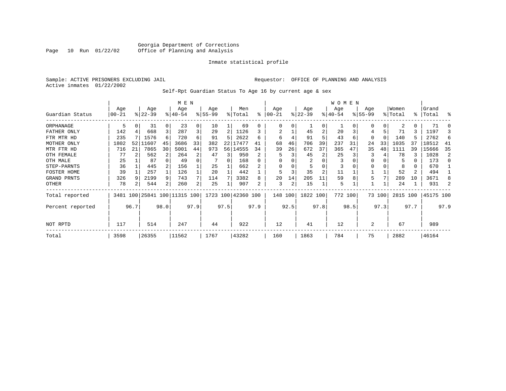### Georgia Department of Corrections<br>Page 10 Run 01/22/02 Office of Planning and Analysis Office of Planning and Analysis

#### Inmate statistical profile

Sample: ACTIVE PRISONERS EXCLUDING JAIL **Requestor:** OFFICE OF PLANNING AND ANALYSIS Active inmates 01/22/2002

Self-Rpt Guardian Status To Age 16 by current age & sex

|                  |                  |      |                  |      | M E N                        |      |                  |      |                    |      |                 |      |                 |                | W O M E N       |      |                  |          |                  |      |                |      |
|------------------|------------------|------|------------------|------|------------------------------|------|------------------|------|--------------------|------|-----------------|------|-----------------|----------------|-----------------|------|------------------|----------|------------------|------|----------------|------|
| Guardian Status  | Age<br>$00 - 21$ |      | Age<br>$ 22-39 $ |      | Age<br>$ 40-54 $             |      | Age<br>$8 55-99$ |      | Men<br>% Total     | ႜ    | Age<br>$ 00-21$ |      | Age<br>$ 22-39$ |                | Age<br>$ 40-54$ |      | Age<br>$8 55-99$ |          | Women<br>% Total | ႜ    | Grand<br>Total | န္   |
| ORPHANAGE        | 5                | 0    | 31               | 0    | 23                           | 0    | 10               |      | 69                 | U    | $\Omega$        | 0    |                 | $\Omega$       |                 |      | 0                | 0        |                  | 0    | 71             |      |
| FATHER ONLY      | 142              |      | 668              |      | 287                          | 3    | 29               | 2    | 1126               |      |                 |      | 45              | 2              | 20              |      | 4                |          | 71               | 3    | 1197           |      |
| FTR MTR HD       | 235              |      | 1576             | 6    | 720                          | 6    | 91               | 5    | 2622               | б    | 6               |      | 91              |                | 43              |      | 0                | $\Omega$ | 140              | 5    | 2762           |      |
| MOTHER ONLY      | 1802             | 52   | 11607            | 45   | 3686                         | 33   | 382              | 22   | 17477              | 41   | 68              | 46   | 706             | 39             | 237             | 31   | 24               | 33       | 1035             | 37   | 18512          | 41   |
| MTR FTR HD       | 716              | 21   | 7865             | 30   | 5001                         | 44   | 973              |      | 56 14555           | 34   | 39              | 26   | 672             | 37             | 365             | 47   | 35               | 48       | 1111             | 39   | 15666          | 35   |
| OTH FEMALE       | 77               |      | 562              |      | 264                          | 2    | 47               | 3    | 950                |      | 5               | 3    | 45              | 2              | 25              |      | 3                |          | 78               | 3    | 1028           |      |
| OTH MALE         | 25               |      | 87               |      | 49                           | 0    |                  | 0    | 168                |      | $\Omega$        |      | 2               |                | 3               |      | 0                |          | 5                | 0    | 173            |      |
| STEP-PARNTS      | 36               |      | 445              |      | 156                          |      | 25               |      | 662                |      | $\Omega$        |      |                 |                | 3               |      | 0                |          | 8                | 0    | 670            |      |
| FOSTER HOME      | 39               |      | 257              |      | 126                          |      | 20               |      | 442                |      | 5               | 3    | 35              | $\overline{2}$ | 11              |      |                  |          | 52               | 2    | 494            |      |
| GRAND PRNTS      | 326              |      | 2199             | 9    | 743                          |      | 114              |      | 3382               | 8    | 20              | 14   | 205             | 11             | 59              |      | 5                |          | 289              | 10   | 3671           |      |
| OTHER            | 78               | 2    | 544              | 2    | 260                          | 2    | 25               |      | 907                | 2    | 3               | 2    | 15              |                | 5               |      |                  | 1        | 24               |      | 931            |      |
| Total reported   |                  |      |                  |      | 3481 100 25841 100 11315 100 |      |                  |      | 1723 100 42360 100 |      | 148 100         |      | 1822 100        |                | 772 100         |      |                  | 73 100   | 2815 100         |      | 45175 100      |      |
| Percent reported |                  | 96.7 |                  | 98.0 |                              | 97.9 |                  | 97.5 |                    | 97.9 |                 | 92.5 |                 | 97.8           |                 | 98.5 |                  | 97.3     |                  | 97.7 |                | 97.9 |
| NOT RPTD         | 117              |      | 514              |      | 247                          |      | 44               |      | 922                |      | 12              |      | 41              |                | 12              |      | 2                |          | 67               |      | 989            |      |
| Total            | 3598             |      | 26355            |      | 11562                        |      | 1767             |      | 43282              |      | 160             |      | 1863            |                | 784             |      | 75               |          | 2882             |      | 46164          |      |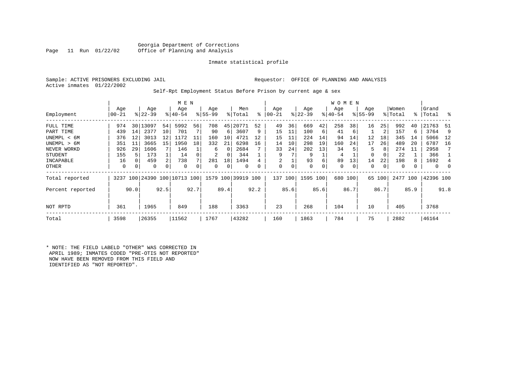#### Georgia Department of Corrections<br>Page 11 Run 01/22/02 Office of Planning and Analysis Page 11 Run 01/22/02 Office of Planning and Analysis

#### Inmate statistical profile

|  | Sample: ACTIVE PRISONERS EXCLUDING JAIL | Requestor: OFFICE OF PLANNING AND ANALYSIS |  |  |  |
|--|-----------------------------------------|--------------------------------------------|--|--|--|
|  | Active inmates 01/22/2002               |                                            |  |  |  |

# Self-Rpt Employment Status Before Prison by current age & sex

|                  |           |      |           |      | M E N                   |      |          |      |                    |      |           |      |           |      | W O M E N |         |             |        |          |      |              |      |
|------------------|-----------|------|-----------|------|-------------------------|------|----------|------|--------------------|------|-----------|------|-----------|------|-----------|---------|-------------|--------|----------|------|--------------|------|
|                  | Age       |      | Age       |      | Age                     |      | Age      |      | Men                |      | Age       |      | Age       |      | Age       |         | Age         |        | Women    |      | Grand        |      |
| Employment       | $00 - 21$ |      | $ 22-39 $ |      | $8 40-54$               |      | $ 55-99$ |      | % Total            | ៖    | $00 - 21$ |      | $ 22-39 $ |      | $ 40-54 $ |         | $8155 - 99$ |        | % Total  |      | %   Total    | ႜ    |
| FULL TIME        | 974       | 30   | 13097     | 54   | 5992                    | 56   | 708      | 45   | 20771              | 52   | 49        | 36   | 669       | 42   | 258       | 381     | 16          | 25     | 992      | 40   | 21763        | -51  |
| PART TIME        | 439       | 14   | 2377      | 10   | 701                     |      | 90       | 6    | 3607               | 9    | 15        | 11   | 100       | 6    | 41        | 6       |             | 2      | 157      | 6    | 3764         | 9    |
| UNEMPL < 6M      | 376       | 12   | 3013      | 12   | 1172                    | 11   | 160      | 10   | 4721               | 12   | 15        | 11   | 224       | 14   | 94        | 14      | 12          | 18     | 345      | 14   | 5066         | 12   |
| UNEMPL > 6M      | 351       | 11   | 3665      | 15   | 1950                    | 18   | 332      | 21   | 6298               | 16   | 14        | 10   | 298       | 19   | 160       | 24      | 17          | 26     | 489      | 20   | 6787         | 16   |
| NEVER WORKD      | 926       | 29   | 1606      |      | 146                     |      | 6        | 0    | 2684               |      | 33        | 24   | 202       | 13   | 34        |         | 5           | 8      | 274      | 11   | 2958         |      |
| STUDENT          | 155       |      | 173       |      | 14                      |      | 2        | 0    | 344                |      | 9         |      | 9         |      | 4         |         | 0           | 0      | 22       |      | 366          |      |
| INCAPABLE        | 16        |      | 459       |      | 738                     |      | 281      | 18   | 1494               |      | 2         |      | 93        | 6    | 89        | 13      | 14          | 22     | 198      |      | 1692         | 4    |
| OTHER            | 0         | 0    | 0         | 0    | $\Omega$                |      | 0        | 0    | 0                  |      | 0         | 0    | 0         | 0    | 0         | 0       | 0           | 0      | 0        |      | $\mathbf{0}$ |      |
| Total reported   | 3237      |      |           |      | 100 24390 100 10713 100 |      |          |      | 1579 100 39919 100 |      | 137       | 100  | 1595 100  |      |           | 680 100 |             | 65 100 | 2477 100 |      | 42396 100    |      |
| Percent reported |           | 90.0 |           | 92.5 |                         | 92.7 |          | 89.4 |                    | 92.2 |           | 85.6 |           | 85.6 |           | 86.7    |             | 86.7   |          | 85.9 |              | 91.8 |
| NOT RPTD         | 361       |      | 1965      |      | 849                     |      | 188      |      | 3363               |      | 23        |      | 268       |      | 104       |         | 10          |        | 405      |      | 3768         |      |
| Total            | 3598      |      | 26355     |      | 11562                   |      | 1767     |      | 43282              |      | 160       |      | 1863      |      | 784       |         | 75          |        | 2882     |      | 46164        |      |

\* NOTE: THE FIELD LABELD "OTHER" WAS CORRECTED IN APRIL 1989; INMATES CODED "PRE-OTIS NOT REPORTED" NOW HAVE BEEN REMOVED FROM THIS FIELD AND IDENTIFIED AS "NOT REPORTED".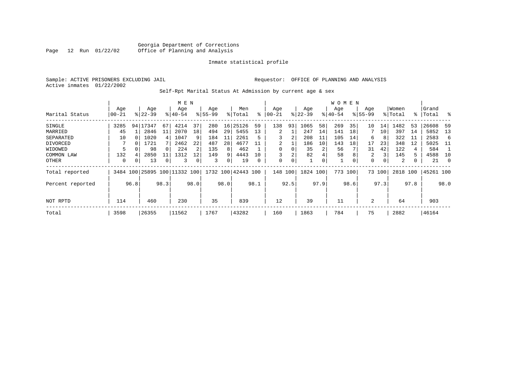|  | Sample: ACTIVE PRISONERS EXCLUDING JAIL |  |
|--|-----------------------------------------|--|
|  | Active inmates 01/22/2002               |  |

Requestor: OFFICE OF PLANNING AND ANALYSIS

Self-Rpt Marital Status At Admission by current age & sex

|                  |           |      |           |      | M E N                    |      |             |      |                    |      |           |      |           |      | <b>WOMEN</b> |      |             |      |          |      |           |      |
|------------------|-----------|------|-----------|------|--------------------------|------|-------------|------|--------------------|------|-----------|------|-----------|------|--------------|------|-------------|------|----------|------|-----------|------|
|                  | Age       |      | Age       |      | Age                      |      | Age         |      | Men                |      | Age       |      | Age       |      | Age          |      | Age         |      | Women    |      | Grand     |      |
| Marital Status   | $00 - 21$ |      | $ 22-39 $ |      | $8140 - 54$              |      | $8155 - 99$ |      | % Total            | ៖    | $00 - 21$ |      | $8 22-39$ |      | $ 40-54$     |      | $8155 - 99$ |      | % Total  |      | %   Total | ႜ    |
| SINGLE           | 3285      | 94   | 17347     | 67   | 4214                     | 37   | 280         | 16   | 25126              | 59   | 138       | 93   | 1065      | 58   | 269          | 35   | 10          | 14   | 1482     | 53   | 26608     | 59   |
| MARRIED          | 45        |      | 2846      | 11   | 2070                     | 18   | 494         | 29   | 5455               | 13   | 2         |      | 247       | 14   | 141          | 18   |             | 10   | 397      | 14   | 5852      | 13   |
| SEPARATED        | 10        |      | 1020      | 4    | 1047                     | 9    | 184         | 11   | 2261               | 5    | 3         | 2    | 208       | 11   | 105          | 14   | 6           | 8    | 322      | 11   | 2583      | -6   |
| DIVORCED         |           | O    | 1721      |      | 2462                     | 22   | 487         | 28   | 4677               | 11   | 2         |      | 186       | 10   | 143          | 18   | 17          | 23   | 348      | 12   | 5025      | - 11 |
| WIDOWED          | 5         |      | 98        |      | 224                      | 2    | 135         | 8    | 462                |      | 0         | 0    | 35        | 2    | 56           |      | 31          | 42   | 122      | 4    | 584       |      |
| COMMON LAW       | 132       |      | 2850      | 11   | 1312                     | 12   | 149         | 9    | 4443               | 10   |           | 2    | 82        | 4    | 58           | 8    | 2           |      | 145      | 5    | 4588      | 10   |
| OTHER            | 0         | 0    | 13        | 0    | 3                        |      | 3           | 0    | 19                 | 0    | 0         | 0    |           | 0    | 1            | 0    | 0           | 0    | 2        | 0    | 21        | 0    |
| Total reported   |           |      |           |      | 3484 100 25895 100 11332 | 100  |             |      | 1732 100 42443 100 |      | 148       | 100  | 1824      | 100  | 773          | 100  | 73          | 100  | 2818 100 |      | 45261 100 |      |
| Percent reported |           | 96.8 |           | 98.3 |                          | 98.0 |             | 98.0 |                    | 98.1 |           | 92.5 |           | 97.9 |              | 98.6 |             | 97.3 |          | 97.8 |           | 98.0 |
| NOT RPTD         | 114       |      | 460       |      | 230                      |      | 35          |      | 839                |      | 12        |      | 39        |      | 11           |      | 2           |      | 64       |      | 903       |      |
|                  |           |      |           |      |                          |      |             |      |                    |      |           |      |           |      |              |      |             |      |          |      |           |      |
| Total            | 3598      |      | 26355     |      | 11562                    |      | 1767        |      | 43282              |      | 160       |      | 1863      |      | 784          |      | 75          |      | 2882     |      | 46164     |      |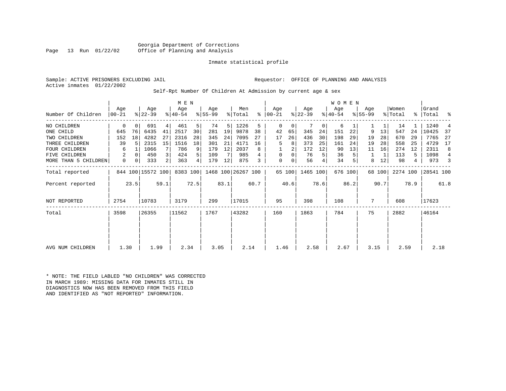Georgia Department of Corrections<br>Page 13 Run 01/22/02 Office of Planning and Analysis Page 13 Run 01/22/02 Office of Planning and Analysis

#### Inmate statistical profile

|  | Sample: ACTIVE PRISONERS EXCLUDING JAIL | Requestor: OFFICE OF PLANNING AND ANALYSIS |  |  |
|--|-----------------------------------------|--------------------------------------------|--|--|
|  | Active inmates 01/22/2002               |                                            |  |  |

#### Self-Rpt Number Of Children At Admission by current age & sex

|                      | Age   |          | Age               |      | M E N<br>Age |      | Age       |      | Men                |      | Age           |        | Age       |      | W O M E N<br>Age |         | Age         |        | Women    |      | Grand     |                |
|----------------------|-------|----------|-------------------|------|--------------|------|-----------|------|--------------------|------|---------------|--------|-----------|------|------------------|---------|-------------|--------|----------|------|-----------|----------------|
| Number Of Children   | 00-21 |          | $ 22-39 $         |      | $ 40-54 $    |      | $8 55-99$ |      | % Total            |      | $8   00 - 21$ |        | $ 22-39 $ |      | $ 40-54 $        |         | $8155 - 99$ |        | % Total  |      | %   Total | ್ಠಿ            |
| NO CHILDREN          | 0     | $\Omega$ | 691               | 4    | 461          | 5    | 74        | 5    | 1226               | 5    | 0             | 0      |           | 0    | 6                |         |             |        | 14       |      | 1240      |                |
| ONE CHILD            | 645   | 76       | 6435              | 41   | 2517         | 30   | 281       | 19   | 9878               | 38   | 42            | 65     | 345       | 24   | 151              | 22      | 9           | 13     | 547      | 24   | 10425     | -37            |
| TWO CHILDREN         | 152   | 18       | 4282              | 27   | 2316         | 28   | 345       | 24   | 7095               | 27   | 17            | 26     | 436       | 30   | 198              | 29      | 19          | 28     | 670      | 29   | 7765      | 27             |
| THREE CHILDREN       | 39    | .5       | 2315              | 15   | 1516         | 18   | 301       | 21   | 4171               | 16   | 5             | 8      | 373       | 25   | 161              | 24      | 19          | 28     | 558      | 25   | 4729      | 17             |
| <b>FOUR CHILDREN</b> | 6     |          | 1066              | 7    | 786          | 9    | 179       | 12   | 2037               | 8    |               | 2      | 172       | 12   | 90               | 13      | 11          | 16     | 274      | 12   | 2311      | 8              |
| FIVE CHILDREN        | 2     | $\Omega$ | 450               |      | 424          | 5    | 109       |      | 985                |      | $\Omega$      | 0      | 76        | 5    | 36               |         |             |        | 113      | 5.   | 1098      | $\overline{4}$ |
| MORE THAN 5 CHILDREN | 0     | 0        | 333               | 2    | 363          | 4    | 179       | 12   | 875                | 3    | $\mathbf 0$   | 0      | 56        | 4    | 34               |         | 8           | 12     | 98       | 4    | 973       | 3              |
| Total reported       |       |          | 844 100 15572 100 |      | 8383 100     |      |           |      | 1468 100 26267 100 |      |               | 65 100 | 1465 100  |      |                  | 676 100 |             | 68 100 | 2274 100 |      | 28541 100 |                |
| Percent reported     |       | 23.5     |                   | 59.1 |              | 72.5 |           | 83.1 |                    | 60.7 |               | 40.6   |           | 78.6 |                  | 86.2    |             | 90.7   |          | 78.9 |           | 61.8           |
| <b>NOT REPORTED</b>  | 2754  |          | 10783             |      | 3179         |      | 299       |      | 17015              |      | 95            |        | 398       |      | 108              |         | 7           |        | 608      |      | 17623     |                |
| Total                | 3598  |          | 26355             |      | 11562        |      | 1767      |      | 43282              |      | 160           |        | 1863      |      | 784              |         | 75          |        | 2882     |      | 46164     |                |
|                      |       |          |                   |      |              |      |           |      |                    |      |               |        |           |      |                  |         |             |        |          |      |           |                |
| AVG NUM CHILDREN     | 1.30  |          | 1.99              |      | 2.34         |      | 3.05      |      | 2.14               |      | 1.46          |        | 2.58      |      | 2.67             |         | 3.15        |        | 2.59     |      | 2.18      |                |

\* NOTE: THE FIELD LABLED "NO CHILDREN" WAS CORRECTED IN MARCH 1989: MISSING DATA FOR INMATES STILL IN DIAGNOSTICS NOW HAS BEEN REMOVED FROM THIS FIELD AND IDENTIFIED AS "NOT REPORTED" INFORMATION.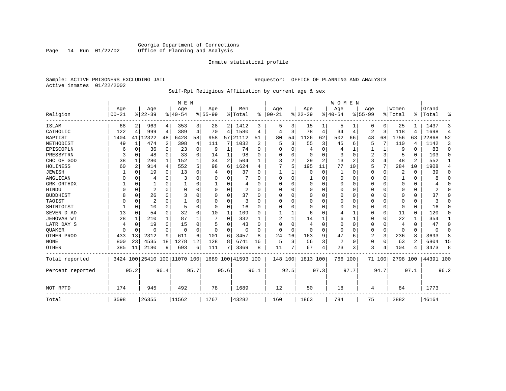# Georgia Department of Corrections<br>Page 14 Run 01/22/02 Office of Planning and Analysis Office of Planning and Analysis

#### Inmate statistical profile

Sample: ACTIVE PRISONERS EXCLUDING JAIL **Requestor:** OFFICE OF PLANNING AND ANALYSIS Active inmates 01/22/2002

Self-Rpt Religious Affiliation by current age & sex

|                  |           |                |                              |          | M E N     |                |           |                |                    |      |          |                |             |                | <b>WOMEN</b> |          |             |          |          |                |           |                |
|------------------|-----------|----------------|------------------------------|----------|-----------|----------------|-----------|----------------|--------------------|------|----------|----------------|-------------|----------------|--------------|----------|-------------|----------|----------|----------------|-----------|----------------|
|                  | Age       |                | Age                          |          | Age       |                | Age       |                | Men                |      | Age      |                | Age         |                | Age          |          | Age         |          | Women    |                | Grand     |                |
| Religion         | $00 - 21$ |                | $8 22-39$                    |          | $8 40-54$ |                | $8 55-99$ |                | % Total            | ွေ   | $ 00-21$ |                | $ 22-39$    |                | $8 40-54$    |          | $8155 - 99$ |          | % Total  |                | %   Total | ៖              |
| <b>ISLAM</b>     | 68        | 2              | 963                          | 4        | 353       | 3              | 28        | 2              | 1412               | 3    | 5        | 3              | 15          |                | 5            |          | 0           | 0        | 25       |                | 1437      | 3              |
| CATHOLIC         | 122       | $\overline{4}$ | 999                          | 4        | 389       | $\overline{4}$ | 70        | 4              | 1580               | 4    | 4        | 3              | 78          | 4              | 34           | 4        | 2           | 3        | 118      | 4              | 1698      | $\overline{4}$ |
| <b>BAPTIST</b>   | 1404      | 41             | 12322                        | 48       | 6428      | 58             | 958       | 57             | 21112              | 51   | 80       | 54             | 1126        | 62             | 502          | 66       | 48          | 68       | 1756     | 63             | 22868     | 52             |
| METHODIST        | 49        | 1              | 474                          | 2        | 398       | 4              | 111       | 7              | 1032               | 2    | 5        | 3              | 55          | 3              | 45           | 6        | 5           | 7        | 110      | $\overline{4}$ | 1142      | 3              |
| EPISCOPLN        | b         | 0              | 36                           | 0        | 23        | $\Omega$       | 9         | 1              | 74                 | 0    | $\Omega$ | $\Omega$       | 4           | 0              |              |          |             |          | 9        | U              | 83        | $\mathbf 0$    |
| PRESBYTRN        | 3         | $\Omega$       | 48                           | 0        | 33        | $\Omega$       | 14        | 1              | 98                 | O    |          | $\Omega$       | 0           | $\Omega$       | 3            | $\Omega$ | 2           | 3        | 5        | 0              | 103       | $\Omega$       |
| CHC OF GOD       | 38        | 1              | 280                          | 1        | 152       |                | 34        | $\overline{a}$ | 504                | 1    | 3        | $\overline{2}$ | 29          | $\overline{a}$ | 13           | 2        | 3           | 4        | 48       | 2              | 552       | 1              |
| HOLINESS         | 60        | 2              | 914                          | 4        | 552       | 5              | 98        | 6              | 1624               | 4    |          | 5              | 195         | 11             | 77           | 10       | 5           | 7        | 284      | 10             | 1908      | 4              |
| JEWISH           |           | 0              | 19                           | 0        | 13        | U              | 4         | U              | 37                 | O    |          |                | 0           | $\Omega$       |              | 0        | 0           | $\Omega$ | 2        | O              | 39        | $\Omega$       |
| ANGLICAN         | O         | $\Omega$       | 4                            | $\Omega$ | 3         | 0              | U         | U              |                    | n    | $\Omega$ | $\Omega$       |             | N              | <sup>0</sup> | $\Omega$ | 0           | 0        |          | O              |           | $\Omega$       |
| GRK ORTHDX       |           | $\Omega$       |                              | 0        |           | O              |           | U              | 4                  | ∩    | ∩        |                | $\mathbf 0$ | 0              | $\Omega$     | $\Omega$ | 0           | 0        | ∩        | O              |           | $\Omega$       |
| HINDU            |           | $\Omega$       | 2                            | 0        | O         | U              |           | 0              | 2                  | U    |          | $\Omega$       | $\Omega$    | 0              | 0            | $\Omega$ | 0           | U        | O        | 0              |           | ∩              |
| <b>BUDDHIST</b>  | 8         | $\Omega$       | 26                           | 0        | 3         |                |           | O              | 37                 | U    |          |                | $\Omega$    | N              |              | $\Omega$ | 0           | U        |          |                | 37        | ∩              |
| TAOIST           |           | $\Omega$       | $\overline{2}$               | 0        |           |                |           | U              | 3                  | U    |          | ∩              | $\Omega$    | N              |              | ∩        | 0           | 0        | $\Omega$ | O              |           | ∩              |
| SHINTOIST        |           | $\Omega$       | 10                           | 0        | 5         | $\Omega$       | O         | O              | 16                 | O    | O        |                | $\Omega$    | O              | <sup>0</sup> | $\Omega$ | U           | $\Omega$ | $\Omega$ | 0              | 16        | $\Omega$       |
| SEVEN D AD       | 13        | $\Omega$       | 54                           | $\Omega$ | 32        | $\Omega$       | 10        | 1              | 109                | U    |          |                | 6           | N              |              |          | 0           | $\Omega$ | 11       | 0              | 120       | $\Omega$       |
| JEHOVAH WT       | 28        |                | 210                          | 1        | 87        |                |           | 0              | 332                |      |          |                | 14          |                | 6            |          | 0           | 0        | 22       |                | 354       | 1              |
| LATR DAY S       | 4         | 0              | 19                           | 0        | 15        | 0              | 5         | U              | 43                 | O    | $\Omega$ | $\Omega$       | 4           | $\Omega$       | <sup>0</sup> | $\Omega$ | 0           | $\Omega$ | 4        | 0              | 47        | $\Omega$       |
| <b>OUAKER</b>    | $\Omega$  | 0              | O                            | $\Omega$ | $\Omega$  | $\Omega$       | $\Omega$  | $\Omega$       | $\Omega$           | U    | $\Omega$ | $\Omega$       | $\Omega$    | $\Omega$       | $\Omega$     | $\Omega$ | 0           | 0        | $\Omega$ | $\Omega$       | $\Omega$  | $\Omega$       |
| OTHER PROD       | 433       | 13             | 2312                         | 9        | 611       | 6              | 101       | 6              | 3457               | 8    | 24       | 16             | 163         | 9              | 47           | 6        | 2           | 3        | 236      | 8              | 3693      | 8              |
| <b>NONE</b>      | 800       | 23             | 4535                         | 18       | 1278      | 12             | 128       | 8              | 6741               | 16   | 5        | 3              | 56          | 3              | 2            | $\Omega$ | 0           | $\Omega$ | 63       | 2              | 6804      | 15             |
| <b>OTHER</b>     | 385       | 11             | 2180                         | 9        | 693       | 6              | 111       | 7 <sup>1</sup> | 3369               | 8    | 11       |                | 67          | 4              | 23           | 3        | 3           |          | 104      | 4              | 3473      | 8              |
| Total reported   |           |                | 3424 100 25410 100 11070 100 |          |           |                |           |                | 1689 100 41593 100 |      | 148 100  |                | 1813 100    |                | 766 100      |          |             | 71 100   | 2798 100 |                | 44391 100 |                |
| Percent reported |           | 95.2           |                              | 96.4     |           | 95.7           |           | 95.6           |                    | 96.1 |          | 92.5           |             | 97.3           |              | 97.7     |             | 94.7     |          | 97.1           |           | 96.2           |
| NOT RPTD         | 174       |                | 945                          |          | 492       |                | 78        |                | 1689               |      | 12       |                | 50          |                | 18           |          | 4           |          | 84       |                | 1773      |                |
| Total            | 3598      |                | 26355                        |          | 11562     |                | 1767      |                | 43282              |      | 160      |                | 1863        |                | 784          |          | 75          |          | 2882     |                | 46164     |                |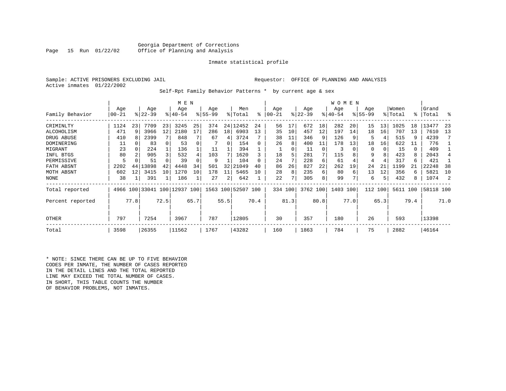|  | Sample: ACTIVE PRISONERS EXCLUDING JAII |  |
|--|-----------------------------------------|--|
|  | Active inmates 01/22/2002               |  |

Sample: ACTIVE PRISONERS EXCLUDING ACTIVE PRISONERS EXCLUDING AND ANALYSIS

Self-Rpt Family Behavior Patterns \* by current age & sex

|                  |           |          |                              |      | M E N       |      |           |      |                    |              |           |               |           |          | W O M E N |          |          |      |          |      |           |      |
|------------------|-----------|----------|------------------------------|------|-------------|------|-----------|------|--------------------|--------------|-----------|---------------|-----------|----------|-----------|----------|----------|------|----------|------|-----------|------|
|                  | Age       |          | Age                          |      | Age         |      | Age       |      | Men                |              | Age       |               | Age       |          | Age       |          | Age      |      | Women    |      | Grand     |      |
| Family Behavior  | $00 - 21$ |          | $ 22-39 $                    |      | $8140 - 54$ |      | $8 55-99$ |      | % Total            | ႜ            | $00 - 21$ | $\frac{1}{6}$ | $22 - 39$ |          | $ 40-54 $ |          | $ 55-99$ |      | % Total  |      | %   Total | ႜ    |
| CRIMINLTY        | 1124      | 23       | 7709                         | 23   | 3245        | 25   | 374       |      | 24 12452           | 24           | 56        | 17            | 672       | 18       | 282       | 20       | 15       | 13   | 1025     | 18   | 13477     | 23   |
| ALCOHOLISM       | 471       | 9        | 3966                         | 12   | 2180        | 17   | 286       | 18   | 6903               | 13           | 35        | 10            | 457       | 12       | 197       | 14       | 18       | 16   | 707      | 13   | 7610      | 13   |
| DRUG ABUSE       | 410       |          | 2399                         |      | 848         |      | 67        | 4    | 3724               |              | 38        | 11            | 346       | 9        | 126       | -9       | 5        | 4    | 515      | 9    | 4239      |      |
| DOMINERING       | 11        | $\Omega$ | 83                           |      | 53          |      |           | 0    | 154                | 0            | 26        | 8             | 400       | 11       | 178       | 13       | 18       | 16   | 622      | 11   | 776       |      |
| MIGRANT          | 23        | $\Omega$ | 224                          |      | 136         |      | 11        |      | 394                |              |           | 0             | 11        | $\Omega$ | 3         | $\Omega$ | $\Omega$ |      | 15       | 0    | 409       |      |
| INFL BTGS        | 80        |          | 905                          | 3    | 532         |      | 103       |      | 1620               |              | 18        | 5             | 281       | 7        | 115       |          | 9        |      | 423      | 8    | 2043      |      |
| PERMISSIVE       | 5         |          | 51                           |      | 39          |      | 9         |      | 104                | <sup>0</sup> | 24        |               | 228       | 6        | 61        |          | 4        |      | 317      | 6    | 421       |      |
| FATH ABSNT       | 2202      | 44       | 13898                        | 42   | 4448        | 34   | 501       | 32   | 21049              | 40           | 86        | 26            | 827       | 22       | 262       | 19       | 24       | 21   | 1199     | 21   | 22248     | 38   |
| MOTH ABSNT       | 602       | 12       | 3415                         | 10   | 1270        | 10   | 178       | 11   | 5465               | 10           | 28        | 8             | 235       | 6        | 80        | 6        | 13       | 12   | 356      | 6    | 5821      | 10   |
| <b>NONE</b>      | 38        |          | 391                          |      | 186         |      | 27        | 2    | 642                |              | 22        |               | 305       | 8        | 99        |          | 6        | 5    | 432      | 8    | 1074      | -2   |
| Total reported   |           |          | 4966 100 33041 100 12937 100 |      |             |      |           |      | 1563 100 52507 100 |              | 334 100   |               | 3762 100  |          | 1403 100  |          | 112      | 100  | 5611 100 |      | 58118 100 |      |
| Percent reported |           | 77.8     |                              | 72.5 |             | 65.7 |           | 55.5 |                    | 70.4         |           | 81.3          |           | 80.8     |           | 77.0     |          | 65.3 |          | 79.4 |           | 71.0 |
| OTHER            | 797       |          | 7254                         |      | 3967        |      | 787       |      | 12805              |              | 30        |               | 357       |          | 180       |          | 26       |      | 593      |      | 13398     |      |
| Total            | 3598      |          | 26355                        |      | 11562       |      | 1767      |      | 43282              |              | 160       |               | 1863      |          | 784       |          | 75       |      | 2882     |      | 46164     |      |

\* NOTE: SINCE THERE CAN BE UP TO FIVE BEHAVIOR CODES PER INMATE, THE NUMBER OF CASES REPORTED IN THE DETAIL LINES AND THE TOTAL REPORTED LINE MAY EXCEED THE TOTAL NUMBER OF CASES. IN SHORT, THIS TABLE COUNTS THE NUMBER OF BEHAVIOR PROBLEMS, NOT INMATES.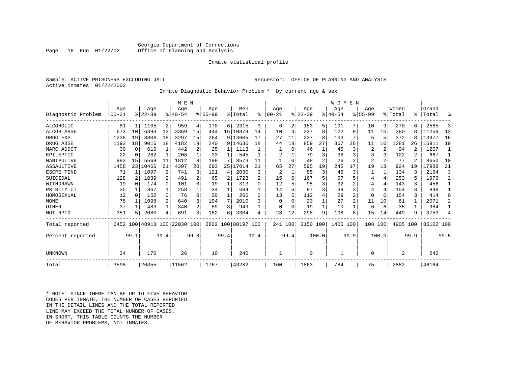#### Georgia Department of Corrections<br>Page 16 Run 01/22/02 Office of Planning and Analysis Office of Planning and Analysis

#### Inmate statistical profile

|                | Sample: ACTIVE PRISONERS EXCLUDING JAII |  |
|----------------|-----------------------------------------|--|
| Active inmates | 01/22/2002                              |  |

L Sample: ACTIVE PRISONERS EXCLUDING AND ANALYSIS

Inmate Diagnostic Behavior Problem \* by current age & sex

|                    |            |          |           |              | M E N                        |          |             |                 |                    |           |           |              |             |       | WOMEN       |      |                |                 |         |                |           |                |
|--------------------|------------|----------|-----------|--------------|------------------------------|----------|-------------|-----------------|--------------------|-----------|-----------|--------------|-------------|-------|-------------|------|----------------|-----------------|---------|----------------|-----------|----------------|
|                    | Age        |          | Age       |              | Age                          |          | Age         |                 | Men                |           | Age       |              | Age         |       | Age         |      | Age            |                 | Women   |                | Grand     |                |
| Diagnostic Problem | $ 00 - 21$ |          | $ 22-39 $ |              | $8140 - 54$                  |          | $8155 - 99$ |                 | % Total            | $\approx$ | $00 - 21$ |              | $8$   22-39 |       | $8140 - 54$ |      | $8155 - 99$    |                 | % Total | ៖              | Total     | ፠              |
| ALCOHOLIC          | 81         |          | 1105      | 2            | 959                          | 4        | 170         | 6               | 2315               | 3         | 6         |              | 153         | 5     | 101         | 7    | 10             | 9               | 270     | 6              | 2585      | 3              |
| ALCOH ABSE         | 673        | 10       | 6393      | 13           | 3369                         | 15       | 444         | 16 <sup>1</sup> | 10879              | 14        | 10        | 4            | 237         | 8     | 122         | 9    | 11             | 10              | 380     |                | 11259     | 13             |
| DRUG EXP           | 1238       | 19       | 8806      | 18           | 3297                         | 15       | 264         |                 | 9 13605            | 17        | 27        | 11           | 237         | 8     | 103         | 7    | 5              | 5               | 372     | 8              | 13977     | 16             |
| DRUG ABSE          | 1192       | 18       | 9016      | 18           | 4182                         | 19       | 240         |                 | 9 14630            | 18        | 44        | 18           | 859         | 27    | 367         | 26   | 11             | 10 <sup>1</sup> | 1281    | 26             | 15911     | 19             |
| NARC ADDCT         | 30         | $\Omega$ | 616       | 1            | 442                          | 2        | 25          |                 | 1113               |           |           | $\Omega$     | 46          |       | 45          | 3    | 2              | $\overline{2}$  | 94      |                | 1207      |                |
| EPILEPTIC          | 22         | $\Omega$ | 282       |              | 208                          |          | 33          |                 | 545                |           |           |              | 79          | 3     | 38          | 3    |                | 3               | 122     | 2              | 667       | 1              |
| MANIPULTVE         | 993        | 15       | 5569      | 11           | 1812                         |          | 199         | 7               | 8573               | 11        |           | $\Omega$     | 48          | 2     | 26          | 2    | $\overline{2}$ | $\overline{2}$  | 77      | $\mathfrak{D}$ | 8650      | 10             |
| ASSAULTIVE         | 1458       | 23       | 10466     | 21           | 4397                         | 20       | 693         | 25              | 17014              | 21        | 65        | 27           | 595         | 19    | 245         | 17   | 19             | 18              | 924     | 19             | 17938     | 21             |
| ESCPE TEND         | 71         |          | 1097      | 2            | 741                          |          | 121         | 4               | 2030               | 3         | 2         | $\mathbf{1}$ | 85          | 3     | 46          | 3    |                | 1               | 134     |                | 2164      | 3              |
| SUICIDAL           | 128        |          | 1039      | 2            | 491                          |          | 65          | 2               | 1723               | 2         | 15        | 6            | 167         |       | 67          | 5    |                | 4               | 253     |                | 1976      | $\overline{2}$ |
| WITHDRAWN          | 19         | $\cap$   | 174       | $\Omega$     | 101                          | $\cap$   | 19          |                 | 313                | $\cap$    | 12        |              | 95          |       | 32          |      | 4              | 4               | 143     |                | 456       | $\mathbf{1}$   |
| PR RLTY CT         | 35         |          | 367       |              | 258                          |          | 34          |                 | 694                |           | 14        | 6            | 97          | 3     | 39          | 3    |                | 4               | 154     | 3              | 848       | $\mathbf{1}$   |
| HOMOSEXUAL         | 12         | $\Omega$ | 152       | $\Omega$     | 76                           | $\Omega$ | 20          |                 | 260                | $\Omega$  | 13        |              | 112         |       | 29          | 2    | $\Omega$       | $\Omega$        | 154     |                | 414       | $\Omega$       |
| <b>NONE</b>        | 78         |          | 1098      | 2            | 640                          |          | 194         |                 | 2010               | 3         | 0         |              | 23          |       | 27          | 2    | 11             | 10              | 61      |                | 2071      | $\overline{a}$ |
| OTHER              | 37         |          | 483       | $\mathbf{1}$ | 340                          | 2        | 89          | 3               | 949                |           | O         | $\Omega$     | 19          |       | 10          | 1    | 6              | 6               | 35      |                | 984       |                |
| NOT RPTD           | 351        |          | 2080      | 4            | 691                          |          | 182         | 6               | 3304               | 4         | 28        | 12           | 298         | 9     | 108         | 8    | 15             | 14              | 449     | 9              | 3753      | 4              |
| Total reported     |            |          |           |              | 6452 100 48913 100 22030 100 |          |             |                 | 2802 100 80197 100 |           | 241 100   |              | 3150 100    |       | 1406 100    |      | 108 100        |                 | 4905    | 100            | 85102 100 |                |
| Percent reported   |            | 99.1     |           | 99.4         |                              | 99.8     |             | 99.4            |                    | 99.4      |           | 99.4         |             | 100.0 |             | 99.9 |                | 100.0           |         | 99.9           |           | 99.5           |
|                    |            |          |           |              |                              |          |             |                 |                    |           |           |              |             |       |             |      |                |                 |         |                |           |                |
| UNKNOWN            | 34         |          | 170       |              | 26                           |          | 10          |                 | 240                |           |           |              | $\Omega$    |       | 1           |      | $\Omega$       |                 | 2       |                | 242       |                |
| Total              | 3598       |          | 26355     |              | 11562                        |          | 1767        |                 | 43282              |           | 160       |              | 1863        |       | 784         |      | 75             |                 | 2882    |                | 46164     |                |

\* NOTE: SINCE THERE CAN BE UP TO FIVE BEHAVIOR CODES PER INMATE, THE NUMBER OF CASES REPORTED IN THE DETAIL LINES AND THE TOTAL REPORTED LINE MAY EXCEED THE TOTAL NUMBER OF CASES.IN SHORT, THIS TABLE COUNTS THE NUMBER OF BEHAVIOR PROBLEMS, NOT INMATES.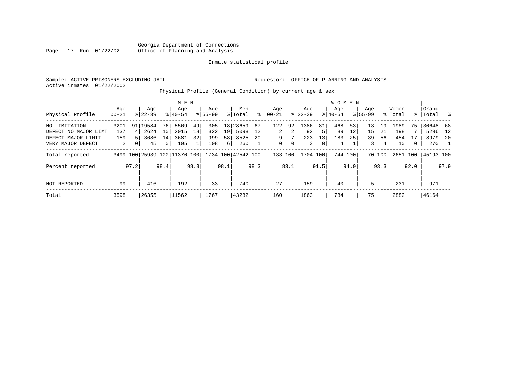|  | Sample: ACTIVE PRISONERS EXCLUDING JAIL | Requestor: OFFICE OF PLANNING AND ANALYSIS |  |  |
|--|-----------------------------------------|--------------------------------------------|--|--|
|  | Active inmates 01/22/2002               |                                            |  |  |

# Physical Profile (General Condition) by current age & sex

|                      |          |          |                              |                | M E N     |      |             |      |                    |      |          |      |             |      | <b>WOMEN</b> |         |             |        |         |      |           |               |
|----------------------|----------|----------|------------------------------|----------------|-----------|------|-------------|------|--------------------|------|----------|------|-------------|------|--------------|---------|-------------|--------|---------|------|-----------|---------------|
|                      | Age      |          | Age                          |                | Age       |      | Age         |      | Men                |      | Age      |      | Aqe         |      | Aqe          |         | Age         |        | Women   |      | Grand     |               |
| Physical Profile     | $ 00-21$ |          | $8122 - 39$                  |                | $8 40-54$ |      | $8155 - 99$ |      | % Total            | ႜ    | $ 00-21$ |      | $8$   22-39 |      | $8 40-54$    |         | $8155 - 99$ |        | % Total |      | %   Total | $\frac{8}{6}$ |
| NO LIMITATION        | 3201     | 91       | 19584                        | 76             | 5569      | 49   | 305         |      | 18 28659           | 67   | 122      | 92   | 1386        | 81   | 468          | 63      | 13          | 19     | 1989    | 75   | 30648     | 68            |
| DEFECT NO MAJOR LIMT | 137      | 4        | 2624                         | 10             | 2015      | 18   | 322         | 19   | 5098               | 12   | 2        | 2    | 92          | 5    | 89           | 12      | 15          | 21     | 198     |      | 5296      | 12            |
| DEFECT MAJOR LIMIT   | 159      |          | 3686                         | 14             | 3681      | 32   | 999         | 58   | 8525               | 20   | 9        |      | 223         | 13   | 183          | 25      | 39          | 56     | 454     | 17   | 8979      | -20           |
| VERY MAJOR DEFECT    | 2        | $\Omega$ | 45                           | 0 <sup>1</sup> | 105       |      | 108         | 6    | 260                |      | 0        | 0    | 3           | 0    | 4            |         | 3           | 4      | 10      | 0    | 270       |               |
| Total reported       |          |          | 3499 100 25939 100 11370 100 |                |           |      |             |      | 1734 100 42542 100 |      | 133      | 100  | 1704        | 100  |              | 744 100 |             | 70 100 | 2651    | 100  | 45193 100 |               |
| Percent reported     |          | 97.2     |                              | 98.4           |           | 98.3 |             | 98.1 |                    | 98.3 |          | 83.1 |             | 91.5 |              | 94.9    |             | 93.3   |         | 92.0 |           | 97.9          |
| NOT REPORTED         | 99       |          | 416                          |                | 192       |      | 33          |      | 740                |      | 27       |      | 159         |      | 40           |         | 5           |        | 231     |      | 971       |               |
| Total                | 3598     |          | 26355                        |                | 11562     |      | 1767        |      | 43282              |      | 160      |      | 1863        |      | 784          |         | 75          |        | 2882    |      | 46164     |               |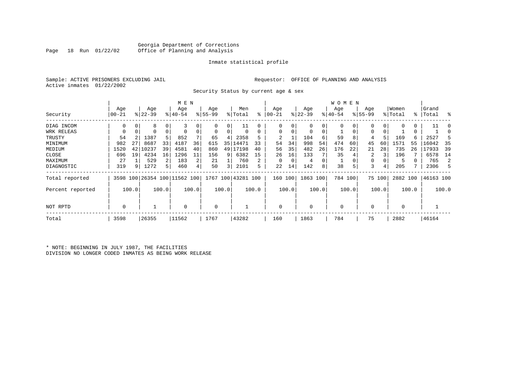# Georgia Department of Corrections<br>Page 18 Run 01/22/02 Office of Planning and Analysis Office of Planning and Analysis

#### Inmate statistical profile

|  | Sample: ACTIVE PRISONERS EXCLUDING JAII |  |
|--|-----------------------------------------|--|
|  | Active inmates 01/22/2002               |  |

L Sample: ACTIVE PRISONERS EXCLUDING AND ANALYSIS

Security Status by current age & sex

|                  |                  |       |                  |       | M E N                        |       |                  |       |                    |       |                  |       |                  |       | W O M E N        |       |                    |        |                  |               |                |        |
|------------------|------------------|-------|------------------|-------|------------------------------|-------|------------------|-------|--------------------|-------|------------------|-------|------------------|-------|------------------|-------|--------------------|--------|------------------|---------------|----------------|--------|
| Security         | Age<br>$00 - 21$ |       | Age<br>$ 22-39 $ |       | Age<br>$8 40-54$             |       | Age<br>$8 55-99$ |       | Men<br>% Total     | ៖     | Age<br>$00 - 21$ |       | Age<br>$ 22-39 $ |       | Age<br>$ 40-54 $ |       | Age<br>$8155 - 99$ |        | Women<br>% Total | $\frac{1}{6}$ | Grand<br>Total | း      |
|                  |                  |       |                  |       |                              |       |                  |       |                    |       |                  |       |                  |       |                  |       |                    |        |                  |               |                |        |
| DIAG INCOM       | 0                |       | 8                | 0     |                              |       | $\Omega$         | 0     | 11                 |       | 0                |       | 0                | 0     |                  |       | 0                  |        |                  |               | 11             | $\cap$ |
| WRK RELEAS       | 0                |       | $\Omega$         | 0     | $\Omega$                     |       | $\mathbf 0$      | 0     |                    |       | 0                |       | $\mathbf 0$      | 0     |                  | 0     | 0                  |        |                  | 0             |                |        |
| TRUSTY           | 54               |       | 1387             | 5     | 852                          |       | 65               | 4     | 2358               |       |                  |       | 104              | 6     | 59               | 8     | 4                  |        | 169              | 6             | 2527           |        |
| MINIMUM          | 982              | 27    | 8687             | 33    | 4187                         | 36    | 615              | 35    | 14471              | 33    | 54               | 34    | 998              | 54    | 474              | 60    | 45                 | 60     | 1571             | 55            | 16042          | 35     |
| MEDIUM           | 1520             | 42    | 10237            | 39    | 4581                         | 40    | 860              | 49 l  | 17198              | 40    | 56               | 35    | 482              | 26    | 176              | 22    | 21                 | 28     | 735              | 26            | 17933          | 39     |
| CLOSE            | 696              | 19    | 4234             | 16    | 1296                         | 11    | 156              | 9     | 6382               | 15    | 26               | 16    | 133              |       | 35               |       | 2                  |        | 196              |               | 6578           | 14     |
| MAXIMUM          | 27               |       | 529              | 2     | 183                          | 2     | 21               |       | 760                |       | 0                |       | 4                | 0     |                  |       | 0                  |        | 5                |               | 765            | 2      |
| DIAGNOSTIC       | 319              | 9     | 1272             | 5     | 460                          | 4     | 50               | 3     | 2101               | 5     | 22               | 14    | 142              | 8     | 38               | 5     | 3                  | 4      | 205              |               | 2306           | .5     |
| Total reported   |                  |       |                  |       | 3598 100 26354 100 11562 100 |       |                  |       | 1767 100 43281 100 |       | 160              | 100   | 1863 100         |       | 784 100          |       |                    | 75 100 | 2882 100         |               | 46163 100      |        |
| Percent reported |                  | 100.0 |                  | 100.0 |                              | 100.0 |                  | 100.0 |                    | 100.0 |                  | 100.0 |                  | 100.0 |                  | 100.0 |                    | 100.0  |                  | 100.0         |                | 100.0  |
| NOT RPTD         | 0                |       |                  |       | $\mathbf 0$                  |       | 0                |       |                    |       | $\Omega$         |       | $\mathbf 0$      |       | $\Omega$         |       | $\Omega$           |        | $\mathbf 0$      |               |                |        |
| Total            | 3598             |       | 26355            |       | 11562                        |       | 1767             |       | 43282              |       | 160              |       | 1863             |       | 784              |       | 75                 |        | 2882             |               | 46164          |        |

\* NOTE: BEGINNING IN JULY 1987, THE FACILITIES DIVISION NO LONGER CODED INMATES AS BEING WORK RELEASE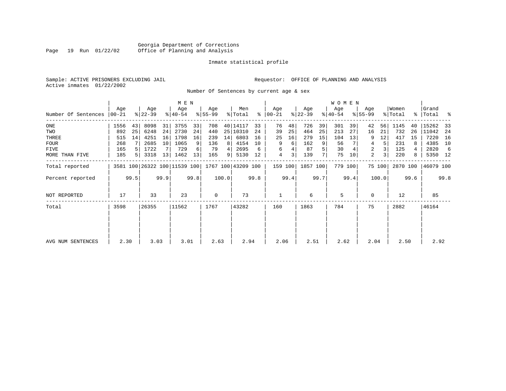### Georgia Department of Corrections<br>Page 19 Run 01/22/02 Office of Planning and Analysis Page 19 Run 01/22/02 Office of Planning and Analysis

#### Inmate statistical profile

Active inmates 01/22/2002

Sample: ACTIVE PRISONERS EXCLUDING JAIL **Requestor:** OFFICE OF PLANNING AND ANALYSIS

Number Of Sentences by current age & sex

|                     |                |                |                              |      | M E N              |      |                  |       |                    |      |                      |      |                  |      | W O M E N        |         |                    |        |                  |      |                    |      |
|---------------------|----------------|----------------|------------------------------|------|--------------------|------|------------------|-------|--------------------|------|----------------------|------|------------------|------|------------------|---------|--------------------|--------|------------------|------|--------------------|------|
| Number Of Sentences | Age<br>  00-21 |                | Age<br>$ 22-39 $             |      | Age<br>$8140 - 54$ |      | Age<br>$8 55-99$ |       | Men<br>% Total     |      | Age<br>$8   00 - 21$ |      | Age<br>$ 22-39 $ |      | Age<br>$8 40-54$ |         | Age<br>$8155 - 99$ |        | Women<br>% Total |      | Grand<br>%   Total | ႜ    |
|                     |                |                |                              |      |                    |      |                  |       |                    |      |                      |      |                  |      |                  |         |                    |        |                  |      |                    |      |
| $_{\rm ONE}$        | 1556           | 43             | 8098                         | 31   | 3755               | 33   | 708              |       | 40 14117           | 33   | 76                   | 48   | 726              | 39   | 301              | 39      | 42                 | 56     | 1145             | 40   | 15262              | 33   |
| TWO                 | 892            | 25             | 6248                         | 24   | 2730               | 24   | 440              |       | 25 10310           | 24   | 39                   | 25   | 464              | 25   | 213              | 27      | 16                 | 21     | 732              | 26   | 11042              | - 24 |
| THREE               | 515            | 14             | 4251                         | 16   | 1798               | 16   | 239              | 14    | 6803               | 16   | 25                   | 16   | 279              | 15   | 104              | 13      | 9                  | 12     | 417              | 15   | 7220               | 16   |
| <b>FOUR</b>         | 268            |                | 2685                         | 10   | 1065               | 9    | 136              | 8     | 4154               | 10   | 9                    | 6    | 162              | 9    | 56               |         | 4                  | 5      | 231              | 8    | 4385               | 10   |
| FIVE                | 165            | .5             | 1722                         |      | 729                | 6    | 79               | 4     | 2695               | 6    | 6                    |      | 87               | 5    | 30               |         | $\overline{a}$     | 3      | 125              |      | 2820               | 6    |
| MORE THAN FIVE      | 185            | 5 <sup>1</sup> | 3318                         | 13   | 1462               | 13   | 165              | 9     | 5130               | 12   | 4                    | 3    | 139              |      | 75               | 10      | 2                  | 3      | 220              | 8    | 5350               | 12   |
| Total reported      |                |                | 3581 100 26322 100 11539 100 |      |                    |      |                  |       | 1767 100 43209 100 |      | 159                  | 100  | 1857 100         |      |                  | 779 100 |                    | 75 100 | 2870 100         |      | 46079 100          |      |
| Percent reported    |                | 99.5           |                              | 99.9 |                    | 99.8 |                  | 100.0 |                    | 99.8 |                      | 99.4 |                  | 99.7 |                  | 99.4    |                    | 100.0  |                  | 99.6 |                    | 99.8 |
| <b>NOT REPORTED</b> | 17             |                | 33                           |      | 23                 |      | $\mathbf 0$      |       | 73                 |      |                      |      | 6                |      | 5                |         | 0                  |        | 12               |      | 85                 |      |
| Total               | 3598           |                | 26355                        |      | 11562              |      | 1767             |       | 43282              |      | 160                  |      | 1863             |      | 784              |         | 75                 |        | 2882             |      | 46164              |      |
|                     |                |                |                              |      |                    |      |                  |       |                    |      |                      |      |                  |      |                  |         |                    |        |                  |      |                    |      |
|                     |                |                |                              |      |                    |      |                  |       |                    |      |                      |      |                  |      |                  |         |                    |        |                  |      |                    |      |
| AVG NUM SENTENCES   | 2.30           |                | 3.03                         |      | 3.01               |      | 2.63             |       | 2.94               |      | 2.06                 |      | 2.51             |      | 2.62             |         | 2.04               |        | 2.50             |      | 2.92               |      |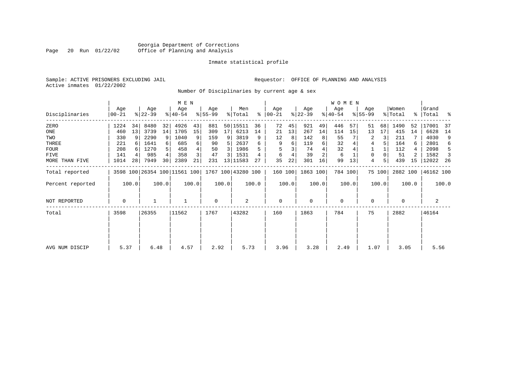### Georgia Department of Corrections<br>Page 20 Run 01/22/02 Office of Planning and Analysis Page 20 Run 01/22/02 Office of Planning and Analysis

#### Inmate statistical profile

Active inmates 01/22/2002

Sample: ACTIVE PRISONERS EXCLUDING JAIL **Requestor:** OFFICE OF PLANNING AND ANALYSIS

Number Of Disciplinaries by current age & sex

|                     |                   |       |                  |       | M E N                        |       |                  |       |                    |       |                  |       |                  |       | WOMEN            |         |                  |        |                  |       |                 |       |
|---------------------|-------------------|-------|------------------|-------|------------------------------|-------|------------------|-------|--------------------|-------|------------------|-------|------------------|-------|------------------|---------|------------------|--------|------------------|-------|-----------------|-------|
| Disciplinaries      | Age<br>$ 00 - 21$ |       | Age<br>$ 22-39 $ |       | Age<br>$ 40-54 $             |       | Age<br>$ 55-99 $ |       | Men<br>% Total     | ៖     | Aqe<br>$ 00-21 $ |       | Age<br>$ 22-39 $ |       | Age<br>$ 40-54 $ |         | Age<br>$ 55-99 $ |        | Women<br>% Total | ႜႂ    | Grand<br> Total | ႜ     |
| ZERO                | 1224              | 34    | 8480             | 32    | 4926                         | 43    | 881              |       | 50 15511           | 36    | 72               | 45    | 921              | 49    | 446              | 57      | 51               | 68     | 1490             | 52    | 17001           | 37    |
| ONE                 | 460               | 13    | 3739             | 14    | 1705                         | 15    | 309              | 17    | 6213               | 14    | 21               | 13    | 267              | 14    | 114              | 15      | 13               | 17     | 415              | 14    | 6628            | 14    |
| TWO                 | 330               | 9     | 2290             | 9     | 1040                         | 9     | 159              | 9     | 3819               | 9     | 12               | 8     | 142              | 8     | 55               |         | 2                | 3      | 211              |       | 4030            | 9     |
| THREE               | 221               |       | 1641             |       | 685                          | 6     | 90               | 5     | 2637               | 6     | 9                | 6     | 119              | 6     | 32               |         | 4                |        | 164              | 6     | 2801            | 6     |
| <b>FOUR</b>         | 208               |       | 1270             |       | 458                          | 4     | 50               | 3     | 1986               |       | 5                |       | 74               |       | 32               |         |                  |        | 112              | 4     | 2098            | 5     |
| FIVE                | 141               |       | 985              |       | 358                          |       | 47               | 3     | 1531               |       | 6                |       | 39               |       | 6                |         | 0                |        | 51               |       | 1582            |       |
| MORE THAN FIVE      | 1014              | 28    | 7949             | 30    | 2389                         | 21    | 231              |       | 13 11583           | 27    | 35               | 22    | 301              | 16    | 99               | 13      | 4                | 5      | 439              | 15    | 12022           | - 26  |
| Total reported      |                   |       |                  |       | 3598 100 26354 100 11561 100 |       |                  |       | 1767 100 43280 100 |       | 160 100          |       | 1863 100         |       |                  | 784 100 |                  | 75 100 | 2882 100         |       | 46162 100       |       |
| Percent reported    |                   | 100.0 |                  | 100.0 |                              | 100.0 |                  | 100.0 |                    | 100.0 |                  | 100.0 |                  | 100.0 |                  | 100.0   |                  | 100.0  |                  | 100.0 |                 | 100.0 |
| <b>NOT REPORTED</b> | 0                 |       |                  |       |                              |       | $\mathbf 0$      |       | 2                  |       | $\mathbf 0$      |       | $\Omega$         |       | 0                |         | 0                |        | 0                |       | 2               |       |
| Total               | 3598              |       | 26355            |       | 11562                        |       | 1767             |       | 43282              |       | 160              |       | 1863             |       | 784              |         | 75               |        | 2882             |       | 46164           |       |
|                     |                   |       |                  |       |                              |       |                  |       |                    |       |                  |       |                  |       |                  |         |                  |        |                  |       |                 |       |
|                     |                   |       |                  |       |                              |       |                  |       |                    |       |                  |       |                  |       |                  |         |                  |        |                  |       |                 |       |
| AVG NUM DISCIP      | 5.37              |       | 6.48             |       | 4.57                         |       | 2.92             |       | 5.73               |       | 3.96             |       | 3.28             |       | 2.49             |         | 1.07             |        | 3.05             |       | 5.56            |       |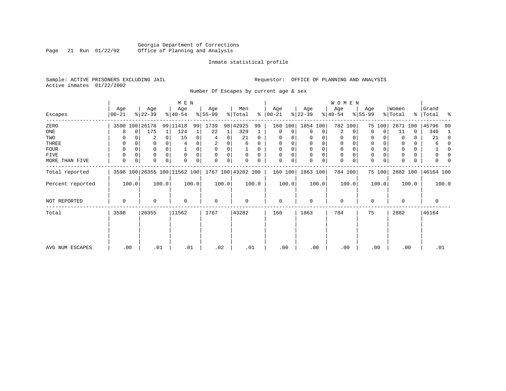### Georgia Department of Corrections<br>Page 21 Run 01/22/02 Office of Planning and Analysis Page 21 Run 01/22/02 Office of Planning and Analysis

#### Inmate statistical profile

Active inmates 01/22/2002

Sample: ACTIVE PRISONERS EXCLUDING JAIL **Requestor:** OFFICE OF PLANNING AND ANALYSIS

Number Of Escapes by current age & sex

|                  |                |   |                  |          | M E N                        |       |                  |       |                    |          |                   |       |                  |       | <b>WOMEN</b>     |          |                  |                |                  |       |                |          |
|------------------|----------------|---|------------------|----------|------------------------------|-------|------------------|-------|--------------------|----------|-------------------|-------|------------------|-------|------------------|----------|------------------|----------------|------------------|-------|----------------|----------|
| Escapes          | Age<br>  00-21 |   | Age<br>$ 22-39 $ |          | Age<br>$8 40-54$             |       | Age<br>$ 55-99 $ |       | Men<br>% Total     | နွ       | Age<br>$ 00 - 21$ |       | Age<br>$ 22-39 $ |       | Age<br>$ 40-54 $ |          | Age<br>$8 55-99$ |                | Women<br>% Total | ႜႜၟ   | Grand<br>Total | ႜ        |
| ZERO             | 3590 100 26178 |   |                  |          | 99 11418                     | 99    | 1739             |       | 98 42925           | 99       | 160               | 100   | 1854 100         |       | 782 100          |          |                  | 75 100         | 2871             | 100   | 45796          | 99       |
| ONE              | 8              | 0 | 175              |          | 124                          |       | 22               |       | 329                |          | 0                 | 0     | 9                | 0     | 2                | $\Omega$ | $\Omega$         | $\Omega$       | 11               | 0     | 340            |          |
| TWO              | 0              |   | 2                | $\Omega$ | 15                           | 0     | 4                | 0     | 21                 | $\Omega$ | $\Omega$          |       |                  | 0     | 0                |          | 0                |                | 0                | 0     | 21             | $\Omega$ |
| THREE            | 0              |   | 0                |          |                              |       | 2                | 0     | 6                  | 0        | 0                 |       | 0                | 0     | 0                |          | 0                |                | 0                | 0     | 6              |          |
| <b>FOUR</b>      | 0              |   | 0                | $\Omega$ |                              |       | $\Omega$         | 0     |                    | 0        | $\Omega$          |       | $\Omega$         | 0     | $\Omega$         |          | $\Omega$         |                | $\Omega$         | 0     |                |          |
| FIVE             | 0              |   | 0                | $\Omega$ | $\Omega$                     |       | $\Omega$         | 0     | $\Omega$           | $\Omega$ | $\Omega$          | 0     | $\Omega$         | 0     | $\mathbf 0$      |          | $\Omega$         |                |                  | 0     |                |          |
| MORE THAN FIVE   | 0              | 0 | $\Omega$         | $\Omega$ | $\Omega$                     | 0     | $\Omega$         | 0     |                    | 0        | $\Omega$          | 0     | $\Omega$         | 0     | $\mathbf 0$      |          | $\Omega$         | 0 <sup>1</sup> |                  | 0     |                |          |
| Total reported   |                |   |                  |          | 3598 100 26355 100 11562 100 |       |                  |       | 1767 100 43282 100 |          | 160 100           |       | 1863 100         |       | 784 100          |          |                  | 75 100         | 2882 100         |       | 46164 100      |          |
| Percent reported | 100.0          |   |                  | 100.0    |                              | 100.0 |                  | 100.0 |                    | 100.0    |                   | 100.0 |                  | 100.0 |                  | 100.0    |                  | 100.0          |                  | 100.0 | 100.0          |          |
| NOT REPORTED     | 0              |   | 0                |          | $\Omega$                     |       | $\mathbf 0$      |       | 0                  |          | $\mathbf 0$       |       | $\Omega$         |       | $\mathbf 0$      |          | $\Omega$         |                | $\mathbf 0$      |       | 0              |          |
| Total            | 3598           |   | 26355            |          | 11562                        |       | 1767             |       | 43282              |          | 160               |       | 1863             |       | 784              |          | 75               |                | 2882             |       | 46164          |          |
|                  |                |   |                  |          |                              |       |                  |       |                    |          |                   |       |                  |       |                  |          |                  |                |                  |       |                |          |
| AVG NUM ESCAPES  | .00            |   | .01              |          | .01                          |       | .02              |       | .01                |          | .00               |       | .00              |       | .00              |          | .00              |                | .00              |       | .01            |          |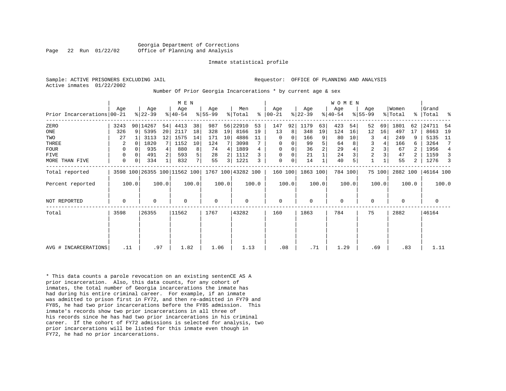PLANNING AND ANALYSIS

|  | Sample: ACTIVE PRISONERS EXCLUDING JAIL | Requestor: OFFICE OF |  |
|--|-----------------------------------------|----------------------|--|
|  | Active inmates 01/22/2002               |                      |  |

#### Number Of Prior Georgia Incarcerations \* by current age & sex

|                            |             |          |           |       | M E N                        |                |           |       |                    |       |               |                |             |                | WOMEN       |       |                |        |          |                |             |                |
|----------------------------|-------------|----------|-----------|-------|------------------------------|----------------|-----------|-------|--------------------|-------|---------------|----------------|-------------|----------------|-------------|-------|----------------|--------|----------|----------------|-------------|----------------|
|                            | Aqe         |          | Age       |       | Age                          |                | Age       |       | Men                |       | Aqe           |                | Age         |                | Age         |       | Age            |        | Women    |                | Grand       |                |
| Prior Incarcerations 00-21 |             |          | $ 22-39 $ |       | $ 40-54 $                    |                | $8 55-99$ |       | % Total            |       | $8   00 - 21$ |                | $ 22-39 $   |                | $ 40-54 $   |       | $8 55-99$      |        | % Total  |                | %   Total   | ႜ              |
| ZERO                       | 3243        |          | 90 14267  | 54    | 4413                         | 38             | 987       |       | 56 22910           | 53    | 147           | 92             | 1179        | 63             | 423         | 54    | 52             | 69     | 1801     | 62             | 24711       | -54            |
| ONE                        | 326         | 9        | 5395      | 20    | 2117                         | 18             | 328       | 19    | 8166               | 19    | 13            | 8 <sup>1</sup> | 348         | 19             | 124         | 16    | 12             | 16     | 497      | 17             | 8663        | 19             |
| TWO                        | 27          |          | 3113      | 12    | 1575                         | 14             | 171       | 10    | 4886               | 11    | 0             | 0              | 166         | 9              | 80          | 10    | 3              |        | 249      | 9              | 5135        | 11             |
| THREE                      | 2           | $\Omega$ | 1820      |       | 1152                         | 10             | 124       |       | 3098               |       | 0             | 0              | 99          | 5              | 64          |       | 3              |        | 166      | 6              | 3264        | 7              |
| <b>FOUR</b>                | 0           | $\Omega$ | 935       |       | 880                          | 8              | 74        | 4     | 1889               |       | $\mathbf 0$   |                | 36          | $\overline{2}$ | 29          |       | $\overline{2}$ |        | 67       | 2              | 1956        | $\overline{4}$ |
| <b>FIVE</b>                | $\mathbf 0$ | 0        | 491       |       | 593                          | 5              | 28        |       | 1112               |       | $\mathbf 0$   | 0              | 21          |                | 24          |       | $\overline{c}$ |        | 47       |                | 1159        | 3              |
| MORE THAN FIVE             | $\mathbf 0$ | 0        | 334       |       | 832                          | 7 <sup>1</sup> | 55        | 3     | 1221               | 3     | $\mathbf 0$   | 0              | 14          |                | 40          |       |                |        | 55       | $\overline{2}$ | 1276        | 3              |
| Total reported             |             |          |           |       | 3598 100 26355 100 11562 100 |                |           |       | 1767 100 43282 100 |       | 160 100       |                | 1863 100    |                | 784 100     |       |                | 75 100 | 2882 100 |                | 46164 100   |                |
| Percent reported           |             | 100.0    |           | 100.0 |                              | 100.0          |           | 100.0 |                    | 100.0 |               | 100.0          |             | 100.0          |             | 100.0 |                | 100.0  |          | 100.0          |             | 100.0          |
| <b>NOT REPORTED</b>        | $\mathbf 0$ |          | 0         |       | $\mathbf 0$                  |                | 0         |       | 0                  |       | $\mathbf 0$   |                | $\mathbf 0$ |                | $\mathbf 0$ |       | 0              |        | $\Omega$ |                | $\mathbf 0$ |                |
| Total                      | 3598        |          | 26355     |       | 11562                        |                | 1767      |       | 43282              |       | 160           |                | 1863        |                | 784         |       | 75             |        | 2882     |                | 46164       |                |
|                            |             |          |           |       |                              |                |           |       |                    |       |               |                |             |                |             |       |                |        |          |                |             |                |
|                            |             |          |           |       |                              |                |           |       |                    |       |               |                |             |                |             |       |                |        |          |                |             |                |
| AVG # INCARCERATIONS       | .11         |          | .97       |       | 1.82                         |                | 1.06      |       | 1.13               |       | .08           |                | .71         |                | 1.29        |       | .69            |        | .83      |                | 1.11        |                |

\* This data counts a parole revocation on an existing sentenCE AS A prior incarceration. Also, this data counts, for any cohort of inmates, the total number of Georgia incarcerations the inmate has had during his entire criminal career. For example, if an inmate was admitted to prison first in FY72, and then re-admitted in FY79 and FY85, he had two prior incarcerations before the FY85 admission. This inmate's records show two prior incarcerations in all three of his records since he has had two prior incarcerations in his criminal career. If the cohort of FY72 admissions is selected for analysis, two prior incarcerations will be listed for this inmate even though in FY72, he had no prior incarcerations.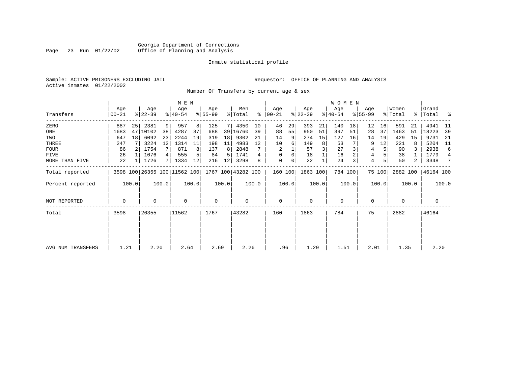### Georgia Department of Corrections<br>Page 23 Run 01/22/02 Office of Planning and Analysis Office of Planning and Analysis

#### Inmate statistical profile

Sample: ACTIVE PRISONERS EXCLUDING JAIL **Requestor:** OFFICE OF PLANNING AND ANALYSIS Active inmates 01/22/2002

Number Of Transfers by current age & sex

|                   |                  |       |                              |       | M E N            |       |                 |       |                    |       |                 |       |                  |       | W O M E N        |         |                  |        |                  |       |                      |       |
|-------------------|------------------|-------|------------------------------|-------|------------------|-------|-----------------|-------|--------------------|-------|-----------------|-------|------------------|-------|------------------|---------|------------------|--------|------------------|-------|----------------------|-------|
| Transfers         | Age<br>$00 - 21$ |       | Age<br>$ 22-39 $             |       | Age<br>$ 40-54 $ |       | Age<br>$ 55-99$ |       | Men<br>% Total     | ွေ    | Age<br>$ 00-21$ |       | Age<br>$ 22-39 $ |       | Aqe<br>$ 40-54 $ |         | Age<br>$8 55-99$ |        | Women<br>% Total |       | Grand<br>%   Total % |       |
| ZERO              | 887              | 25    | 2381                         | 9     | 957              | 8     | 125             |       | 4350               | 10    | 46              | 29    | 393              | 21    | 140              | 18      | 12               | 16     | 591              | 21    | 4941                 | -11   |
| ONE               | 1683             | 47    | 10102                        | 38    | 4287             | 37    | 688             |       | 39 16760           | 39    | 88              | 55    | 950              | 51    | 397              | 51      | 28               | 37     | 1463             | 51    | 18223                | -39   |
| TWO               | 647              | 18    | 6092                         | 23    | 2244             | 19    | 319             | 18    | 9302               | 21    | 14              | 9     | 274              | 15    | 127              | 16      | 14               | 19     | 429              | 15    | 9731                 | 21    |
| THREE             | 247              |       | 3224                         | 12    | 1314             | 11    | 198             | 11    | 4983               | 12    | 10              | 6     | 149              | 8     | 53               |         | 9                | 12     | 221              |       | 5204                 | - 11  |
| <b>FOUR</b>       | 86               |       | 1754                         |       | 871              | 8     | 137             | 8     | 2848               |       | 2               |       | 57               |       | 27               |         | 4                |        | 90               |       | 2938                 | 6     |
| FIVE              | 26               |       | 1076                         |       | 555              |       | 84              | 5     | 1741               |       | 0               | 0     | 18               |       | 16               |         | 4                |        | 38               |       | 1779                 | 4     |
| MORE THAN FIVE    | 22               |       | 1726                         | 7     | 1334             | 12    | 216             | 12    | 3298               | 8     | 0               | 0     | 22               |       | 24               | 3       | 4                | 5      | 50               | 2     | 3348                 | 7     |
| Total reported    |                  |       | 3598 100 26355 100 11562 100 |       |                  |       |                 |       | 1767 100 43282 100 |       | 160 100         |       | 1863 100         |       |                  | 784 100 |                  | 75 100 | 2882 100         |       | 46164 100            |       |
| Percent reported  |                  | 100.0 |                              | 100.0 |                  | 100.0 |                 | 100.0 |                    | 100.0 |                 | 100.0 |                  | 100.0 |                  | 100.0   |                  | 100.0  |                  | 100.0 |                      | 100.0 |
| NOT REPORTED      | 0                |       | 0                            |       | $\mathbf 0$      |       | $\mathbf 0$     |       | 0                  |       | $\mathbf 0$     |       | 0                |       | $\mathbf 0$      |         | 0                |        | $\mathbf 0$      |       | $\mathbf 0$          |       |
| Total             | 3598             |       | 26355                        |       | 11562            |       | 1767            |       | 43282              |       | 160             |       | 1863             |       | 784              |         | 75               |        | 2882             |       | 46164                |       |
|                   |                  |       |                              |       |                  |       |                 |       |                    |       |                 |       |                  |       |                  |         |                  |        |                  |       |                      |       |
|                   | 1.21             |       |                              |       |                  |       | 2.69            |       | 2.26               |       | .96             |       | 1.29             |       | 1.51             |         |                  |        | 1.35             |       | 2.20                 |       |
| AVG NUM TRANSFERS |                  |       | 2.20                         |       | 2.64             |       |                 |       |                    |       |                 |       |                  |       |                  |         | 2.01             |        |                  |       |                      |       |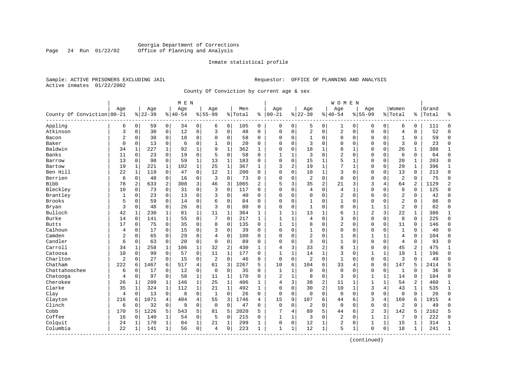# Georgia Department of Corrections<br>Page 24 Run 01/22/02 Office of Planning and Analysis Page 24 Run 01/22/02 Office of Planning and Analysis

#### Inmate statistical profile

|  |                           | Sample: ACTIVE PRISONERS EXCLUDING JAIL |  |
|--|---------------------------|-----------------------------------------|--|
|  | Active inmates 01/22/2002 |                                         |  |

Requestor: OFFICE OF PLANNING AND ANALYSIS

County Of Conviction by current age & sex

|                            |                |              |           |                | M E N     |                |                |              |           |              |                |              |                |                | <b>WOMEN</b>   |                |                |              |                |               |       |                |
|----------------------------|----------------|--------------|-----------|----------------|-----------|----------------|----------------|--------------|-----------|--------------|----------------|--------------|----------------|----------------|----------------|----------------|----------------|--------------|----------------|---------------|-------|----------------|
|                            | Age            |              | Age       |                | Age       |                | Age            |              | Men       |              | Age            |              | Age            |                | Age            |                | Age            |              | Women          |               | Grand |                |
| County Of Conviction 00-21 |                |              | $8 22-39$ |                | $8 40-54$ |                | $8 55-99$      |              | %   Total | ႜ            | $ 00 - 21$     |              | $ 22-39$       |                | $8140 - 54$    |                | $8155 - 99$    |              | % Total        | $\frac{1}{6}$ | Total | န္             |
| Appling                    | 6              | 0            | 59        | $\overline{0}$ | 34        | $\overline{0}$ | 6              | 0            | 105       | 0            | 0              | 0            | 5              | 0              | 1              | 0              | 0              | 0            | 6              | 0             | 111   | $\Omega$       |
| Atkinson                   | 3              | 0            | 30        | $\overline{0}$ | 12        | 0              | 3              | $\mathbf 0$  | 48        | 0            | 0              | 0            | 2              | 0              | 2              | $\mathbf 0$    | 0              | $\mathbf 0$  | $\overline{4}$ | 0             | 52    | $\Omega$       |
| Bacon                      | $\overline{2}$ | 0            | 38        | $\mathbf 0$    | 18        | 0              | $\Omega$       | $\mathbf 0$  | 58        | $\Omega$     | $\Omega$       | 0            | $\mathbf{1}$   | $\Omega$       | $\Omega$       | $\mathbf 0$    | $\Omega$       | $\Omega$     | $\mathbf{1}$   | $\Omega$      | 59    | $\Omega$       |
| Baker                      | $\Omega$       | $\Omega$     | 13        | $\mathbf 0$    | 6         | 0              | $\mathbf{1}$   | $\Omega$     | 20        | $\Omega$     | $\Omega$       | $\Omega$     | 3              | $\Omega$       | $\Omega$       | $\mathbf 0$    | $\Omega$       | $\Omega$     | $\overline{3}$ | $\Omega$      | 23    | $\Omega$       |
| Baldwin                    | 34             | 1            | 227       | 1              | 92        | 1              | $\mathsf{Q}$   | $\mathbf{1}$ | 362       | 1            | $\Omega$       | 0            | 18             | 1              | 8              | $\mathbf{1}$   | $\Omega$       | $\Omega$     | 26             | 1             | 388   | 1              |
| Banks                      | 11             | 0            | 23        | 0              | 19        | 0              | 5              | $\Omega$     | 58        | $\Omega$     | 1              |              | 3              | $\Omega$       | 2              | $\mathbf 0$    | $\Omega$       | $\Omega$     | 6              | $\Omega$      | 64    | $\Omega$       |
| Barrow                     | 13             | $\Omega$     | 98        | $\mathbf 0$    | 59        | 1              | 13             | 1            | 183       | $\Omega$     | $\mathbf{0}$   | 0            | 15             | 1              | 5              | 1              | $\Omega$       | $\mathbf 0$  | 20             | 1             | 203   | $\Omega$       |
| Bartow                     | 19             | $\mathbf{1}$ | 221       | $\mathbf{1}$   | 102       | $\mathbf{1}$   | 25             | $\mathbf{1}$ | 367       | $\mathbf{1}$ | 3              | 2            | 19             | 1              | 7              | $\mathbf{1}$   | $\Omega$       | $\Omega$     | 29             | $\mathbf{1}$  | 396   | $\mathbf{1}$   |
| Ben Hill                   | 22             | $\mathbf{1}$ | 119       | $\mathbf 0$    | 47        | $\Omega$       | 12             | $\mathbf{1}$ | 200       | $\Omega$     | $\Omega$       | 0            | 10             | 1              | 3              | $\mathbf 0$    | $\Omega$       | $\Omega$     | 13             | $\Omega$      | 213   | $\Omega$       |
| Berrien                    | 6              | 0            | 48        | $\mathbf 0$    | 16        | 0              | 3              | $\Omega$     | 73        | $\Omega$     | $\Omega$       | $\Omega$     | $\overline{2}$ | $\Omega$       | $\Omega$       | $\mathbf 0$    | $\Omega$       | $\Omega$     | $\overline{2}$ | $\Omega$      | 75    | $\Omega$       |
| <b>Bibb</b>                | 78             | 2            | 633       | 2              | 308       | 3              | 46             | 3            | 1065      | 2            | 5              | 3            | 35             | $\overline{c}$ | 21             | 3              | 3              | 4            | 64             | 2             | 1129  | $\overline{2}$ |
| Bleckley                   | 10             | $\Omega$     | 73        | 0              | 31        | 0              | 3              | $\Omega$     | 117       | O            | $\Omega$       | O            | 4              | $\Omega$       | $\overline{4}$ | $\mathbf{1}$   | $\Omega$       | $\Omega$     | 8              | $\Omega$      | 125   | $\Omega$       |
| Brantley                   | 1              | $\Omega$     | 23        | 0              | 13        | 0              | 3              | $\Omega$     | 40        | $\Omega$     | $\Omega$       | 0            | $\mathbf 0$    | $\Omega$       | 2              | $\Omega$       | $\Omega$       | $\Omega$     | $\overline{2}$ | 0             | 42    | $\Omega$       |
| Brooks                     | 5              | 0            | 59        | $\mathbf 0$    | 14        | 0              | 6              | $\mathbf 0$  | 84        | $\Omega$     | $\Omega$       | 0            | 1              | 0              | 1              | $\mathbf 0$    | 0              | 0            | $\overline{2}$ | 0             | 86    | $\Omega$       |
| Bryan                      | 3              | 0            | 48        | $\mathbf 0$    | 26        | 0              | 3              | $\Omega$     | 80        | $\Omega$     | $\Omega$       | 0            | $\mathbf{1}$   | $\Omega$       | $\Omega$       | $\Omega$       | 1              | 1            | $\overline{2}$ | 0             | 82    | $\Omega$       |
| Bulloch                    | 42             | 1            | 230       | $\mathbf{1}$   | 81        | $\mathbf 1$    | 11             | 1            | 364       | $\mathbf{1}$ | $\mathbf{1}$   | $\mathbf{1}$ | 13             | $\mathbf{1}$   | 6              | 1              | $\overline{2}$ | 3            | 22             | $\mathbf{1}$  | 386   | $\mathbf{1}$   |
| Burke                      | 14             | $\Omega$     | 141       | 1              | 55        | 0              | 7              | $\Omega$     | 217       | 1            | $\mathbf{1}$   | 1            | 4              | $\Omega$       | 3              | $\mathbf 0$    | 0              | 0            | 8              | $\mathbf 0$   | 225   | $\Omega$       |
| <b>Butts</b>               | 17             | $\Omega$     | 75        | 0              | 35        | 0              | 8              | $\Omega$     | 135       | $\Omega$     | $\mathbf{1}$   | 1            | 8              | $\Omega$       | $\overline{2}$ | $\Omega$       | $\Omega$       | $\Omega$     | 11             | $\Omega$      | 146   | $\Omega$       |
| Calhoun                    | 4              | $\Omega$     | 17        | $\Omega$       | 15        | 0              | 3              | $\Omega$     | 39        | $\Omega$     | $\Omega$       | 0            | 1              | $\Omega$       | $\Omega$       | $\Omega$       | $\Omega$       | $\Omega$     | $\mathbf{1}$   | 0             | 40    | ∩              |
| Camden                     | 2              | 0            | 65        | 0              | 29        | 0              | 4              | $\mathbf 0$  | 100       | $\Omega$     | $\Omega$       | 0            | $\overline{2}$ | 0              | 1              | $\mathbf 0$    | 1              | $\mathbf{1}$ | $\overline{4}$ | 0             | 104   | $\Omega$       |
| Candler                    | 6              | 0            | 63        | $\mathbf 0$    | 20        | 0              | $\Omega$       | $\mathbf 0$  | 89        | $\Omega$     | $\Omega$       | O            | $\overline{3}$ | $\Omega$       | $\mathbf{1}$   | $\Omega$       | $\Omega$       | $\mathbf 0$  | $\overline{4}$ | 0             | 93    | $\Omega$       |
| Carroll                    | 34             | 1            | 258       | $\mathbf{1}$   | 106       | 1              | 32             | 2            | 430       | $\mathbf{1}$ | 4              | 3            | 33             | $\overline{2}$ | 8              | $\mathbf 1$    | $\mathbf 0$    | $\Omega$     | 45             | 2             | 475   | $\mathbf{1}$   |
| Catoosa                    | 10             | 0            | 99        | $\Omega$       | 57        | 0              | 11             | $\mathbf 1$  | 177       | $\Omega$     | $\mathbf{1}$   | 1            | 14             | $\mathbf{1}$   | 3              | $\mathbf 0$    | $\mathbf{1}$   | 1            | 19             | 1             | 196   | $\Omega$       |
| Charlton                   | 2              | $\Omega$     | 27        | $\Omega$       | 15        | 0              | $\overline{2}$ | $\Omega$     | 46        | $\Omega$     | $\mathbf 0$    | $\Omega$     | $\overline{2}$ | $\Omega$       | $\mathbf{1}$   | $\Omega$       | $\Omega$       | $\Omega$     | 3              | $\Omega$      | 49    |                |
| Chatham                    | 222            | 6            | 1467      | 6              | 517       | 4              | 61             | 3            | 2267      | 5            | 10             | б.           | 104            | 6              | 33             | $\overline{4}$ | $\Omega$       | $\mathbf 0$  | 147            | 5             | 2414  | 5              |
| Chattahoochee              | 6              | 0            | 17        | $\mathbf 0$    | 12        | 0              | $\mathbf 0$    | $\mathbf 0$  | 35        | 0            | $\mathbf{1}$   | $\mathbf 1$  | $\mathbf{0}$   | 0              | $\mathbf 0$    | $\mathbf 0$    | 0              | $\mathbf 0$  | 1              | $\Omega$      | 36    | $\Omega$       |
| Chatooga                   | 4              | 0            | 97        | $\mathbf 0$    | 58        | 1              | 11             | $\mathbf 1$  | 170       | $\Omega$     | $\overline{2}$ | $\mathbf{1}$ | 8              | 0              | 3              | $\mathbf 0$    | 1              | $\mathbf{1}$ | 14             | $\Omega$      | 184   | $\Omega$       |
| Cherokee                   | 26             | $\mathbf 1$  | 209       | $\mathbf{1}$   | 146       | $\mathbf 1$    | 25             | $\mathbf{1}$ | 406       | $\mathbf{1}$ | 4              | 3            | 38             | $\overline{2}$ | 11             | 1              | $\mathbf{1}$   | $\mathbf{1}$ | 54             | 2             | 460   | $\mathbf{1}$   |
| Clarke                     | 35             | 1            | 324       | $\mathbf 1$    | 112       | $\mathbf 1$    | 21             | $\mathbf 1$  | 492       | $\mathbf{1}$ | $\Omega$       | 0            | 30             | 2              | 10             | 1              | 3              | 4            | 43             | 1             | 535   | 1              |
| Clay                       | 4              | $\Omega$     | 13        | $\mathbf 0$    | 8         | $\Omega$       | $\mathbf{1}$   | $\Omega$     | 26        | $\Omega$     | $\mathbf 0$    | $\Omega$     | $\Omega$       | $\Omega$       | $\Omega$       | $\Omega$       | $\Omega$       | $\Omega$     | $\Omega$       | $\Omega$      | 26    | $\Omega$       |
| Clayton                    | 216            | 6            | 1071      | 4              | 404       | 4              | 55             | 3            | 1746      | 4            | 15             | 9            | 107            | 6              | 44             | 6              | 3              | 4            | 169            | 6             | 1915  |                |
| Clinch                     | 6              | 0            | 32        | $\mathbf 0$    | 9         | 0              | $\mathbf 0$    | $\mathbf 0$  | 47        | $\Omega$     | $\mathbf 0$    | 0            | $\overline{2}$ | 0              | $\mathbf 0$    | $\mathbf 0$    | $\mathbf 0$    | $\mathbf 0$  | $\overline{2}$ | $\Omega$      | 49    | $\Omega$       |
| Cobb                       | 170            | 5            | 1226      | 5              | 543       | 5              | 81             | 5            | 2020      | 5            |                | 4            | 89             | 5              | 44             | 6              | $\overline{2}$ | 3            | 142            | 5             | 2162  | 5              |
| Coffee                     | 16             | 0            | 140       | $\mathbf{1}$   | 54        | 0              | 5              | $\mathbf 0$  | 215       | 0            | $\mathbf{1}$   | $\mathbf{1}$ | 3              | $\mathbf 0$    | 2              | $\mathbf 0$    | $\mathbf{1}$   | $\mathbf{1}$ | 7              | 0             | 222   | $\Omega$       |
| Colquit                    | 24             | 1            | 170       | 1              | 84        | 1              | 21             | 1            | 299       | 1            | $\Omega$       | 0            | 12             | 1              | 2              | $\mathbf 0$    | 1              | 1            | 15             | 1             | 314   | $\mathbf{1}$   |
| Columbia                   | 22             | 1            | 141       | 1              | 56        | $\overline{0}$ | $\overline{4}$ | $\Omega$     | 223       | $\mathbf{1}$ | $\mathbf{1}$   | 1            | 12             | $\mathbf{1}$   | 5              | $\mathbf{1}$   | $\Omega$       | $\mathbf 0$  | 18             | $\mathbf{1}$  | 241   | $\mathbf{1}$   |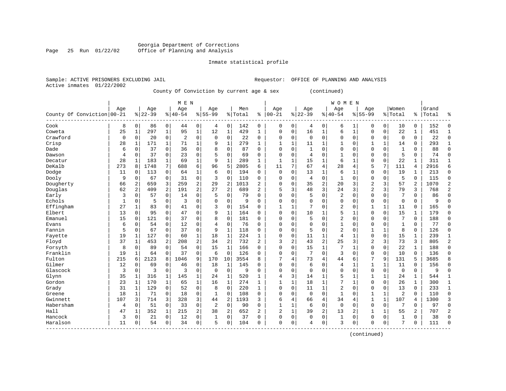# Georgia Department of Corrections<br>Page 25 Run 01/22/02 Office of Planning and Analysis Office of Planning and Analysis

#### Inmate statistical profile

|  | SAMPIC, ACIIVE PRISONERS EACHODING UAIL |  |
|--|-----------------------------------------|--|
|  | Active inmates 01/22/2002               |  |

Sample: ACTIVE PRISONERS EXCLUDING JAIL **Requestor:** OFFICE OF PLANNING AND ANALYSIS

County Of Conviction by current age & sex (continued)

|                            |     |                |           |                | M E N          |                |             |                |           |                |                |                |              |                | <b>WOMEN</b>   |                |                |              |                |              |           |                |
|----------------------------|-----|----------------|-----------|----------------|----------------|----------------|-------------|----------------|-----------|----------------|----------------|----------------|--------------|----------------|----------------|----------------|----------------|--------------|----------------|--------------|-----------|----------------|
|                            | Age |                | Age       |                | Age            |                | Age         |                | Men       |                | Age            |                | Age          |                | Age            |                | Age            |              | Women          |              | Grand     |                |
| County Of Conviction 00-21 |     |                | $8 22-39$ |                | $ 40-54$       |                | $8155 - 99$ |                | %   Total | ి              | $ 00 - 21$     |                | $8 22-39$    |                | $8 40-54$      |                | $8155 - 99$    |              | % Total        |              | %   Total | ႜ              |
| Cook                       | 8   | 0              | 86        | 0              | 44             | 0              | 4           | 0              | 142       | 0              | 0              | 0              | 4            | 0              | 6              | 1              | 0              | 0            | 10             | 0            | 152       | $\Omega$       |
| Coweta                     | 25  | $\mathbf 1$    | 297       | 1              | 95             | $\mathbf 1$    | 12          | 1              | 429       | 1              | $\Omega$       | 0              | 16           | 1              | 6              | $\mathbf 1$    | $\Omega$       | $\Omega$     | 22             | 1            | 451       | 1              |
| Crawford                   | 0   | $\Omega$       | 20        | 0              | $\overline{2}$ | 0              | $\Omega$    | $\Omega$       | 22        | $\Omega$       | $\Omega$       | $\Omega$       | $\Omega$     | $\Omega$       | $\Omega$       | $\Omega$       | $\Omega$       | $\Omega$     | $\mathbf 0$    | $\Omega$     | 22        | $\Omega$       |
| Crisp                      | 28  | $\mathbf{1}$   | 171       | $\mathbf{1}$   | 71             | 1              | 9           | $\mathbf{1}$   | 279       | $\mathbf{1}$   | $\mathbf{1}$   | 1              | 11           | 1              | 1              | $\Omega$       | 1              | $\mathbf{1}$ | 14             | 0            | 293       | $\mathbf{1}$   |
| Dade                       | 6   | $\Omega$       | 37        | $\Omega$       | 36             | 0              | 8           | $\Omega$       | 87        | $\Omega$       | $\Omega$       | 0              | $\mathbf{1}$ | $\Omega$       | 0              | $\Omega$       | $\Omega$       | $\Omega$     | $\mathbf{1}$   | 0            | 88        | $\Omega$       |
| Dawson                     | 4   | 0              | 37        | $\mathbf 0$    | 23             | 0              |             | $\mathbf 0$    | 69        | 0              | $\Omega$       | 0              | 4            | $\Omega$       | $\mathbf{1}$   | $\Omega$       | 0              | 0            | 5              | 0            | 74        | $\Omega$       |
| Decatur                    | 28  | 1              | 183       | $\mathbf{1}$   | 69             | $\mathbf 1$    | q           | $\mathbf 1$    | 289       | $\mathbf{1}$   | $\mathbf{1}$   | $\mathbf{1}$   | 15           | $\mathbf{1}$   | 6              | $\mathbf 1$    | $\Omega$       | 0            | 22             | $\mathbf{1}$ | 311       | $\mathbf{1}$   |
| DeKalb                     | 273 | 8              | 1748      | 7              | 688            | 6              | 96          | 5              | 2805      | 6              | 11             | 7              | 67           | $\overline{4}$ | 28             | 4              | 5              | 7            | 111            | 4            | 2916      | 6              |
| Dodge                      | 11  | 0              | 113       | $\mathbf 0$    | 64             | $\mathbf{1}$   | 6           | 0              | 194       | $\Omega$       | $\mathbf 0$    | 0              | 13           | 1              | 6              | $\mathbf{1}$   | 0              | 0            | 19             | 1            | 213       | $\Omega$       |
| Dooly                      | 9   | 0              | 67        | 0              | 31             | 0              | 3           | $\mathbf 0$    | 110       | 0              | $\Omega$       | 0              | 4            | 0              | 1              | $\mathbf 0$    | 0              | 0            | 5              | $\Omega$     | 115       | $\Omega$       |
| Dougherty                  | 66  | 2              | 659       | 3              | 259            | $\overline{a}$ | 29          | 2              | 1013      | 2              | $\Omega$       | 0              | 35           | $\overline{2}$ | 20             | 3              | $\overline{2}$ | 3            | 57             | 2            | 1070      | $\overline{c}$ |
| Douglas                    | 62  | $\overline{a}$ | 409       | 2              | 191            | $\overline{a}$ | 27          | $\overline{2}$ | 689       | $\overline{2}$ | 5              | 3              | 48           | 3              | 24             | 3              | $\overline{2}$ | 3            | 79             | 3            | 768       | $\overline{2}$ |
| Early                      | 3   | 0              | 57        | $\Omega$       | 14             | $\Omega$       | .5          | $\Omega$       | 79        | $\Omega$       | $\Omega$       | O              | 5            | $\Omega$       | $\overline{2}$ | $\Omega$       | $\Omega$       | $\Omega$     |                | 0            | 86        | $\Omega$       |
| Echols                     | 1   | 0              | 5         | $\Omega$       | 3              | $\Omega$       | $\Omega$    | $\Omega$       | 9         | O              | $\Omega$       | 0              | $\Omega$     | $\Omega$       | $\Omega$       | $\mathbf 0$    | $\Omega$       | $\mathbf 0$  | $\mathbf 0$    | $\Omega$     | 9         |                |
| Effingham                  | 27  | 1              | 83        | $\Omega$       | 41             | 0              | 3           | $\mathbf 0$    | 154       | $\Omega$       | $\mathbf{1}$   | 1              | 7            | $\Omega$       | $\overline{2}$ | $\Omega$       | 1              | $\mathbf{1}$ | 11             | 0            | 165       |                |
| Elbert                     | 13  | $\Omega$       | 95        | $\Omega$       | 47             | 0              | 9           | 1              | 164       | $\Omega$       | $\Omega$       | $\Omega$       | 10           | 1              | 5              | 1              | $\Omega$       | $\Omega$     | 15             | $\mathbf{1}$ | 179       | $\Omega$       |
| Emanuel                    | 15  | $\Omega$       | 121       | 0              | 37             | 0              | 8           | 0              | 181       | $\Omega$       | $\Omega$       | O              | 5            | 0              | 2              | $\mathbf 0$    | $\mathbf 0$    | $\Omega$     | 7              | 0            | 188       | $\Omega$       |
| Evans                      | 6   | 0              | 54        | 0              | 12             | 0              | 4           | 0              | 76        | $\Omega$       | $\Omega$       | 0              | $\Omega$     | $\Omega$       | 1              | $\Omega$       | $\Omega$       | $\Omega$     | $\mathbf{1}$   | 0            | 77        | $\Omega$       |
| Fannin                     | 5   | 0              | 67        | 0              | 37             | 0              | 9           | 1              | 118       | O              | $\Omega$       | 0              | 5            | $\Omega$       | 2              | $\mathbf 0$    | 1              | $\mathbf{1}$ | 8              | 0            | 126       | $\Omega$       |
| Fayette                    | 19  | 1              | 127       | 0              | 60             | 1              | 18          | $\mathbf{1}$   | 224       | 1              | $\Omega$       | O              | 11           | 1              | 4              | 1              | $\Omega$       | $\Omega$     | 15             | 1            | 239       | 1              |
| Floyd                      | 37  | $\mathbf{1}$   | 453       | $\overline{a}$ | 208            | $\overline{a}$ | 34          | 2              | 732       | $\overline{a}$ | 3              | $\overline{a}$ | 43           | $\overline{2}$ | 25             | 3              | $\overline{c}$ | 3            | 73             | 3            | 805       | $\overline{2}$ |
| Forsyth                    | 8   | $\Omega$       | 89        | $\Omega$       | 54             | 0              | 15          | $\mathbf 1$    | 166       | 0              | $\Omega$       | 0              | 15           | 1              | 7              | 1              | $\Omega$       | $\mathbf 0$  | 22             | $\mathbf{1}$ | 188       | $\Omega$       |
| Franklin                   | 19  | 1              | 64        | $\overline{0}$ | 37             | 0              | 6           | $\Omega$       | 126       | 0              | 0              | 0              | 7            | 0              | 3              | $\mathbf 0$    | 0              | $\mathbf 0$  | 10             | $\mathbf 0$  | 136       |                |
| Fulton                     | 215 | 6              | 2123      | 8              | 1046           | 9              | 170         | 10             | 3554      | 8              |                | 4              | 73           | 4              | 44             | 6              | 7              | 9            | 131            | 5            | 3685      |                |
| Gilmer                     | 12  | 0              | 69        | $\mathbf 0$    | 46             | 0              | 18          | 1              | 145       | $\Omega$       | $\mathbf 0$    | 0              | 6            | 0              | 4              | 1              | 1              | 1            | 11             | $\mathbf 0$  | 156       | $\Omega$       |
| Glascock                   | 3   | 0              | 3         | $\mathbf 0$    | 3              | 0              | $\mathbf 0$ | $\mathbf 0$    | 9         | 0              | $\Omega$       | 0              | $\mathbf 0$  | $\Omega$       | $\Omega$       | $\Omega$       | $\mathbf{0}$   | $\mathbf 0$  | $\mathbf 0$    | $\mathbf 0$  | q         | $\Omega$       |
| Glynn                      | 35  | 1              | 316       | 1              | 145            | 1              | 24          | 1              | 520       | 1              | 4              | 3              | 14           | 1              | 5              | $\mathbf{1}$   | 1              | 1            | 24             | 1            | 544       | 1              |
| Gordon                     | 23  | 1              | 170       | 1              | 65             | 1              | 16          | 1              | 274       | 1              | 1              | 1              | 18           | 1              | 7              | 1              | 0              | $\Omega$     | 26             | 1            | 300       | 1              |
| Grady                      | 31  | 1              | 129       | 0              | 52             | 0              | 8           | $\Omega$       | 220       | $\mathbf{1}$   | $\Omega$       | O              | 11           | 1              | $\overline{2}$ | $\Omega$       | $\Omega$       | $\Omega$     | 13             | $\Omega$     | 233       | 1              |
| Greene                     | 18  | 1              | 71        | $\Omega$       | 18             | 0              | 1           | $\Omega$       | 108       | $\Omega$       | $\Omega$       | O              | $\Omega$     | $\Omega$       | $\mathbf{1}$   | $\Omega$       | $\mathbf{1}$   | 1            | $\overline{2}$ | $\Omega$     | 110       | $\Omega$       |
| Gwinnett                   | 107 | 3              | 714       | 3              | 328            | $\overline{3}$ | 44          | 2              | 1193      | 3              | б              | 4              | 66           | 4              | 34             | 4              | 1              | 1            | 107            | 4            | 1300      | 3              |
| Habersham                  | 4   | $\Omega$       | 51        | $\mathbf 0$    | 33             | 0              | 2           | $\mathbf 0$    | 90        | O              | 1              | 1              | 6            | $\mathbf 0$    | $\mathbf 0$    | $\mathbf 0$    | $\Omega$       | $\mathbf 0$  | 7              | 0            | 97        | $\Omega$       |
| Hall                       | 47  | 1              | 352       | $\mathbf{1}$   | 215            | 2              | 38          | 2              | 652       | 2              | $\overline{a}$ | 1              | 39           | 2              | 13             | $\overline{a}$ | 1              | 1            | 55             | 2            | 707       | $\overline{2}$ |
| Hancock                    | 3   | 0              | 21        | $\mathbf 0$    | 12             | 0              | 1           | $\mathbf 0$    | 37        | 0              | $\Omega$       | 0              | $\mathbf{0}$ | $\mathbf 0$    | $\mathbf{1}$   | 0              | $\Omega$       | $\mathbf 0$  | $\mathbf{1}$   | 0            | 38        | $\Omega$       |
| Haralson<br>$- - - - -$    | 11  | 0              | 54        | 0              | 34             | 0              | 5           | $\Omega$       | 104       | $\Omega$       | $\Omega$       | 0              | 4            | 0              | 3              | $\mathbf 0$    | $\Omega$       | 0            | 7              | 0            | 111       | $\Omega$       |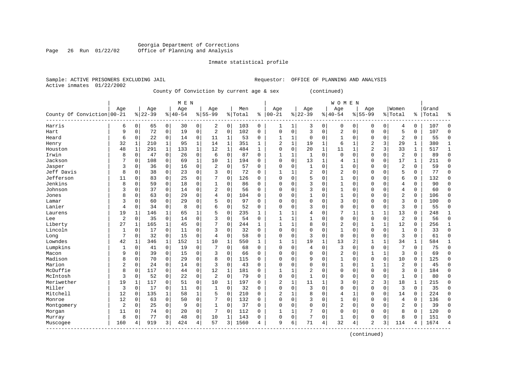### Georgia Department of Corrections<br>Page 26 Run 01/22/02 Office of Planning and Analysis Office of Planning and Analysis

#### Inmate statistical profile

|                | SAMPLE, ACIIVE PRISONERS EACHODING JAIL |  |
|----------------|-----------------------------------------|--|
| Active inmates | 01/22/2002                              |  |

Sample: ACTIVE PRISONERS EXCLUDING JAIL **Requestor:** OFFICE OF PLANNING AND ANALYSIS

County Of Conviction by current age & sex (continued)

|                            |                |              |          |              | M E N     |              |                |              |         |              |                |              |                |              | <b>WOMEN</b> |              |                |              |                |   |       |              |
|----------------------------|----------------|--------------|----------|--------------|-----------|--------------|----------------|--------------|---------|--------------|----------------|--------------|----------------|--------------|--------------|--------------|----------------|--------------|----------------|---|-------|--------------|
|                            | Age            |              | Age      |              | Age       |              | Age            |              | Men     |              | Age            |              | Age            |              | Age          |              | Age            |              | Women          |   | Grand |              |
| County Of Conviction 00-21 |                |              | $ 22-39$ |              | $8 40-54$ |              | $8 55-99$      |              | % Total | ి            | $ 00-21$       |              | $ 22-39$       |              | $8 40-54$    |              | $8155 - 99$    |              | % Total        | ႜ | Total | ٩,           |
| Harris                     | 6              | 0            | 65       | 0            | 30        | 0            | 2              | 0            | 103     | 0            | $\mathbf{1}$   | 1            | 3              | 0            | 0            | 0            | 0              | 0            | 4              | 0 | 107   | $\Omega$     |
| Hart                       | 9              | $\Omega$     | 72       | 0            | 19        | 0            | $\overline{c}$ | 0            | 102     | $\Omega$     | $\Omega$       | 0            | 3              | $\mathbf 0$  | 2            | $\Omega$     | $\Omega$       | $\mathbf 0$  | 5              | 0 | 107   | $\mathbf 0$  |
| Heard                      | 6              | $\mathbf 0$  | 22       | $\mathbf 0$  | 14        | 0            | 11             | 1            | 53      | 0            | $\mathbf{1}$   | $\mathbf{1}$ | $\Omega$       | $\Omega$     | $\mathbf{1}$ | $\Omega$     | $\Omega$       | $\mathbf 0$  | 2              | 0 | 55    | $\Omega$     |
| Henry                      | 32             | 1            | 210      | 1            | 95        | $\mathbf 1$  | 14             | 1            | 351     | 1            | $\overline{2}$ | 1            | 19             | $\mathbf{1}$ | 6            | -1           | $\overline{2}$ | 3            | 29             | 1 | 380   | $\mathbf{1}$ |
| Houston                    | 48             | $\mathbf{1}$ | 291      | $\mathbf{1}$ | 133       | 1            | 12             | $\mathbf{1}$ | 484     | $\mathbf{1}$ | $\Omega$       | 0            | 20             | 1            | 11           | -1           | 2              | 3            | 33             | 1 | 517   | $\mathbf{1}$ |
| Irwin                      | 8              | $\mathbf 0$  | 47       | $\mathbf 0$  | 26        | 0            | 6              | $\mathbf 0$  | 87      | $\Omega$     | 1              | 1            | 1              | $\mathbf 0$  | $\Omega$     | $\Omega$     | $\Omega$       | $\mathbf 0$  | $\overline{2}$ | 0 | 89    | $\Omega$     |
| Jackson                    | 7              | 0            | 108      | 0            | 69        | $\mathbf{1}$ | 10             | 1            | 194     | $\Omega$     | $\Omega$       | 0            | 13             | 1            | 4            | 1            | $\Omega$       | $\mathbf 0$  | 17             | 1 | 211   | $\bigcap$    |
| Jasper                     | 3              | 0            | 36       | $\mathbf 0$  | 16        | 0            | $\overline{a}$ | $\mathbf 0$  | 57      | $\Omega$     | $\Omega$       | 0            | $\mathbf{1}$   | $\Omega$     | 1            | $\Omega$     | $\Omega$       | $\mathbf 0$  | 2              | 0 | 59    | $\bigcap$    |
| Jeff Davis                 | 8              | 0            | 38       | $\mathbf 0$  | 23        | 0            | 3              | $\mathbf 0$  | 72      | $\Omega$     | $\mathbf{1}$   | 1            | $\overline{2}$ | $\Omega$     | 2            | $\Omega$     | $\Omega$       | $\mathbf 0$  | 5              | 0 | 77    | $\mathbf 0$  |
| Jefferson                  | 11             | 0            | 83       | 0            | 25        | 0            |                | $\Omega$     | 126     | $\Omega$     | $\Omega$       | 0            | 5              | $\Omega$     | 1            | $\Omega$     | $\Omega$       | $\Omega$     | 6              | 0 | 132   | $\mathbf 0$  |
| Jenkins                    | 8              | $\Omega$     | 59       | 0            | 18        | 0            |                | $\Omega$     | 86      | U            | $\Omega$       | 0            | 3              | $\Omega$     | 1            | $\Omega$     | $\Omega$       | $\Omega$     | 4              | 0 | 90    | $\mathbf 0$  |
| Johnson                    | 3              | $\Omega$     | 37       | $\Omega$     | 14        | 0            | $\overline{2}$ | $\Omega$     | 56      | $\Omega$     | $\Omega$       | 0            | 3              | $\Omega$     | $\mathbf{1}$ | $\Omega$     | $\Omega$       | $\Omega$     | 4              | 0 | 60    | $\Omega$     |
| Jones                      | 8              | $\Omega$     | 63       | $\Omega$     | 29        | 0            | 4              | $\Omega$     | 104     | $\Omega$     | $\Omega$       | 0            | 1              | $\Omega$     | $\mathbf{1}$ | $\Omega$     | $\Omega$       | $\Omega$     | $\overline{a}$ | 0 | 106   | $\Omega$     |
| Lamar                      | 3              | 0            | 60       | $\Omega$     | 29        | 0            | 5              | $\Omega$     | 97      | $\Omega$     | $\Omega$       | 0            | $\Omega$       | $\Omega$     | 3            | $\Omega$     | $\Omega$       | $\Omega$     | 3              | 0 | 100   | $\Omega$     |
| Lanier                     | 4              | 0            | 34       | $\mathbf 0$  | 8         | 0            | 6              | 0            | 52      | O            | $\Omega$       | 0            | 3              | 0            | 0            | $\Omega$     | $\Omega$       | $\mathbf 0$  | 3              | 0 | 55    | $\Omega$     |
| Laurens                    | 19             | 1            | 146      | $\mathbf{1}$ | 65        | 1            |                | $\mathbf 0$  | 235     | 1            |                | 1            | 4              | $\Omega$     |              | 1            |                | 1            | 13             | 0 | 248   | $\mathbf{1}$ |
| Lee                        | $\overline{2}$ | 0            | 35       | $\mathbf 0$  | 14        | 0            | 3              | $\Omega$     | 54      | $\Omega$     | $\mathbf{1}$   | 1            | 1              | $\Omega$     | $\Omega$     | $\mathbf 0$  | $\Omega$       | $\mathbf 0$  | 2              | 0 | 56    | $\Omega$     |
| Liberty                    | 27             | 1            | 165      | 1            | 45        | 0            | 7              | $\Omega$     | 244     | 1            | $\mathbf{1}$   | $\mathbf{1}$ | 8              | $\Omega$     | 2            | $\Omega$     | 1              | 1            | 12             | 0 | 256   | 1            |
| Lincoln                    | 1              | 0            | 17       | $\mathbf 0$  | 11        | 0            | 3              | $\Omega$     | 32      | $\Omega$     | $\Omega$       | 0            | $\Omega$       | $\Omega$     | 1            | $\Omega$     | $\Omega$       | $\Omega$     | $\mathbf{1}$   | 0 | 33    | $\Omega$     |
| Long                       | 7              | $\Omega$     | 32       | $\mathbf 0$  | 15        | 0            | 4              | $\mathbf 0$  | 58      | $\Omega$     | $\Omega$       | 0            | 3              | $\Omega$     | $\mathbf 0$  | $\Omega$     | $\Omega$       | $\Omega$     | 3              | 0 | 61    | $\bigcap$    |
| Lowndes                    | 42             | $\mathbf{1}$ | 346      | 1            | 152       | $\mathbf 1$  | 10             | 1            | 550     | $\mathbf{1}$ | $\mathbf{1}$   | 1            | 19             | 1            | 13           | 2            | $\mathbf{1}$   | $\mathbf{1}$ | 34             | 1 | 584   | $\mathbf{1}$ |
| Lumpkins                   |                | $\mathbf 0$  | 41       | $\mathbf 0$  | 19        | 0            | 7              | $\Omega$     | 68      | $\Omega$     | $\Omega$       | 0            | 4              | $\Omega$     | 3            | $\Omega$     | $\Omega$       | $\Omega$     | 7              | 0 | 75    | $\Omega$     |
| Macon                      | 9              | 0            | 39       | $\mathbf 0$  | 15        | 0            | 3              | $\Omega$     | 66      | $\Omega$     | $\Omega$       | 0            | $\Omega$       | $\mathbf 0$  | 2            | $\Omega$     |                | 1            | 3              | 0 | 69    | $\cap$       |
| Madison                    | 8              | 0            | 70       | $\mathbf 0$  | 29        | 0            | 8              | $\mathbf 0$  | 115     | 0            | $\Omega$       | 0            | 9              | $\mathbf 0$  | 1            | $\Omega$     | $\Omega$       | $\mathbf 0$  | 10             | 0 | 125   | $\cap$       |
| Marion                     | $\overline{2}$ | $\mathbf 0$  | 24       | $\mathbf 0$  | 14        | 0            | 3              | $\Omega$     | 43      | $\Omega$     | $\Omega$       | 0            | $\Omega$       | $\Omega$     | $\mathbf{1}$ | $\Omega$     | $\mathbf{1}$   |              | 2              | 0 | 45    | $\bigcap$    |
| McDuffie                   | 8              | $\Omega$     | 117      | $\mathbf 0$  | 44        | 0            | 12             | 1            | 181     | $\Omega$     | $\mathbf{1}$   | 1            | $\overline{2}$ | $\Omega$     | $\Omega$     | $\Omega$     | $\Omega$       | $\mathbf 0$  | 3              | 0 | 184   | $\Omega$     |
| McIntosh                   | 3              | 0            | 52       | 0            | 22        | 0            | $\overline{2}$ | $\mathbf 0$  | 79      | $\Omega$     | $\Omega$       | 0            |                | $\Omega$     | 0            | $\Omega$     | $\Omega$       | $\mathbf 0$  | 1              | 0 | 80    | $\mathbf 0$  |
| Meriwether                 | 19             |              | 117      | 0            | 51        | 0            | 10             | 1            | 197     | U            | 2              | 1            | 11             |              | 3            | 0            | 2              | 3            | 18             | 1 | 215   | $\mathbf 0$  |
| Miller                     | 3              | $\mathbf 0$  | 17       | 0            | 11        | 0            | 1              | $\mathbf 0$  | 32      | O            | $\Omega$       | 0            | 3              | $\Omega$     | $\Omega$     | $\Omega$     | $\Omega$       | $\mathbf 0$  | 3              | 0 | 35    | $\mathbf 0$  |
| Mitchell                   | 12             | $\Omega$     | 135      | $\mathbf{1}$ | 58        | $\mathbf 1$  | 5              | $\Omega$     | 210     | $\Omega$     | $\overline{2}$ | 1            | 8              | $\Omega$     | 4            | $\mathbf{1}$ | $\Omega$       | $\Omega$     | 14             | 0 | 224   | $\Omega$     |
| Monroe                     | 12             | $\Omega$     | 63       | $\mathbf 0$  | 50        | 0            | 7              | $\Omega$     | 132     | $\Omega$     | $\Omega$       | 0            | 3              | $\Omega$     | $\mathbf{1}$ | $\mathbf 0$  | $\Omega$       | $\mathbf 0$  | 4              | 0 | 136   | $\Omega$     |
| Montgomery                 | 2              | 0            | 25       | $\mathbf 0$  | 9         | 0            | $\mathbf{1}$   | $\mathbf 0$  | 37      | $\Omega$     | $\Omega$       | 0            | $\Omega$       | 0            | 2            | $\Omega$     | $\Omega$       | $\Omega$     | $\overline{2}$ | 0 | 39    | $\Omega$     |
| Morgan                     | 11             | 0            | 74       | $\mathbf 0$  | 20        | 0            | 7              | $\mathbf 0$  | 112     | 0            |                | 1            |                | 0            | 0            | $\Omega$     | $\Omega$       | $\mathbf 0$  | 8              | 0 | 120   | $\Omega$     |
| Murray                     | 8              | 0            | 77       | 0            | 48        | 0            | 10             | 1            | 143     | 0            | $\Omega$       | 0            | 7              | 0            | $\mathbf{1}$ | 0            | $\Omega$       | $\mathbf 0$  | 8              | 0 | 151   | $\cap$       |
| Muscogee<br>$- - - - -$    | 160            | 4            | 919      | 3            | 424       | 4            | 57             | 3            | 1560    | 4            | q              | б.           | 71             | 4            | 32           | 4            | $\overline{a}$ | 3            | 114            | 4 | 1674  | 4            |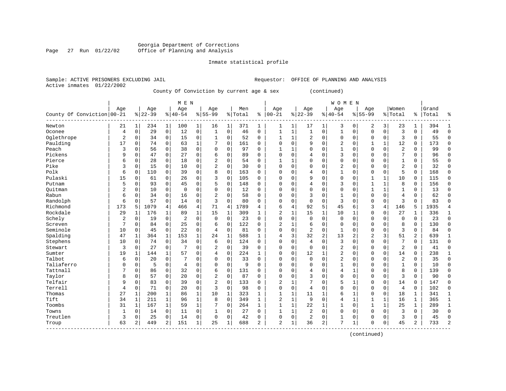#### Georgia Department of Corrections Page 27 Run 01/22/02 Office of Planning and Analysis

#### Inmate statistical profile

|  |                           | Sample: ACTIVE PRISONERS EXCLUDING JAIL |                                           |  |  |  | Requestor: OFFICE OF PLANNIN |
|--|---------------------------|-----------------------------------------|-------------------------------------------|--|--|--|------------------------------|
|  | Active inmates 01/22/2002 |                                         |                                           |  |  |  |                              |
|  |                           |                                         | County Of Conviction by current age & sex |  |  |  | (continued)                  |

|                            |                |             |          |                | M E N          |              |                |              |         |             |                |                |                |              | <b>WOMEN</b>   |             |                |              |                |                |           |              |
|----------------------------|----------------|-------------|----------|----------------|----------------|--------------|----------------|--------------|---------|-------------|----------------|----------------|----------------|--------------|----------------|-------------|----------------|--------------|----------------|----------------|-----------|--------------|
|                            | Aqe            |             | Age      |                | Age            |              | Age            |              | Men     |             | Age            |                | Age            |              | Age            |             | Age            |              | Women          |                | Grand     |              |
| County Of Conviction 00-21 |                |             | $ 22-39$ |                | $8 40-54$      |              | $8155 - 99$    |              | % Total |             | $% 100-21$     |                | $8 22-39$      |              | $8 40-54$      |             | $8 55-99$      |              | % Total        |                | %   Total | ႜ            |
| Newton                     | 21             | 1           | 234      | 1              | 100            | 1            | 16             | $1\vert$     | 371     | 1           | 1              | 1              | 17             | $\mathbf 1$  | 3              | 0           | $\overline{c}$ | 3            | 23             | 1              | 394       | -1           |
| Oconee                     | 4              | $\mathbf 0$ | 29       | $\mathbf 0$    | 12             | 0            | $\mathbf{1}$   | 0            | 46      | 0           | $\mathbf{1}$   | 1              | 1              | 0            | $\mathbf{1}$   | 0           | $\Omega$       | $\mathbf 0$  | 3              | $\Omega$       | 49        | $\mathbf 0$  |
| Oglethrope                 | $\overline{2}$ | 0           | 34       | 0              | 15             | 0            | 1              | 0            | 52      | 0           | 1              | 1              | 2              | 0            | 0              | 0           | $\mathbf 0$    | 0            | 3              | 0              | 55        | $\mathbf 0$  |
| Paulding                   | 17             | 0           | 74       | 0              | 63             | $\mathbf 1$  | 7              | 0            | 161     | $\Omega$    | $\Omega$       | $\mathbf 0$    | 9              | $\mathbf 0$  | $\overline{2}$ | 0           | $\mathbf{1}$   | 1            | 12             | 0              | 173       | $\mathbf 0$  |
| Peach                      | 3              | 0           | 56       | 0              | 38             | $\mathbf 0$  | 0              | 0            | 97      | 0           | 1              | 1              | $\Omega$       | 0            | $\mathbf{1}$   | 0           | $\mathbf{0}$   | $\mathbf 0$  | $\overline{2}$ | 0              | 99        | $\Omega$     |
| Pickens                    | 9              | 0           | 47       | 0              | 27             | 0            | 6              | 0            | 89      | $\Omega$    | $\Omega$       | $\mathbf 0$    | 4              | 0            | 3              | $\Omega$    | $\mathbf 0$    | $\Omega$     | 7              | $\Omega$       | 96        | $\Omega$     |
| Pierce                     | 6              | 0           | 28       | 0              | 18             | 0            | 2              | $\Omega$     | 54      | 0           | 1              | 1              | $\Omega$       | $\mathbf 0$  | 0              | 0           | $\mathbf 0$    | 0            | $\mathbf{1}$   | 0              | 55        | $\Omega$     |
| Pike                       | 3              | $\mathbf 0$ | 15       | $\mathbf 0$    | 10             | 0            | $\overline{2}$ | $\Omega$     | 30      | $\Omega$    | $\Omega$       | $\mathbf 0$    | $\Omega$       | $\mathbf 0$  | $\overline{2}$ | 0           | $\mathbf 0$    | $\Omega$     | $\overline{2}$ | 0              | 32        | $\mathbf 0$  |
| Polk                       | 6              | 0           | 110      | 0              | 39             | 0            | 8              | 0            | 163     | 0           | $\Omega$       | 0              | 4              | $\mathbf 0$  | $\mathbf{1}$   | $\mathbf 0$ | $\mathbf 0$    | $\mathbf 0$  | 5              | 0              | 168       | $\mathbf 0$  |
| Pulaski                    | 15             | 0           | 61       | 0              | 26             | $\mathbf 0$  | 3              | 0            | 105     | $\mathbf 0$ | $\Omega$       | 0              | 9              | $\mathbf 0$  | 0              | 0           | 1              | $\mathbf{1}$ | 10             | 0              | 115       | $\mathbf 0$  |
| Putnam                     | 5              | $\mathbf 0$ | 93       | $\mathbf 0$    | 45             | 0            | 5              | 0            | 148     | 0           | $\Omega$       | $\mathbf 0$    | 4              | $\mathbf 0$  | 3              | 0           | $\mathbf{1}$   | $\mathbf{1}$ | 8              | 0              | 156       | $\mathbf 0$  |
| Ouitman                    | $\overline{2}$ | 0           | 10       | 0              | 0              | $\mathbf 0$  | $\mathbf 0$    | 0            | 12      | 0           | $\Omega$       | 0              | 0              | $\mathbf 0$  | 0              | 0           | $\mathbf{1}$   | 1            | $\mathbf{1}$   | 0              | 13        | $\mathbf 0$  |
| Rabun                      | 6              | $\mathbf 0$ | 34       | 0              | 16             | 0            | 2              | 0            | 58      | 0           | $\Omega$       | $\mathbf 0$    | 3              | 0            | $\mathbf{1}$   | 0           | $\mathbf{0}$   | $\mathbf 0$  | 4              | 0              | 62        | $\mathbf 0$  |
| Randolph                   | 6              | $\Omega$    | 57       | $\mathbf 0$    | 14             | $\mathbf 0$  | 3              | $\Omega$     | 80      | $\Omega$    | $\Omega$       | $\mathbf 0$    | $\mathbf 0$    | $\mathbf 0$  | 3              | 0           | $\mathbf{0}$   | $\mathbf 0$  | 3              | 0              | 83        | $\cap$       |
| Richmond                   | 173            | 5           | 1079     | $\overline{4}$ | 466            | 4            | 71             | 4            | 1789    | 4           | 6              | $\overline{4}$ | 92             | 5            | 45             | 6           | 3              | 4            | 146            | 5              | 1935      | 4            |
| Rockdale                   | 29             | 1           | 176      | 1              | 89             | $\mathbf{1}$ | 15             | $\mathbf{1}$ | 309     | 1           | 2              | $\mathbf{1}$   | 15             | $\mathbf{1}$ | 10             | 1           | $\mathbf{0}$   | $\mathbf 0$  | 27             | 1              | 336       | 1            |
| Schely                     | 2              | $\mathbf 0$ | 19       | $\mathbf 0$    | $\overline{2}$ | $\mathbf 0$  | $\mathbf 0$    | 0            | 23      | 0           | $\Omega$       | $\mathbf 0$    | $\mathbf 0$    | $\mathbf 0$  | 0              | 0           | $\mathbf 0$    | $\Omega$     | 0              | 0              | 23        | $\mathbf 0$  |
| Screven                    | 7              | $\mathbf 0$ | 84       | $\mathbf 0$    | 25             | 0            | 6              | 0            | 122     | 0           | $\overline{2}$ | $\mathbf 1$    | 6              | $\mathbf 0$  | $\mathbf 0$    | 0           | 0              | $\mathbf 0$  | 8              | 0              | 130       | $\mathbf 0$  |
| Seminole                   | 10             | 0           | 45       | $\mathbf 0$    | 22             | $\mathbf 0$  | 4              | 0            | 81      | 0           | $\Omega$       | $\mathbf 0$    | $\overline{a}$ | $\mathbf 0$  | $\mathbf{1}$   | 0           | $\mathbf{0}$   | 0            | 3              | 0              | 84        | $\mathbf 0$  |
| Spalding                   | 47             | $\mathbf 1$ | 364      | $\mathbf{1}$   | 153            | $\mathbf{1}$ | 24             | 1            | 588     | 1           | 4              | 3              | 32             | 2            | 13             | 2           | $\overline{2}$ | 3            | 51             | $\overline{2}$ | 639       | $\mathbf{1}$ |
| Stephens                   | 10             | $\mathbf 0$ | 74       | $\mathbf 0$    | 34             | 0            | 6              | 0            | 124     | 0           | $\Omega$       | $\mathbf 0$    | 4              | $\mathbf 0$  | 3              | 0           | $\mathbf{0}$   | 0            | 7              | 0              | 131       | $\mathbf 0$  |
| Stewart                    | 3              | $\mathbf 0$ | 27       | $\mathbf 0$    |                | $\mathbf 0$  | 2              | $\Omega$     | 39      | 0           | $\Omega$       | $\mathbf 0$    | $\mathbf 0$    | $\mathbf 0$  | $\overline{2}$ | 0           | $\Omega$       | $\Omega$     | 2              | 0              | 41        | $\mathbf 0$  |
| Sumter                     | 19             | 1           | 144      | 1              | 57             | $\mathbf 0$  | 4              | 0            | 224     | 1           | $\Omega$       | $\mathbf 0$    | 12             | 1            | $\overline{2}$ | 0           | $\mathbf{0}$   | $\mathbf 0$  | 14             | 0              | 238       | 1            |
| Talbot                     | 6              | $\mathbf 0$ | 20       | $\mathbf 0$    | 7              | $\Omega$     | $\Omega$       | $\Omega$     | 33      | $\Omega$    | 0              | $\Omega$       | $\Omega$       | $\Omega$     | $\sqrt{2}$     | $\Omega$    | $\Omega$       | $\Omega$     | 2              | $\Omega$       | 35        | $\Omega$     |
| Taliaferro                 | $\Omega$       | $\mathbf 0$ | 5        | $\mathbf 0$    | $\overline{4}$ | $\mathbf 0$  | 0              | $\Omega$     | 9       | $\Omega$    | 0              | $\Omega$       | $\Omega$       | $\mathbf 0$  | $\mathbf{1}$   | $\Omega$    | $\mathbf 0$    | $\Omega$     | $\mathbf{1}$   | 0              | 10        | $\mathbf 0$  |
| Tattnall                   |                | 0           | 86       | $\mathbf 0$    | 32             | 0            | 6              | 0            | 131     | 0           | 0              | $\mathbf 0$    | 4              | $\mathbf 0$  | 4              | 1           | $\Omega$       | $\Omega$     | 8              | 0              | 139       | $\mathbf 0$  |
| Taylor                     | 8              | 0           | 57       | $\mathbf 0$    | 20             | $\mathsf{O}$ | 2              | 0            | 87      | 0           | $\Omega$       | $\mathbf 0$    | 3              | $\mathbf 0$  | $\Omega$       | 0           | $\Omega$       | $\mathbf 0$  | 3              | 0              | 90        | $\mathbf 0$  |
| Telfair                    | 9              | 0           | 83       | 0              | 39             | $\mathbf 0$  | $\sqrt{2}$     | 0            | 133     | 0           | 2              | 1              | 7              | 0            | 5              | 1           | $\mathbf 0$    | $\mathbf 0$  | 14             | 0              | 147       | $\mathbf 0$  |
| Terrell                    | 4              | 0           | 71       | 0              | 20             | 0            | 3              | 0            | 98      | 0           | $\Omega$       | $\mathbf 0$    | 4              | 0            | 0              | 0           | $\mathbf 0$    | $\mathbf 0$  | 4              | 0              | 102       | $\mathbf 0$  |
| Thomas                     | 27             | 1           | 200      | 1              | 86             | $\mathbf 1$  | 10             | 1            | 323     | 1           | 1              | 1              | 11             | 1            | 6              | 1           | $\mathbf 0$    | 0            | 18             | 1              | 341       | 1            |
| Tift                       | 34             | 1           | 211      | 1              | 96             | $\mathbf{1}$ | 8              | 0            | 349     | 1           | 2              | $1\,$          | 9              | 0            | 4              | 1           | $\mathbf{1}$   | 1            | 16             | 1              | 365       | 1            |
| Toombs                     | 31             | 1           | 167      | 1              | 59             | $\mathbf{1}$ | 7              | 0            | 264     | 1           | 1              | 1              | 22             | 1            | $\mathbf{1}$   | 0           | $\mathbf{1}$   | $\mathbf{1}$ | 25             | $\mathbf{1}$   | 289       | $\mathbf{1}$ |
| Towns                      | $\mathbf{1}$   | $\Omega$    | 14       | 0              | 11             | $\mathbf 0$  | 1              | 0            | 27      | 0           | 1              | 1              | $\overline{c}$ | $\Omega$     | 0              | U           | $\Omega$       | $\Omega$     | 3              | 0              | 30        | $\Omega$     |
| Treutlen                   | 3              | 0           | 25       | 0              | 14             | $\mathbf 0$  | $\mathbf 0$    | 0            | 42      | 0           | $\Omega$       | 0              | $\overline{2}$ | 0            | $\mathbf{1}$   | 0           | $\mathbf 0$    | $\mathbf 0$  | 3              | 0              | 45        | $\mathbf 0$  |
| Troup                      | 63             | 2           | 449      | 2              | 151            | $\mathbf 1$  | 25             | 1            | 688     | 2           | 2              | 1              | 36             | 2            | 7              | 1           | $\mathbf 0$    | 0            | 45             | 2              | 733       | 2            |

------------------------------------------------------------------------------------------------------------------------------------

(continued)

PLANNING AND ANALYSIS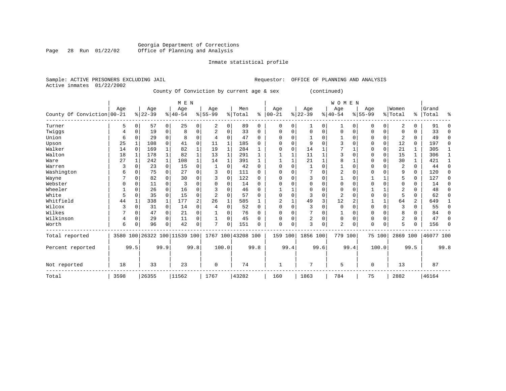#### Georgia Department of Corrections Page 28 Run 01/22/02 Office of Planning and Analysis

# Inmate statistical profile

|                           | Sample: ACTIVE PRISONERS EXCLUDING JAIL |                                           |  | Requestor: OFFICE OF PLANNING AND ANALYSIS |
|---------------------------|-----------------------------------------|-------------------------------------------|--|--------------------------------------------|
| Active inmates 01/22/2002 |                                         |                                           |  |                                            |
|                           |                                         | County Of Conviction by current age & sex |  | (continued)                                |

|                            |      |      |          |                | M E N                        |                |                |          |                    |          |             |          |                |          | WOMEN          |            |           |             |                |                |           |          |
|----------------------------|------|------|----------|----------------|------------------------------|----------------|----------------|----------|--------------------|----------|-------------|----------|----------------|----------|----------------|------------|-----------|-------------|----------------|----------------|-----------|----------|
|                            | Age  |      | Age      |                | Age                          |                | Age            |          | Men                |          | Age         |          | Age            |          | Age            |            | Age       |             | Women          |                | Grand     |          |
| County Of Conviction 00-21 |      |      | $ 22-39$ |                | $8 40-54$                    |                | $8 55-99$      |          | % Total            | နွ       | $ 00-21$    |          | $ 22-39 $      |          | $8 40-54$      |            | $8 55-99$ |             | % Total        |                | %   Total | ႜ        |
| Turner                     | 5    | 0    | 57       | $\overline{0}$ | 25                           | $\overline{0}$ | 2              | $\Omega$ | 89                 | $\Omega$ | $\mathbf 0$ | 0        |                | $\Omega$ | 1              | $\Omega$   | $\Omega$  | 0           | 2              | 0              | 91        |          |
| Twiggs                     | 4    | 0    | 19       | 0              | 8                            | 0              | $\overline{c}$ | $\Omega$ | 33                 | 0        | $\Omega$    | $\Omega$ | $\Omega$       | $\Omega$ | $\mathbf 0$    | $\Omega$   | $\Omega$  | $\mathbf 0$ | $\Omega$       | 0              | 33        | ∩        |
| Union                      | 6    |      | 29       | $\Omega$       | 8                            | $\Omega$       |                | $\Omega$ | 47                 | $\Omega$ | $\Omega$    | O        |                | $\Omega$ |                | $\Omega$   | 0         | $\Omega$    | 2              | 0              | 49        | $\Omega$ |
| Upson                      | 25   |      | 108      | $\Omega$       | 41                           | $\Omega$       | 11             | 1        | 185                | 0        | $\Omega$    | O        | 9              | $\cap$   |                | $\Omega$   | U         | $\Omega$    | 12             | 0              | 197       | $\Omega$ |
| Walker                     | 14   |      | 169      |                | 82                           | 1              | 19             |          | 284                |          | $\Omega$    | 0        | 14             |          |                |            | $\Omega$  | $\Omega$    | 21             | 1              | 305       |          |
| Walton                     | 18   |      | 178      | $\mathbf{1}$   | 82                           | $\mathbf{1}$   | 13             | 1        | 291                |          |             |          | 11             |          | 3              | C          | 0         | $\Omega$    | 15             | 1              | 306       |          |
| Ware                       | 27   |      | 242      | $\mathbf{1}$   | 108                          | $\mathbf{1}$   | 14             |          | 391                |          |             |          | 21             |          | 8              |            | $\Omega$  | $\Omega$    | 30             | $\mathbf{1}$   | 421       |          |
| Warren                     | 3    |      | 23       | $\Omega$       | 15                           | $\Omega$       |                | $\Omega$ | 42                 | $\Omega$ | $\Omega$    | O        |                | $\Omega$ |                | $\Omega$   | 0         |             | 2              | 0              | 44        | ∩        |
| Washington                 | 6    | 0    | 75       | 0              | 27                           | $\Omega$       | ٦              | $\cap$   | 111                | 0        | $\Omega$    | $\cap$   |                | $\Omega$ | $\overline{2}$ | $\cap$     | $\Omega$  | $\Omega$    | 9              | $\Omega$       | 120       | ∩        |
| Wayne                      |      |      | 82       |                | 30                           | 0              |                | $\Omega$ | 122                | U        | ∩           |          |                | U        |                | $\sqrt{ }$ |           |             | 5              | 0              | 127       | ∩        |
| Webster                    |      |      | 11       | $\Omega$       |                              | O              |                |          | 14                 | U        |             |          | 0              | O        | 0              | C          | 0         |             | $\Omega$       | 0              | 14        |          |
| Wheeler                    |      |      | 26       | 0              | 16                           | 0              | 3              | U        | 46                 | 0        |             |          | $\Omega$       | $\Omega$ | $\Omega$       | $\Omega$   |           |             | 2              | 0              | 48        | U        |
| White                      | 5    | 0    | 35       | $\Omega$       | 15                           | 0              | $\overline{2}$ | U        | 57                 | 0        | $\Omega$    | O        |                | $\Omega$ | $\overline{2}$ | $\Omega$   | U         | $\Omega$    | 5              | U              | 62        | ∩        |
| Whitfield                  | 44   |      | 338      |                | 177                          | 2              | 26             |          | 585                |          | 2           |          | 49             | 3        | 12             |            |           |             | 64             | $\overline{a}$ | 649       |          |
| Wilcox                     |      | U    | 31       | 0              | 14                           | 0              |                | U        | 52                 | 0        | $\Omega$    | O        |                | $\Omega$ | $\mathbf 0$    | $\Omega$   | $\Omega$  | 0           | 3              | 0              | 55        | U        |
| Wilkes                     |      | 0    | 47       | $\Omega$       | 21                           | $\Omega$       |                | O        | 76                 | U        | $\Omega$    | O        |                | $\Omega$ |                | $\Omega$   | 0         | $\Omega$    | 8              | 0              | 84        |          |
| Wilkinson                  | 4    | 0    | 29       | $\Omega$       | 11                           | 0              |                | $\Omega$ | 45                 | 0        | $\Omega$    | 0        | $\overline{2}$ | $\Omega$ | $\mathbf 0$    | $\Omega$   | $\Omega$  | $\Omega$    | $\overline{2}$ | 0              | 47        | U        |
| Worth                      | 6    |      | 96       | $\Omega$       | 42                           | 0              | π              | $\Omega$ | 151                | U        | $\mathbf 0$ | 0        | 3              | 0        | 2              | $\Omega$   | $\Omega$  | 0           | 5              | 0              | 156       | ∩        |
| Total reported             |      |      |          |                | 3580 100 26322 100 11539 100 |                |                |          | 1767 100 43208 100 |          | 159 100     |          | 1856 100       |          | 779 100        |            | 75 100    |             | 2869 100       |                | 46077 100 |          |
| Percent reported           |      | 99.5 |          | 99.9           |                              | 99.8           |                | 100.0    |                    | 99.8     |             | 99.4     |                | 99.6     |                | 99.4       |           | 100.0       |                | 99.5           |           | 99.8     |
| Not reported               | 18   |      | 33       |                | 23                           |                | 0              |          | 74                 |          | 1           |          | 7              |          | 5              |            | $\Omega$  |             | 13             |                | 87        |          |
| Total                      | 3598 |      | 26355    |                | 11562                        |                | 1767           |          | 43282              |          | 160         |          | 1863           |          | 784            |            | 75        |             | 2882           |                | 46164     |          |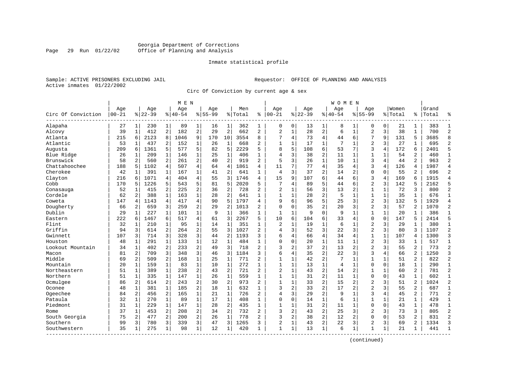# Georgia Department of Corrections<br>Page 29 Run 01/22/02 Office of Planning and Analysis Page 29 Run 01/22/02 Office of Planning and Analysis

#### Inmate statistical profile

|  |                           | Sample: ACTIVE PRISONERS EXCLUDING JAIL |  |
|--|---------------------------|-----------------------------------------|--|
|  | Active inmates 01/22/2002 |                                         |  |

Requestor: OFFICE OF PLANNING AND ANALYSIS

Circ Of Conviction by current age & sex

|                    |       |              |           |                | M E N     |              |             |                |         |              |                |                |          |                | W O M E N      |                |                |              |         |                |       |                |
|--------------------|-------|--------------|-----------|----------------|-----------|--------------|-------------|----------------|---------|--------------|----------------|----------------|----------|----------------|----------------|----------------|----------------|--------------|---------|----------------|-------|----------------|
|                    | Age   |              | Age       |                | Age       |              | Age         |                | Men     |              | Age            |                | Age      |                | Age            |                | Age            |              | Women   |                | Grand |                |
| Circ Of Conviction | 00-21 |              | $8 22-39$ |                | $8 40-54$ |              | $8155 - 99$ |                | % Total | ి            | $ 00 - 21$     |                | $ 22-39$ |                | $ 40-54$       |                | $8155 - 99$    |              | % Total | ႜ              | Total |                |
| Alapaha            | 27    | $\mathbf{1}$ | 230       | $\mathbf 1$    | 89        | 1            | 16          | 1              | 362     | 1            | 0              | 0              | 13       | 1              | 8              | 1              | 0              | 0            | 21      | 1              | 383   | -1             |
| Alcovy             | 39    | $\mathbf{1}$ | 412       | $\overline{a}$ | 182       | 2            | 29          | $\overline{2}$ | 662     | 2            | $\overline{2}$ | $\mathbf{1}$   | 28       | $\overline{2}$ | 6              | $\mathbf{1}$   | $\overline{2}$ | 3            | 38      | $\mathbf{1}$   | 700   | $\overline{c}$ |
| Atlanta            | 215   | 6            | 2123      | 8              | 1046      | 9            | 170         | 10             | 3554    | 8            |                | 4              | 73       | $\overline{4}$ | 44             | 6              | 7              | 9            | 131     | 5              | 3685  | 8              |
| Atlantic           | 53    | 1            | 437       | 2              | 152       | 1            | 26          | $\mathbf{1}$   | 668     | 2            | $\mathbf{1}$   | $\mathbf{1}$   | 17       | $\mathbf{1}$   | 7              | 1              | $\overline{2}$ | 3            | 27      | 1              | 695   | $\overline{2}$ |
| Augusta            | 209   | 6            | 1361      | 5              | 577       | 5            | 82          | 5              | 2229    | 5            | 8              | 5              | 108      | 6              | 53             | 7              | 3              | 4            | 172     | 6              | 2401  | 5              |
| Blue Ridge         | 26    | 1            | 209       | $\mathbf{1}$   | 146       | 1            | 25          | $\mathbf{1}$   | 406     | $\mathbf{1}$ | 4              | 3              | 38       | $\overline{2}$ | 11             | 1              | 1              | $\mathbf{1}$ | 54      | 2              | 460   | -1             |
| Brunswick          | 58    | 2            | 560       | 2              | 261       | 2            | 40          | $\overline{c}$ | 919     | 2            | 5              | 3              | 26       | $\mathbf 1$    | 10             | 1              | 3              | 4            | 44      | 2              | 963   | $\overline{2}$ |
| Chattahoochee      | 188   | 5            | 1102      | 4              | 507       | 4            | 64          | 4              | 1861    | 4            | 11             | 7              | 77       | $\overline{4}$ | 35             | 4              | 3              | 4            | 126     | 4              | 1987  |                |
| Cherokee           | 42    | $\mathbf{1}$ | 391       | $\mathbf{1}$   | 167       | 1            | 41          | 2              | 641     | $\mathbf{1}$ | $\overline{4}$ | 3              | 37       | $\overline{a}$ | 14             | 2              | $\Omega$       | $\Omega$     | 55      | $\overline{2}$ | 696   | $\overline{2}$ |
| Clayton            | 216   | 6            | 1071      | 4              | 404       | 4            | 55          | 3              | 1746    | 4            | 15             | 9              | 107      | 6              | 44             | 6              | 3              | 4            | 169     | 6              | 1915  | $\overline{4}$ |
| Cobb               | 170   | 5            | 1226      | 5              | 543       | 5            | 81          | 5              | 2020    | 5            | 7              | 4              | 89       | 5              | 44             | 6              | $\overline{2}$ | 3            | 142     | 5              | 2162  | 5              |
| Conasauga          | 52    | 1            | 415       | 2              | 225       | 2            | 36          | 2              | 728     | 2            | $\overline{2}$ | 1              | 56       | 3              | 13             | $\overline{2}$ | 1              | $\mathbf{1}$ | 72      | 3              | 800   | $\overline{2}$ |
| Cordele            | 62    | 2            | 388       | $\mathbf 1$    | 163       | 1            | 28          | $\overline{c}$ | 641     | 1            | 1              | 1              | 28       | $\overline{c}$ | 5              | $\mathbf{1}$   | 1              | 1            | 35      | 1              | 676   | $\mathbf{1}$   |
| Coweta             | 147   | 4            | 1143      | 4              | 417       | 4            | 90          | 5              | 1797    | 4            | 9              | 6              | 96       | 5              | 25             | 3              | $\overline{2}$ | 3            | 132     | 5              | 1929  | $\overline{4}$ |
| Dougherty          | 66    | 2            | 659       | 3              | 259       | 2            | 29          | $\overline{2}$ | 1013    | 2            | $\Omega$       | 0              | 35       | 2              | 20             | 3              | $\overline{2}$ | 3            | 57      | 2              | 1070  | $\overline{c}$ |
| Dublin             | 29    | 1            | 227       | 1              | 101       | 1            | 9           | $\mathbf{1}$   | 366     | 1            | $\mathbf{1}$   | 1              | 9        | $\Omega$       | 9              | 1              | $\mathbf{1}$   | 1            | 20      | 1              | 386   | $\mathbf{1}$   |
| Eastern            | 222   | 6            | 1467      | 6              | 517       | 4            | 61          | 3              | 2267    | 5            | 10             | 6              | 104      | 6              | 33             | 4              | $\mathbf 0$    | $\mathbf 0$  | 147     | 5              | 2414  | 5              |
| Flint              | 32    | 1            | 210       | 1              | 95        | 1            | 14          | 1              | 351     | 1            | $\overline{2}$ | $\mathbf{1}$   | 19       | $\mathbf{1}$   | 6              | 1              | $\overline{2}$ | 3            | 29      | 1              | 380   | $\mathbf{1}$   |
| Griffin            | 94    | 3            | 614       | 2              | 264       | 2            | 55          | 3              | 1027    | 2            | 4              | 3              | 52       | 3              | 22             | 3              | $\overline{2}$ | 3            | 80      | 3              | 1107  | $\overline{c}$ |
| Gwinnett           | 107   | 3            | 714       | 3              | 328       | 3            | 44          | 2              | 1193    | 3            | 6              | 4              | 66       | $\overline{4}$ | 34             | 4              | $\mathbf 1$    | $\mathbf{1}$ | 107     | 4              | 1300  | 3              |
| Houston            | 48    | 1            | 291       | $\mathbf{1}$   | 133       | $\mathbf{1}$ | 12          | 1              | 484     | $\mathbf{1}$ | $\Omega$       | $\mathbf 0$    | 20       | $\mathbf{1}$   | 11             | 1              | $\overline{a}$ | 3            | 33      | $\mathbf{1}$   | 517   | $\mathbf{1}$   |
| Lookout Mountain   | 34    | 1            | 402       | 2              | 233       | 2            | 49          | 3              | 718     | 2            | 3              | 2              | 37       | $\overline{c}$ | 13             | $\overline{2}$ | $\overline{2}$ | 3            | 55      | 2              | 773   | $\overline{2}$ |
| Macon              | 81    | 2            | 709       | 3              | 348       | 3            | 46          | 3              | 1184    | 3            | 6              | 4              | 35       | $\overline{c}$ | 22             | 3              | 3              | 4            | 66      | 2              | 1250  | 3              |
| Middle             | 69    | 2            | 509       | 2              | 168       | $\mathbf{1}$ | 25          | 1              | 771     | 2            | 1              | 1              | 42       | $\overline{2}$ | 7              | 1              | 1              | 1            | 51      | 2              | 822   | $\overline{2}$ |
| Mountain           | 20    | 1            | 159       | 1              | 83        | 1            | 10          | $\mathbf{1}$   | 272     | 1            | 1              | 1              | 13       | $\mathbf{1}$   | $\overline{4}$ | 1              | 0              | $\mathbf 0$  | 18      | 1              | 290   | $\mathbf{1}$   |
| Northeastern       | 51    | $\mathbf{1}$ | 389       | $\mathbf{1}$   | 238       | 2            | 43          | 2              | 721     | 2            | $\overline{2}$ | $\mathbf{1}$   | 43       | 2              | 14             | 2              | $\mathbf{1}$   | $\mathbf{1}$ | 60      | $\overline{a}$ | 781   | $\overline{2}$ |
| Northern           | 51    | 1            | 335       | $\mathbf{1}$   | 147       | $\mathbf{1}$ | 26          | $\mathbf{1}$   | 559     | $\mathbf{1}$ | $\mathbf{1}$   | $\mathbf{1}$   | 31       | 2              | 11             | $\mathbf{1}$   | $\mathbf 0$    | $\Omega$     | 43      | $\mathbf{1}$   | 602   | $\mathbf{1}$   |
| Ocmulgee           | 86    | 2            | 614       | 2              | 243       | 2            | 30          | 2              | 973     | 2            | $\mathbf{1}$   | $\mathbf{1}$   | 33       | $\overline{c}$ | 15             | $\overline{2}$ | 2              | 3            | 51      | 2              | 1024  | $\overline{c}$ |
| Oconee             | 48    | 1            | 381       | 1              | 185       | 2            | 18          | 1              | 632     | 1            | 3              | 2              | 33       | $\overline{c}$ | 17             | $\sqrt{2}$     | 2              | 3            | 55      | 2              | 687   | $\mathbf{1}$   |
| Ogeechee           | 84    | 2            | 456       | 2              | 165       | 1            | 21          | 1              | 726     | 2            | 4              | 3              | 29       | $\overline{a}$ | 9              | 1              | 3              | 4            | 45      | 2              | 771   | $\overline{2}$ |
| Pataula            | 32    | $\mathbf{1}$ | 270       | $\mathbf{1}$   | 89        | 1            | 17          | 1              | 408     | $\mathbf{1}$ | $\mathbf 0$    | $\Omega$       | 14       | $\mathbf{1}$   | 6              | 1              | $\mathbf 1$    | 1            | 21      | $\mathbf{1}$   | 429   | $\mathbf{1}$   |
| Piedmont           | 31    | $\mathbf{1}$ | 229       | $\mathbf{1}$   | 147       | $\mathbf{1}$ | 28          | 2              | 435     | $\mathbf{1}$ | $\mathbf{1}$   | $\mathbf{1}$   | 31       | $\overline{c}$ | 11             | $\mathbf{1}$   | $\mathbf 0$    | $\mathbf 0$  | 43      | $\mathbf{1}$   | 478   | $\mathbf{1}$   |
| Rome               | 37    | $\mathbf{1}$ | 453       | 2              | 208       | 2            | 34          | 2              | 732     | 2            | 3              | $\overline{a}$ | 43       | $\overline{2}$ | 25             | 3              | $\overline{2}$ | 3            | 73      | 3              | 805   | $\overline{c}$ |
| South Georgia      | 75    | 2            | 477       | 2              | 200       | 2            | 26          | $\mathbf{1}$   | 778     | 2            | 3              | 2              | 38       | $\overline{2}$ | 12             | $\overline{2}$ | $\mathbf 0$    | $\Omega$     | 53      | 2              | 831   | $\overline{2}$ |
| Southern           | 99    | 3            | 780       | 3              | 339       | 3            | 47          | 3              | 1265    | 3            | $\overline{2}$ | 1              | 43       | 2              | 22             | 3              | $\overline{2}$ | 3            | 69      | 2              | 1334  | 3              |
| Southwestern       | 35    | 1            | 275       | 1              | 98        | $\mathbf 1$  | 12          | 1              | 420     | $\mathbf{1}$ | $\mathbf{1}$   | 1              | 13       | $\mathbf{1}$   | 6              | 1              | $\mathbf{1}$   | 1            | 21      | 1              | 441   | $\mathbf{1}$   |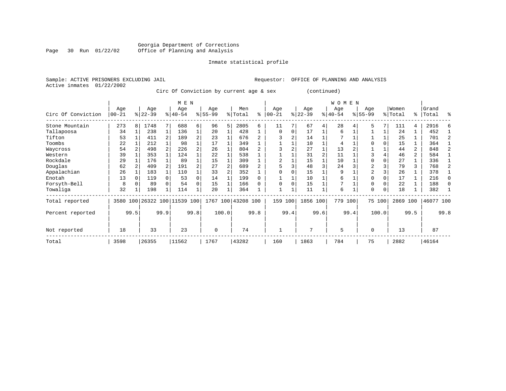#### Georgia Department of Corrections Page 30 Run 01/22/02 Office of Planning and Analysis

# Inmate statistical profile

|                           | Sample: ACTIVE PRISONERS EXCLUDING JAIL | Requestor: OFFICE OF PLANNING AND ANALYSIS |
|---------------------------|-----------------------------------------|--------------------------------------------|
| Active inmates 01/22/2002 |                                         |                                            |

Circ Of Conviction by current age & sex (continued)

|                    |                  |      |                  |                | M E N                   |      |                  |       |                |      |                   |      |                 |                | <b>WOMEN</b>     |      |                  |        |                  |                |                |      |
|--------------------|------------------|------|------------------|----------------|-------------------------|------|------------------|-------|----------------|------|-------------------|------|-----------------|----------------|------------------|------|------------------|--------|------------------|----------------|----------------|------|
| Circ Of Conviction | Age<br>$00 - 21$ |      | Age<br>$ 22-39 $ |                | Age<br>$ 40-54 $        |      | Age<br>$8 55-99$ |       | Men<br>% Total | နွ   | Age<br>$ 00 - 21$ |      | Age<br>$ 22-39$ |                | Age<br>$ 40-54 $ |      | Age<br>$8 55-99$ |        | Women<br>% Total | ွေ             | Grand<br>Total | ి    |
| Stone Mountain     | 273              | 8    | 1748             |                | 688                     | б.   | 96               | 5     | 2805           | 6    | 11                |      | 67              | 4              | 28               |      |                  |        | 111              | 4              | 2916           | Е    |
| Tallapoosa         | 34               |      | 238              | 1              | 136                     | 1    | 20               |       | 428            |      | $\mathbf 0$       | 0    | 17              |                | 6                |      |                  |        | 24               |                | 452            |      |
| Tifton             | 53               |      | 411              | $\overline{a}$ | 189                     | 2    | 23               |       | 676            |      |                   | 2    | 14              |                |                  |      |                  |        | 25               |                | 701            |      |
| Toombs             | 22               |      | 212              |                | 98                      |      | 17               |       | 349            |      |                   |      | 10              |                | 4                |      |                  |        | 15               |                | 364            |      |
| Waycross           | 54               |      | 498              |                | 226                     | 2    | 26               |       | 804            |      |                   |      | 27              |                | 13               |      |                  |        | 44               | 2              | 848            |      |
| Western            | 39               |      | 353              |                | 124                     |      | 22               |       | 538            |      |                   |      | 31              | $\overline{2}$ | 11               |      | 3                |        | 46               | $\overline{a}$ | 584            |      |
| Rockdale           | 29               |      | 176              |                | 89                      |      | 15               |       | 309            |      | 2                 |      | 15              |                | 10               |      | $\Omega$         |        | 27               |                | 336            |      |
| Douglas            | 62               |      | 409              | $\overline{2}$ | 191                     | 2    | 27               |       | 689            |      | 5                 |      | 48              | 3              | 24               |      | $\overline{a}$   |        | 79               | 3              | 768            |      |
| Appalachian        | 26               |      | 183              |                | 110                     |      | 33               |       | 352            |      |                   |      | 15              |                | 9                |      | $\overline{2}$   |        | 26               | 1              | 378            |      |
| Enotah             | 13               |      | 119              |                | 53                      | 0    | 14               |       | 199            |      |                   |      | 10              |                | 6                |      | $\Omega$         |        | 17               |                | 216            |      |
| Forsyth-Bell       | 8                |      | 89               |                | 54                      | 0    | 15               |       | 166            |      | $\Omega$          |      | 15              |                | 7                |      | $\Omega$         |        | 22               |                | 188            |      |
| Towaliga           | 32               |      | 198              |                | 114                     |      | 20               |       | 364            |      |                   |      | 11              |                | 6                |      | $\Omega$         | 0      | 18               |                | 382            |      |
| Total reported     | 3580             |      |                  |                | 100 26322 100 11539 100 |      | 1767             |       | 100 43208 100  |      | 159               | 100  | 1856 100        |                | 779              | 100  |                  | 75 100 | 2869             | 100            | 46077 100      |      |
| Percent reported   |                  | 99.5 |                  | 99.9           |                         | 99.8 |                  | 100.0 |                | 99.8 |                   | 99.4 |                 | 99.6           |                  | 99.4 |                  | 100.0  |                  | 99.5           |                | 99.8 |
| Not reported       | 18               |      | 33               |                | 23                      |      | $\Omega$         |       | 74             |      |                   |      | 7               |                | 5                |      | $\Omega$         |        | 13               |                | 87             |      |
| Total              | 3598             |      | 26355            |                | 11562                   |      | 1767             |       | 43282          |      | 160               |      | 1863            |                | 784              |      | 75               |        | 2882             |                | 46164          |      |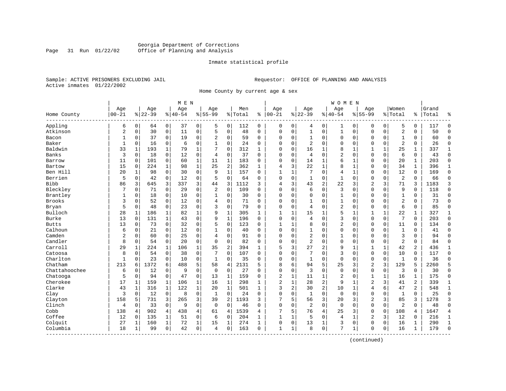### Georgia Department of Corrections<br>Page 31 Run 01/22/02 Office of Planning and Analysis Office of Planning and Analysis

#### Inmate statistical profile

Sample: ACTIVE PRISONERS EXCLUDING JAIL **Requestor:** OFFICE OF PLANNING AND ANALYSIS Active inmates 01/22/2002

Home County by current age & sex

|                         |                |              |           |              | M E N     |              |                |                |         |              |                |              |                |                | <b>WOMEN</b>   |              |                |             |                |                |       |                |
|-------------------------|----------------|--------------|-----------|--------------|-----------|--------------|----------------|----------------|---------|--------------|----------------|--------------|----------------|----------------|----------------|--------------|----------------|-------------|----------------|----------------|-------|----------------|
|                         | Age            |              | Age       |              | Age       |              | Age            |                | Men     |              | Age            |              | Age            |                | Age            |              | Aqe            |             | Women          |                | Grand |                |
| Home County<br>-------- | $00 - 21$      |              | $8 22-39$ |              | $8 40-54$ |              | $8155 - 99$    |                | % Total | ి            | $ 00 - 21$     |              | $8 22-39$      |                | $8 40-54$      |              | $8155 - 99$    |             | % Total        | %              | Total | န္             |
| Appling                 | 6              | $\mathbf 0$  | 64        | $\mathbf 0$  | 37        | 0            | 5              | 0              | 112     | 0            | 0              | $\mathbf 0$  | 4              | 0              | 1              | 0            | $\Omega$       | $\mathbf 0$ | 5              | 0              | 117   | $\Omega$       |
| Atkinson                | $\overline{2}$ | $\mathbf 0$  | 30        | $\mathbf 0$  | 11        | 0            | 5              | $\mathsf 0$    | 48      | $\mathbf 0$  | $\mathbf 0$    | $\mathbf 0$  | $\mathbf{1}$   | $\mathsf 0$    | $\mathbf{1}$   | $\mathbf 0$  | $\mathbf{0}$   | $\mathbf 0$ | $\overline{2}$ | 0              | 50    | $\Omega$       |
| Bacon                   | $\mathbf{1}$   | $\mathbf 0$  | 37        | $\Omega$     | 19        | 0            | 2              | 0              | 59      | $\Omega$     | $\Omega$       | 0            | $\mathbf{1}$   | 0              | 0              | 0            | $\mathbf 0$    | 0           | $\mathbf{1}$   | $\Omega$       | 60    | $\Omega$       |
| Baker                   | $\mathbf{1}$   | 0            | 16        | 0            | 6         | 0            | 1              | 0              | 24      | 0            | $\Omega$       | 0            | 2              | $\mathbf 0$    | 0              | 0            | $\mathbf 0$    | $\mathbf 0$ | $\overline{2}$ | 0              | 26    | $\Omega$       |
| Baldwin                 | 33             | 1            | 193       | 1            | 79        | 1            |                | $\Omega$       | 312     | 1            | $\Omega$       | 0            | 16             | 1              | 8              | 1            | 1              | 1           | 25             | 1              | 337   | 1              |
| Banks                   | 3              | $\mathbf 0$  | 18        | $\Omega$     | 12        | $\mathbf 0$  | 4              | $\mathbf 0$    | 37      | $\Omega$     | $\mathbf 0$    | $\Omega$     | 4              | $\Omega$       | 2              | $\mathbf 0$  | $\mathbf{0}$   | $\mathbf 0$ | 6              | 0              | 43    | $\Omega$       |
| Barrow                  | 11             | 0            | 101       | $\mathbf 0$  | 60        | $\mathbf{1}$ | 11             | $\mathbf{1}$   | 183     | 0            | 0              | $\mathbf 0$  | 14             | $\mathbf{1}$   | 6              | 1            | $\mathbf 0$    | $\mathbf 0$ | 20             | 1              | 203   | $\Omega$       |
| Bartow                  | 15             | $\mathbf 0$  | 224       | $\mathbf 1$  | 98        | $\mathbf 1$  | 25             | $\overline{2}$ | 362     | $\mathbf{1}$ | 4              | 3            | 22             | $\mathbf 1$    | 8              | $\mathbf{1}$ | $\Omega$       | $\mathbf 0$ | 34             | $\mathbf{1}$   | 396   | $\mathbf{1}$   |
| Ben Hill                | 20             | $\mathbf{1}$ | 98        | $\Omega$     | 30        | $\mathbf 0$  | 9              | $\mathbf{1}$   | 157     | $\Omega$     | $\mathbf{1}$   | $\mathbf{1}$ | 7              | $\Omega$       | 4              | $\mathbf{1}$ | $\mathbf{0}$   | $\Omega$    | 12             | $\Omega$       | 169   | $\Omega$       |
| Berrien                 | 5              | 0            | 42        | $\mathbf 0$  | 12        | 0            | 5              | $\mathbf 0$    | 64      | $\Omega$     | $\mathbf 0$    | $\mathbf 0$  | 1              | $\mathbf 0$    | $\mathbf{1}$   | $\mathbf 0$  | $\mathbf{0}$   | $\Omega$    | $\overline{2}$ | 0              | 66    | $\Omega$       |
| <b>Bibb</b>             | 86             | 3            | 645       | 3            | 337       | 3            | 44             | 3              | 1112    | 3            | $\overline{4}$ | 3            | 43             | $\overline{c}$ | 22             | 3            | $\overline{2}$ | 3           | 71             | 3              | 1183  | 3              |
| Bleckley                | 7              | $\Omega$     | 71        | $\Omega$     | 29        | 0            | $\overline{2}$ | $\Omega$       | 109     | $\Omega$     | $\Omega$       | $\Omega$     | 6              | $\Omega$       | 3              | $\Omega$     | $\Omega$       | $\Omega$    | 9              | $\Omega$       | 118   | $\Omega$       |
| Brantley                | 1              | 0            | 18        | $\mathbf 0$  | 10        | $\mathbf 0$  | 1              | $\mathbf 0$    | 30      | $\Omega$     | $\Omega$       | $\Omega$     | $\mathbf 0$    | $\mathbf 0$    | $\mathbf{1}$   | $\mathbf 0$  | $\mathbf{0}$   | $\Omega$    | $\mathbf{1}$   | 0              | 31    | $\Omega$       |
| Brooks                  | 3              | $\mathbf 0$  | 52        | $\mathbf 0$  | 12        | $\mathbf 0$  | 4              | $\mathbf 0$    | 71      | $\Omega$     | $\Omega$       | 0            | $\mathbf{1}$   | $\mathbf 0$    | 1              | $\mathbf 0$  | $\mathbf{0}$   | $\Omega$    | $\overline{a}$ | $\Omega$       | 73    | $\Omega$       |
| Bryan                   | 5              | $\mathbf 0$  | 48        | $\mathbf 0$  | 23        | $\mathbf 0$  | 3              | $\mathbf 0$    | 79      | $\Omega$     | $\mathbf 0$    | 0            | 4              | $\mathbf 0$    | 2              | $\mathbf 0$  | $\mathbf{0}$   | 0           | 6              | 0              | 85    | $\Omega$       |
| Bulloch                 | 28             | 1            | 186       | 1            | 82        | 1            | q              | 1              | 305     | 1            | $\mathbf{1}$   | 1            | 15             | 1              | 5              | 1            | 1              | 1           | 22             | 1              | 327   | 1              |
| Burke                   | 13             | $\mathbf 0$  | 131       | 1            | 43        | 0            | 9              | $\mathbf{1}$   | 196     | $\Omega$     | $\mathbf 0$    | $\Omega$     | 4              | $\Omega$       | 3              | $\mathbf 0$  | $\mathbf{0}$   | 0           | 7              | $\Omega$       | 203   | $\Omega$       |
| <b>Butts</b>            | 13             | 0            | 73        | $\mathbf 0$  | 32        | $\mathbf 0$  | 5              | $\mathbf 0$    | 123     | 0            | 1              | 1            | 8              | 0              | 2              | $\mathbf 0$  | $\mathbf 0$    | $\mathbf 0$ | 11             | 0              | 134   | $\Omega$       |
| Calhoun                 | 6              | $\mathbf 0$  | 21        | $\mathbf 0$  | 12        | $\mathbf 0$  |                | $\mathbf 0$    | 40      | $\mathbf 0$  | $\Omega$       | $\mathbf 0$  | $\mathbf{1}$   | $\mathbf 0$    | $\mathbf 0$    | $\mathbf 0$  | $\mathbf{0}$   | $\mathbf 0$ | $\mathbf{1}$   | 0              | 41    | $\Omega$       |
| Camden                  | $\overline{2}$ | $\Omega$     | 60        | $\Omega$     | 25        | 0            | $\overline{4}$ | $\mathbf 0$    | 91      | $\Omega$     | $\Omega$       | $\Omega$     | $\overline{a}$ | $\Omega$       | $\mathbf{1}$   | $\mathbf 0$  | $\mathbf{0}$   | $\Omega$    | 3              | $\Omega$       | 94    | $\Omega$       |
| Candler                 | 8              | 0            | 54        | $\Omega$     | 20        | $\mathbf 0$  | $\Omega$       | $\Omega$       | 82      | $\Omega$     | $\Omega$       | 0            | $\overline{2}$ | $\mathbf 0$    | $\mathbf 0$    | $\mathbf 0$  | $\mathbf{0}$   | $\Omega$    | $\overline{2}$ | 0              | 84    | $\Omega$       |
| Carroll                 | 29             | 1            | 224       | 1            | 106       | 1            | 35             | $\overline{2}$ | 394     | 1            | 5              | 3            | 27             | $\overline{c}$ | 9              | 1            | 1              | 1           | 42             | 2              | 436   | $\mathbf{1}$   |
| Catoosa                 | 8              | $\Omega$     | 54        | $\Omega$     | 38        | $\mathbf 0$  |                | $\Omega$       | 107     | $\Omega$     | $\Omega$       | $\Omega$     | 7              | $\Omega$       | 3              | $\Omega$     | $\mathbf{0}$   | $\Omega$    | 10             | $\Omega$       | 117   | $\Omega$       |
| Charlton                | 1              | $\Omega$     | 23        | $\Omega$     | 10        | $\mathbf 0$  | 1              | $\mathbf 0$    | 35      | $\Omega$     | $\Omega$       | $\mathbf 0$  | $\mathbf{1}$   | $\mathbf 0$    | $\mathbf 0$    | $\mathbf 0$  | $\mathbf 0$    | $\mathbf 0$ | $\mathbf{1}$   | 0              | 36    | $\Omega$       |
| Chatham                 | 213            | 6            | 1372      | 6            | 488       | 5            | 58             | $\overline{4}$ | 2131    | 5            | 8              | 6            | 94             | 5              | 25             | 3            | $\overline{2}$ | 3           | 129            | 5              | 2260  | 5              |
| Chattahoochee           | 6              | $\mathbf 0$  | 12        | $\mathbf 0$  | 9         | $\mathbf 0$  | $\mathbf 0$    | $\mathbf 0$    | 27      | $\Omega$     | $\mathbf 0$    | 0            | 3              | $\mathbf 0$    | $\mathbf 0$    | $\mathbf 0$  | $\mathbf 0$    | $\mathbf 0$ | 3              | $\Omega$       | 30    | $\Omega$       |
| Chatooga                | 5              | $\mathbf 0$  | 94        | $\mathbf 0$  | 47        | 0            | 13             | 1              | 159     | 0            | $\overline{c}$ | 1            | 11             | 1              | $\overline{2}$ | 0            | 1              | 1           | 16             | 1              | 175   | $\mathbf 0$    |
| Cherokee                | 17             |              | 159       | 1            | 106       | 1            | 16             | 1              | 298     | 1            | $\overline{c}$ | $\mathbf{1}$ | 28             | 2              | 9              | $\mathbf 1$  | $\overline{2}$ | 3           | 41             | 2              | 339   | $\mathbf 1$    |
| Clarke                  | 43             | $\mathbf{1}$ | 316       | $\mathbf{1}$ | 122       | $\mathbf{1}$ | 20             | $\mathbf{1}$   | 501     | $\mathbf{1}$ | 3              | 2            | 30             | $\overline{2}$ | 10             | $\mathbf{1}$ | $\overline{4}$ | 6           | 47             | $\overline{a}$ | 548   | $\mathbf{1}$   |
| Clay                    | 3              | $\Omega$     | 12        | $\mathbf 0$  | 8         | $\Omega$     | $\mathbf{1}$   | $\Omega$       | 24      | $\Omega$     | $\Omega$       | $\Omega$     | $\mathbf{1}$   | $\Omega$       | $\mathbf 0$    | $\Omega$     | $\mathbf{0}$   | $\Omega$    | $\mathbf{1}$   | $\Omega$       | 25    | $\Omega$       |
| Clayton                 | 158            | 5            | 731       | 3            | 265       | 3            | 39             | $\overline{2}$ | 1193    | 3            |                | 5            | 56             | 3              | 20             | 3            | $\overline{2}$ | 3           | 85             | 3              | 1278  | 3              |
| Clinch                  | 4              | $\mathbf 0$  | 33        | $\Omega$     | 9         | $\Omega$     | $\Omega$       | $\Omega$       | 46      | $\Omega$     | $\Omega$       | $\Omega$     | $\overline{a}$ | $\Omega$       | $\Omega$       | $\mathbf 0$  | $\mathbf 0$    | $\Omega$    | $\overline{2}$ | $\Omega$       | 48    | $\Omega$       |
| Cobb                    | 138            | 4            | 902       | 4            | 438       | 4            | 61             | $\overline{4}$ | 1539    | 4            | 7              | 5            | 76             | 4              | 25             | 3            | $\mathbf 0$    | $\mathbf 0$ | 108            | 4              | 1647  | $\overline{4}$ |
| Coffee                  | 12             | 0            | 135       | 1            | 51        | 0            | 6              | $\mathbf 0$    | 204     | 1            | 1              | 1            | 5              | $\mathbf 0$    | $\overline{4}$ | 1            | $\overline{2}$ | 3           | 12             | 0              | 216   | 1              |
| Colquit                 | 27             | 1            | 160       | 1            | 72        | $\mathbf 1$  | 15             | 1              | 274     | $\mathbf{1}$ | $\Omega$       | 0            | 13             | 1              | 3              | $\mathbf 0$  | $\mathbf 0$    | 0           | 16             | 1              | 290   | $\mathbf{1}$   |
| Columbia                | 18             | 1            | 99        | $\mathbf 0$  | 42        | 0            | 4              | 0              | 163     | 0            | 1              | 1            | 8              | $\mathbf 0$    | 7              | 1            | $\mathbf 0$    | 0           | 16             | 1              | 179   | $\Omega$       |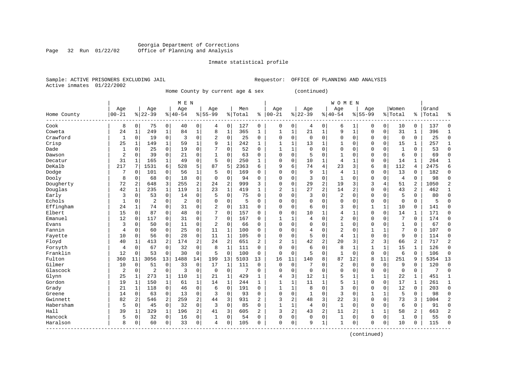#### Georgia Department of Corrections Page 32 Run 01/22/02 Office of Planning and Analysis

# Inmate statistical profile

|  | Sample: ACTIVE PRISONERS EXCLUDING JAII |  |
|--|-----------------------------------------|--|
|  | Active inmates 01/22/2002               |  |

Sample: ACTIVE PRISONERS EXCLUDING ACTIVE PRISONERS EXCLUDING AND ANALYSIS

Home County by current age & sex (continued)

|                         |                |              |                |                | M E N          |                |                |              |           |                |                |              |              |                | <b>WOMEN</b>   |                |                |             |                |                |           |                |
|-------------------------|----------------|--------------|----------------|----------------|----------------|----------------|----------------|--------------|-----------|----------------|----------------|--------------|--------------|----------------|----------------|----------------|----------------|-------------|----------------|----------------|-----------|----------------|
|                         | Age            |              | Age            |                | Age            |                | Age            |              | Men       |                | Age            |              | Age          |                | Age            |                | Age            |             | Women          |                | Grand     |                |
| Home County<br>-------  | $00 - 21$      |              | $8 22-39$      |                | $8140 - 54$    |                | $8155 - 99$    |              | %   Total | ి              | $ 00 - 21$     |              | $8 22-39$    |                | $8140 - 54$    |                | $8155 - 99$    |             | % Total        |                | %   Total | န္             |
| Cook                    | 8              | 0            | 75             | 0              | 40             | 0              | 4              | 0            | 127       | 0              | $\mathbf 0$    | 0            | 4            | 0              | 6              | 1              | $\Omega$       | 0           | 10             | 0              | 137       | $\Omega$       |
| Coweta                  | 24             | 1            | 249            | $\mathbf{1}$   | 84             | 1              | 8              | $\mathbf 1$  | 365       | 1              | 1              | $\mathbf 1$  | 21           | 1              | 9              | $\mathbf{1}$   | $\Omega$       | $\Omega$    | 31             | $\mathbf{1}$   | 396       | 1              |
| Crawford                | 1              | $\Omega$     | 19             | 0              | 3              | $\Omega$       | $\overline{c}$ | $\Omega$     | 25        | $\Omega$       | $\Omega$       | 0            | $\Omega$     | $\Omega$       | $\Omega$       | $\mathbf 0$    | $\Omega$       | $\Omega$    | $\mathbf 0$    | 0              | 25        | $\Omega$       |
| Crisp                   | 25             | $\mathbf{1}$ | 149            | $\mathbf{1}$   | 59             | $\mathbf{1}$   | 9              | $\mathbf 1$  | 242       | $\mathbf{1}$   | $\mathbf{1}$   | 1            | 13           | 1              | 1              | $\mathbf 0$    | $\Omega$       | $\Omega$    | 15             | 1              | 257       | $\mathbf{1}$   |
| Dade                    | 1              | 0            | 25             | $\mathbf 0$    | 19             | 0              |                | $\mathbf 0$  | 52        | $\Omega$       | $\mathbf{1}$   | $\mathbf{1}$ | $\mathbf{0}$ | 0              | $\Omega$       | $\Omega$       | $\Omega$       | 0           | $\mathbf{1}$   | $\Omega$       | 53        | $\Omega$       |
| Dawson                  | $\overline{2}$ | 0            | 39             | $\mathbf 0$    | 21             | 0              |                | $\mathbf 0$  | 63        | $\Omega$       | $\Omega$       | 0            | 5            | $\Omega$       | $\mathbf{1}$   | $\Omega$       | $\Omega$       | 0           | 6              | $\Omega$       | 69        | $\Omega$       |
| Decatur                 | 31             | 1            | 165            | $\mathbf{1}$   | 49             | 0              | 5              | $\Omega$     | 250       | 1              | $\Omega$       | 0            | 10           | $\mathbf{1}$   | $\overline{4}$ | 1              | $\mathbf{0}$   | $\mathbf 0$ | 14             | $\mathbf{1}$   | 264       | $\mathbf{1}$   |
| DeKalb                  | 217            | 7            | 1531           | 6              | 528            | 5              | 87             | 5            | 2363      | 6              | 9              | б.           | 74           | 4              | 23             | 3              | 6              | 8           | 112            | 4              | 2475      | 6              |
| Dodge                   | 7              | 0            | 101            | $\Omega$       | 56             | 1              | 5              | $\Omega$     | 169       | U              | $\Omega$       | 0            | 9            | 1              | $\overline{4}$ | $\mathbf{1}$   | $\Omega$       | $\Omega$    | 13             | 0              | 182       | $\Omega$       |
| Dooly                   | 8              | 0            | 68             | 0              | 18             | 0              | $\Omega$       | 0            | 94        | 0              | $\Omega$       | 0            | 3            | $\Omega$       | 1              | $\Omega$       | $\Omega$       | $\Omega$    | $\overline{4}$ | $\Omega$       | 98        | $\Omega$       |
| Dougherty               | 72             | 2            | 648            | 3              | 255            | 2              | 24             | 2            | 999       | 3              | $\Omega$       | O            | 29           | $\overline{2}$ | 19             | 3              | 3              | 4           | 51             | 2              | 1050      | 2              |
| Douglas                 | 42             | $\mathbf{1}$ | 235            | $\mathbf{1}$   | 119            | $\mathbf{1}$   | 23             | $\mathbf{1}$ | 419       | 1              | $\overline{2}$ | 1            | 27           | $\overline{2}$ | 14             | 2              | $\Omega$       | $\Omega$    | 43             | $\overline{a}$ | 462       | 1              |
| Early                   | 3              | $\Omega$     | 53             | $\mathbf 0$    | 14             | 0              | 5              | $\Omega$     | 75        | $\Omega$       | $\Omega$       | O            | 3            | $\Omega$       | 2              | $\Omega$       | $\Omega$       | $\Omega$    | 5              | 0              | 80        | $\Omega$       |
| Echols                  | 1              | 0            | $\overline{c}$ | 0              | $\overline{c}$ | 0              | $\Omega$       | $\mathbf 0$  | 5         | O              | $\Omega$       | O            | $\mathbf 0$  | 0              | $\Omega$       | $\Omega$       | $\Omega$       | $\mathbf 0$ | $\mathbf 0$    | 0              | 5         |                |
| Effingham               | 24             | 1            | 74             | 0              | 31             | 0              | $\overline{2}$ | 0            | 131       | $\Omega$       | $\Omega$       | 0            | 6            | $\Omega$       | 3              | $\mathbf 0$    | 1              | 1           | 10             | 0              | 141       | $\cap$         |
| Elbert                  | 15             | 0            | 87             | $\mathbf 0$    | 48             | 0              |                | $\mathbf 0$  | 157       | $\Omega$       | $\Omega$       | 0            | 10           | 1              | 4              | 1              | $\Omega$       | 0           | 14             | $\mathbf{1}$   | 171       | $\Omega$       |
| Emanuel                 | 12             | 0            | 117            | 0              | 31             | 0              | 7              | 0            | 167       | $\Omega$       | 1              | 1            | 4            | $\Omega$       | 2              | $\mathbf 0$    | $\Omega$       | 0           | 7              | $\mathbf 0$    | 174       | $\Omega$       |
| Evans                   | 3              | 0            | 50             | 0              | 11             | 0              | $\overline{2}$ | 0            | 66        | 0              | $\Omega$       | 0            | $\mathbf 0$  | $\Omega$       | 1              | 0              | 0              | 0           | $\mathbf{1}$   | 0              | 67        | $\Omega$       |
| Fannin                  | 4              | 0            | 60             | 0              | 25             | 0              | 11             | 1            | 100       | $\Omega$       | $\Omega$       | 0            | 4            | $\Omega$       | $\overline{2}$ | $\mathbf 0$    | 1              | 1           | 7              | 0              | 107       | $\Omega$       |
| Fayette                 | 10             | 0            | 56             | 0              | 28             | 0              | 11             | 1            | 105       | $\Omega$       | $\Omega$       | O            | 5            | 0              | 4              | 1              | $\Omega$       | $\Omega$    | 9              | 0              | 114       | $\Omega$       |
| Floyd                   | 40             | $\mathbf{1}$ | 413            | 2              | 174            | $\overline{a}$ | 24             | 2            | 651       | $\overline{2}$ | 2              | 1            | 42           | $\overline{2}$ | 20             | 3              | $\overline{c}$ | 3           | 66             | 2              | 717       | $\overline{2}$ |
| Forsyth                 | 4              | $\Omega$     | 67             | 0              | 32             | 0              | 8              | $\mathbf{1}$ | 111       | $\Omega$       | $\Omega$       | $\Omega$     | 6            | $\Omega$       | 8              | $\mathbf{1}$   | 1              | 1           | 15             | 1              | 126       | $\Omega$       |
| Franklin                | 12             | 0            | 53             | $\mathbf 0$    | 30             | 0              | 5              | $\Omega$     | 100       | 0              | 0              | 0            | 5            | 0              | 1              | $\mathbf 0$    | $\Omega$       | $\mathbf 0$ | 6              | 0              | 106       | $\Omega$       |
| Fulton                  | 360            | 11           | 3056           | 13             | 1488           | 14             | 199            | 13           | 5103      | 13             | 16             | 11           | 140          | 8              | 87             | 12             | 8              | 11          | 251            | 9              | 5354      | 13             |
| Gilmer                  | 10             | $\mathbf 0$  | 51             | $\mathbf 0$    | 33             | 0              | 17             | $\mathbf{1}$ | 111       | 0              | $\mathbf 0$    | $\mathbf 0$  | 7            | $\Omega$       | $\overline{2}$ | $\mathbf 0$    | $\mathbf 0$    | $\mathbf 0$ | 9              | $\mathbf 0$    | 120       | $\Omega$       |
| Glascock                | 2              | 0            | 2              | $\mathbf 0$    | 3              | 0              | $\mathbf 0$    | $\mathbf 0$  | 7         | 0              | $\Omega$       | 0            | $\mathbf 0$  | $\Omega$       | $\Omega$       | $\Omega$       | $\mathbf 0$    | $\mathbf 0$ | $\mathbf 0$    | $\mathbf 0$    | 7         | $\mathbf 0$    |
| Glynn                   | 25             | 1            | 273            | 1              | 110            | 1              | 21             | 1            | 429       | 1              | 4              | 3            | 12           | 1              | 5              | $\mathbf{1}$   | 1              | 1           | 22             | 1              | 451       | 1              |
| Gordon                  | 19             | 1            | 150            | 1              | 61             | 1              | 14             | 1            | 244       | 1              |                | 1            | 11           | 1              | 5              | 1              | $\Omega$       | $\Omega$    | 17             | $\mathbf 1$    | 261       | 1              |
| Grady                   | 21             | 1            | 118            | 0              | 46             | 0              | 6              | $\Omega$     | 191       | $\Omega$       | $\mathbf{1}$   | 1            | 8            | $\Omega$       | 3              | $\Omega$       | $\Omega$       | $\Omega$    | 12             | $\Omega$       | 203       | $\Omega$       |
| Greene                  | 14             | $\Omega$     | 63             | $\Omega$       | 13             | 0              | 3              | $\Omega$     | 93        | $\Omega$       | $\Omega$       | $\Omega$     | 1            | $\Omega$       | 3              | $\Omega$       | 1              | 1           | 5              | $\Omega$       | 98        | ∩              |
| Gwinnett                | 82             | 2            | 546            | $\overline{a}$ | 259            | $\overline{a}$ | 44             | 3            | 931       | 2              | 3              | 2            | 48           | 3              | 22             | 3              | $\Omega$       | $\Omega$    | 73             | 3              | 1004      | 2              |
| Habersham               | 5              | $\Omega$     | 45             | $\mathbf 0$    | 32             | 0              | 3              | $\mathbf 0$  | 85        | $\Omega$       | $\mathbf{1}$   | $\mathbf{1}$ | 4            | $\mathbf 0$    | $\mathbf{1}$   | $\mathbf 0$    | $\Omega$       | $\mathbf 0$ | 6              | 0              | 91        | $\Omega$       |
| Hall                    | 39             | 1            | 329            | $\mathbf{1}$   | 196            | 2              | 41             | 3            | 605       | $\overline{2}$ | 3              | 2            | 43           | 2              | 11             | $\overline{a}$ | 1              | 1           | 58             | 2              | 663       | $\overline{2}$ |
| Hancock                 | 5              | 0            | 32             | $\mathbf 0$    | 16             | 0              | 1              | $\mathbf 0$  | 54        | 0              | $\Omega$       | 0            | $\mathbf{0}$ | $\mathbf 0$    | $\mathbf{1}$   | 0              | $\Omega$       | $\mathbf 0$ | $\mathbf{1}$   | 0              | 55        | $\Omega$       |
| Haralson<br>$- - - - -$ | 8              | 0            | 60             | 0              | 33             | 0              | $\overline{4}$ | $\Omega$     | 105       | $\Omega$       | $\Omega$       | 0            | 9            | 1              | $\mathbf{1}$   | $\Omega$       | $\Omega$       | 0           | 10             | 0              | 115       | $\Omega$       |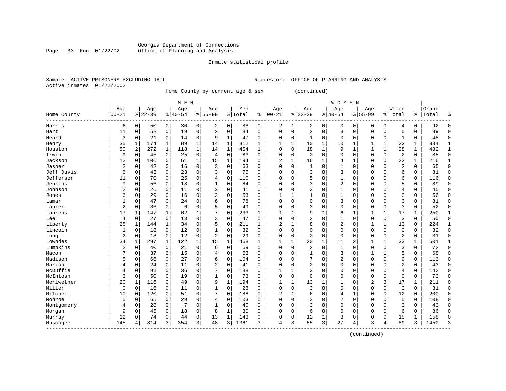#### Georgia Department of Corrections Page 33 Run 01/22/02 Office of Planning and Analysis

# Inmate statistical profile

|                | Sample: ACTIVE PRISONERS EXCLUDING JAII |  |
|----------------|-----------------------------------------|--|
| Active inmates | 01/22/2002                              |  |

L Sample: ACTIVE PRISONERS EXCLUDING AND ANALYSIS

Home County by current age & sex (continued)

|                       |                |             |          |              | M E N       |             |                |              |         |          |                         |              |                |              | <b>WOMEN</b>   |              |              |              |                |              |           |              |
|-----------------------|----------------|-------------|----------|--------------|-------------|-------------|----------------|--------------|---------|----------|-------------------------|--------------|----------------|--------------|----------------|--------------|--------------|--------------|----------------|--------------|-----------|--------------|
|                       | Age            |             | Age      |              | Age         |             | Age            |              | Men     |          | Age                     |              | Age            |              | Age            |              | Age          |              | Women          |              | Grand     |              |
| Home County<br>------ | $00 - 21$      |             | $ 22-39$ |              | $8140 - 54$ |             | $8 55-99$      |              | % Total | ႜ        | $00 - 21$               |              | $ 22-39$       |              | $ 40-54$       |              | $8155 - 99$  |              | % Total        |              | %   Total | ႜ            |
| Harris                | 6              | 0           | 50       | 0            | 30          | 0           | 2              | 0            | 88      | 0        | 2                       | 1            | 2              | 0            | 0              | 0            | 0            | 0            | 4              | 0            | 92        | $\Omega$     |
| Hart                  | 11             | 0           | 52       | 0            | 19          | 0           | $\overline{2}$ | 0            | 84      | $\Omega$ | $\Omega$                | 0            | 2              | $\mathbf 0$  | 3              | 0            | $\mathbf 0$  | 0            | 5              | 0            | 89        | $\Omega$     |
| Heard                 | 3              | 0           | 21       | 0            | 14          | 0           | 9              | 1            | 47      | 0        | $\Omega$                | $\Omega$     | $\mathbf{1}$   | 0            | $\mathbf 0$    | $\mathbf 0$  | 0            | $\Omega$     | $\mathbf{1}$   | $\Omega$     | 48        | $\Omega$     |
| Henry                 | 35             | 1           | 174      | $\mathbf{1}$ | 89          | 1           | 14             | $\mathbf 1$  | 312     | 1        | 1                       | $\mathbf{1}$ | 10             | $\mathbf{1}$ | 10             | 1            | $\mathbf{1}$ | $\mathbf{1}$ | 22             | 1            | 334       | $\mathbf{1}$ |
| Houston               | 50             | 2           | 272      | $\mathbf{1}$ | 118         | 1           | 14             | $\mathbf{1}$ | 454     | 1        | $\mathbf 0$             | $\Omega$     | 18             | $\mathbf 1$  | 9              | $\mathbf{1}$ | 1            | $\mathbf{1}$ | 28             | 1            | 482       | $\mathbf{1}$ |
| Irwin                 | 9              | $\mathbf 0$ | 45       | 0            | 25          | $\mathbf 0$ | 4              | 0            | 83      | 0        | $\Omega$                | 0            | 2              | $\mathbf 0$  | $\Omega$       | 0            | 0            | $\mathbf 0$  | $\overline{c}$ | 0            | 85        | $\Omega$     |
| Jackson               | 12             | 0           | 106      | 0            | 61          | 1           | 15             | $1\,$        | 194     | $\Omega$ | $\overline{c}$          | 1            | 16             | 1            | 4              | 1            | $\Omega$     | 0            | 22             | 1            | 216       | $\mathbf{1}$ |
| Jasper                | $\overline{2}$ | 0           | 42       | 0            | 16          | 0           | 3              | 0            | 63      | 0        | $\Omega$                | $\Omega$     | $\mathbf{1}$   | 0            | $\mathbf{1}$   | 0            | $\Omega$     | $\mathbf 0$  | $\overline{c}$ | 0            | 65        | $\Omega$     |
| Jeff Davis            | 6              | 0           | 43       | $\mathbf 0$  | 23          | 0           | 3              | 0            | 75      | 0        | $\Omega$                | 0            | 3              | 0            | 3              | 0            | 0            | 0            | 6              | 0            | 81        | $\Omega$     |
| Jefferson             | 11             | 0           | 70       | 0            | 25          | 0           | 4              | $\mathbf 0$  | 110     | 0        | $\cap$                  | O            | 5              | 0            |                | 0            | 0            | $\Omega$     | 6              | 0            | 116       | $\Omega$     |
| Jenkins               | 9              | $\mathbf 0$ | 56       | $\mathbf 0$  | 18          | 0           | 1              | $\mathbf 0$  | 84      | 0        | $\Omega$                | 0            | 3              | 0            | $\overline{2}$ | 0            | $\Omega$     | 0            | 5              | $\Omega$     | 89        | $\Omega$     |
| Johnson               | 2              | $\mathbf 0$ | 26       | $\mathbf 0$  | 11          | 0           | $\overline{2}$ | $\mathbf 0$  | 41      | $\Omega$ | $\Omega$                | $\Omega$     | 3              | 0            |                | $\mathbf 0$  | $\Omega$     | $\Omega$     | 4              | $\Omega$     | 45        | $\Omega$     |
| Jones                 | б              | $\mathbf 0$ | 29       | $\mathbf 0$  | 16          | $\mathbf 0$ | 2              | $\mathbf 0$  | 53      | 0        |                         | 1            | $\mathbf{1}$   | 0            |                | $\mathbf 0$  | $\Omega$     | $\Omega$     | 3              | 0            | 56        | $\Omega$     |
| Lamar                 |                | $\mathbf 0$ | 47       | $\mathbf 0$  | 24          | 0           | 6              | 0            | 78      | 0        | $\Omega$                | $\Omega$     | $\mathbf 0$    | 0            | 3              | $\mathbf 0$  | 0            | $\mathbf 0$  | 3              | 0            | 81        | $\Omega$     |
| Lanier                | 2              | $\mathbf 0$ | 36       | 0            | 6           | 0           |                | 0            | 49      | $\Omega$ | $\Omega$                | 0            | 3              | 0            | 0              | $\mathbf 0$  | 0            | 0            | 3              | 0            | 52        | $\Omega$     |
| Laurens               | 17             | 1           | 147      | $\mathbf{1}$ | 62          | 1           |                | $\mathbf 0$  | 233     | 1        | 1                       | 1            | 9              | 1            | 6              | 1            | 1            | $\mathbf{1}$ | 17             | 1            | 250       | $\mathbf{1}$ |
| Lee                   | $\overline{4}$ | $\mathbf 0$ | 27       | $\mathbf 0$  | 13          | $\mathbf 0$ | 3              | $\mathbf 0$  | 47      | 0        | $\Omega$                | $\Omega$     | $\overline{2}$ | $\mathbf 0$  | $\mathbf{1}$   | $\mathbf 0$  | $\mathbf 0$  | $\mathbf 0$  | 3              | $\Omega$     | 50        | $\Omega$     |
| Liberty               | 28             | 1           | 144      | $\mathbf{1}$ | 34          | $\mathbf 0$ | 5              | $\mathbf 0$  | 211     | 1        | $\overline{c}$          |              | 8              | $\mathbf 0$  | $\overline{2}$ | $\mathbf 0$  | $\mathbf{1}$ | $\mathbf{1}$ | 13             | 0            | 224       | 1            |
| Lincoln               | 1              | 0           | 18       | $\mathbf 0$  | 12          | $\mathbf 0$ |                | $\mathbf 0$  | 32      | 0        | $\Omega$                | 0            | $\Omega$       | 0            | $\Omega$       | $\mathbf 0$  | 0            | $\mathbf 0$  | $\mathbf 0$    | $\Omega$     | 32        | $\Omega$     |
| Long                  | $\overline{c}$ | $\mathbf 0$ | 13       | $\mathbf 0$  | 12          | 0           | $\overline{2}$ | $\mathbf 0$  | 29      | 0        | $\Omega$                | 0            | $\overline{2}$ | $\mathbf 0$  | $\mathbf 0$    | $\mathbf 0$  | 0            | $\mathbf 0$  | $\overline{c}$ | 0            | 31        | $\Omega$     |
| Lowndes               | 34             | 1           | 297      | $\mathbf{1}$ | 122         | 1           | 15             | $\mathbf 1$  | 468     | 1        |                         | 1            | 20             | $\mathbf 1$  | 11             | 2            | $\mathbf{1}$ | $\mathbf{1}$ | 33             | $\mathbf{1}$ | 501       | 1            |
| Lumpkins              | $\sqrt{2}$     | $\mathbf 0$ | 40       | 0            | 21          | 0           | 6              | $\mathbf 0$  | 69      | $\Omega$ | $\Omega$                | $\Omega$     | $\overline{2}$ | $\Omega$     | 1              | $\Omega$     | $\Omega$     | $\Omega$     | 3              | $\Omega$     | 72        | $\Omega$     |
| Macon                 |                | $\mathbf 0$ | 37       | $\mathbf 0$  | 15          | 0           | 4              | $\mathbf 0$  | 63      | $\Omega$ | 0                       | $\Omega$     | $\mathbf{1}$   | 0            | 3              | $\mathbf 0$  | 1            | 1            | 5              | 0            | 68        | $\Omega$     |
| Madison               | 5              | $\mathbf 0$ | 66       | $\mathbf 0$  | 27          | $\mathbf 0$ | 6              | 0            | 104     | $\Omega$ | 0                       | $\Omega$     | 7              | 0            | $\overline{c}$ | $\mathbf 0$  | $\mathbf 0$  | $\mathbf 0$  | 9              | 0            | 113       | $\Omega$     |
| Marion                | 4              | $\mathbf 0$ | 24       | $\mathbf 0$  | 11          | 0           | $\overline{c}$ | $\mathbf 0$  | 41      | $\Omega$ | $\Omega$                | O            | $\overline{2}$ | 0            | $\Omega$       | $\mathbf 0$  | $\Omega$     | $\Omega$     | $\overline{c}$ | $\Omega$     | 43        | $\Omega$     |
| McDuffie              | 4              | $\mathbf 0$ | 91       | 0            | 36          | 0           |                | $\mathbf 0$  | 138     | $\Omega$ | 1                       | 1            | 3              | 0            | $\Omega$       | $\mathbf 0$  | 0            | $\Omega$     | 4              | 0            | 142       | $\Omega$     |
| McIntosh              | 3              | 0           | 50       | 0            | 19          | 0           | 1              | 0            | 73      | 0        | $\Omega$                | 0            | $\Omega$       | 0            | $\Omega$       | 0            | $\Omega$     | $\Omega$     | $\mathbf 0$    | 0            | 73        | $\Omega$     |
| Meriwether            | 20             | 1           | 116      | 0            | 49          | 0           | 9              | 1            | 194     | 0        |                         |              | 13             | 1            | 1              | 0            | 2            | 3            | 17             | 1            | 211       | $\Omega$     |
| Miller                | 0              | 0           | 16       | 0            | 11          | 0           | 1              | 0            | 28      | $\Omega$ | $\Omega$                | 0            | 3              | O            | $\Omega$       | 0            | 0            | 0            | 3              | 0            | 31        | $\Omega$     |
| Mitchell              | 10             | $\mathbf 0$ | 120      | 0            | 51          | 0           | 7              | $\Omega$     | 188     | $\Omega$ | $\overline{\mathbf{c}}$ | $\mathbf{1}$ | 6              | O            | 4              | 1            | $\Omega$     | $\Omega$     | 12             | $\Omega$     | 200       | $\Omega$     |
| Monroe                | 5              | $\mathbf 0$ | 65       | 0            | 29          | 0           | 4              | $\mathbf 0$  | 103     | $\Omega$ | $\Omega$                | $\Omega$     | 3              | 0            | $\overline{2}$ | $\mathbf 0$  | $\Omega$     | $\Omega$     | 5              | 0            | 108       | $\Omega$     |
| Montgomery            | 4              | 0           | 28       | $\mathbf 0$  | 7           | 0           | 1              | 0            | 40      | $\Omega$ | $\Omega$                | $\Omega$     | 3              | 0            | $\Omega$       | 0            | $\Omega$     | $\mathbf 0$  | 3              | 0            | 43        | $\Omega$     |
| Morgan                | 9              | $\mathbf 0$ | 45       | $\mathbf 0$  | 18          | 0           | 8              | $\mathbf 1$  | 80      | 0        | <sup>0</sup>            | 0            | 6              | 0            | C              | $\mathbf 0$  | 0            | $\mathbf 0$  | 6              | 0            | 86        |              |
| Murray                | 12             | 0           | 74       | $\mathbf 0$  | 44          | 0           | 13             | $\mathbf 1$  | 143     | $\Omega$ | $\Omega$                | 0            | 12             | $\mathbf 1$  | 3              | 0            | 0            | 0            | 15             | 1            | 158       | ∩            |
| Muscogee              | 145            | 4           | 814      | 3            | 354         | 3           | 48             | 3            | 1361    | 3        | $\overline{4}$          | 3            | 55             | 3            | 27             | 4            | 3            | 4            | 89             | 3            | 1450      | 3            |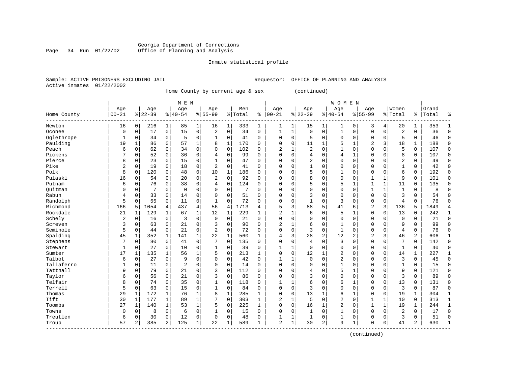#### Georgia Department of Corrections Page 34 Run 01/22/02 Office of Planning and Analysis

# Inmate statistical profile

|                | Sample: ACTIVE PRISONERS EXCLUDING JAI |  |
|----------------|----------------------------------------|--|
| Active inmates | 01/22/2002                             |  |

Sample: ACTIVE PRISONERS EXCLUDING ACTIVE PRISONERS EXCLUDING AND ANALYSIS

Home County by current age & sex (continued)

|             |                |              |           |              | M E N          |              |                |              |         |              |                |              |                |              | WOMEN          |             |                |              |                |             |           |                |
|-------------|----------------|--------------|-----------|--------------|----------------|--------------|----------------|--------------|---------|--------------|----------------|--------------|----------------|--------------|----------------|-------------|----------------|--------------|----------------|-------------|-----------|----------------|
|             | Age            |              | Age       |              | Age            |              | Age            |              | Men     |              | Age            |              | Age            |              | Age            |             | Age            |              | Women          |             | Grand     |                |
| Home County | $00 - 21$      |              | $8 22-39$ |              | $8 40-54$      |              | $8155 - 99$    |              | % Total | ి            | $ 00 - 21$     |              | $8 22-39$      |              | $8140 - 54$    |             | $8155 - 99$    |              | % Total        |             | %   Total | န္             |
| Newton      | 16             | $\Omega$     | 216       | 1            | 85             | 1            | 16             |              | 333     | 1            | 1              | 1            | 15             | 1            | 1              | 0           | 3              | 4            | 20             | 1           | 353       |                |
| Oconee      | 0              | 0            | 17        | 0            | 15             | 0            | $\overline{2}$ | $\Omega$     | 34      | $\Omega$     | $\mathbf{1}$   | 1            | $\Omega$       | $\Omega$     | 1              | $\mathbf 0$ | $\Omega$       | 0            | $\overline{2}$ | $\Omega$    | 36        | $\Omega$       |
| Oglethrope  | 1              | $\Omega$     | 34        | $\Omega$     | 5              | 0            | 1              | $\Omega$     | 41      | $\Omega$     | $\mathbf 0$    | $\Omega$     | 5              | $\Omega$     | $\Omega$       | $\mathbf 0$ | $\Omega$       | $\Omega$     | 5              | $\Omega$    | 46        | $\Omega$       |
| Paulding    | 19             | $\mathbf{1}$ | 86        | $\Omega$     | 57             | $\mathbf{1}$ | 8              | $\mathbf{1}$ | 170     | $\Omega$     | $\Omega$       | $\mathbf 0$  | 11             | 1            | 5              | 1           | $\overline{2}$ | 3            | 18             | 1           | 188       | $\Omega$       |
| Peach       | 6              | $\mathbf 0$  | 62        | $\Omega$     | 34             | $\mathbf 0$  | $\Omega$       | $\mathbf 0$  | 102     | $\Omega$     | $\overline{2}$ | $\mathbf 1$  | $\overline{a}$ | $\mathbf 0$  | $\mathbf{1}$   | $\mathbf 0$ | $\Omega$       | $\Omega$     | 5              | $\Omega$    | 107       | $\Omega$       |
| Pickens     |                | $\mathbf 0$  | 52        | $\mathbf 0$  | 36             | $\mathbf 0$  | 4              | $\mathbf 0$  | 99      | $\Omega$     | $\Omega$       | 0            | 4              | 0            | 4              | $\mathbf 1$ | $\mathbf 0$    | 0            | 8              | 0           | 107       | $\Omega$       |
| Pierce      | 8              | $\mathbf 0$  | 23        | $\mathbf 0$  | 15             | $\mathbf 0$  | 1              | $\mathbf 0$  | 47      | $\Omega$     | $\Omega$       | $\Omega$     | 2              | $\mathbf 0$  | $\mathbf 0$    | $\mathbf 0$ | $\mathbf 0$    | $\Omega$     | $\overline{2}$ | $\mathbf 0$ | 49        | $\Omega$       |
| Pike        | 2              | $\mathbf 0$  | 19        | $\mathbf 0$  | 18             | $\mathbf 0$  | $\overline{2}$ | 0            | 41      | $\Omega$     | $\Omega$       | 0            | $\mathbf{1}$   | $\Omega$     | 0              | $\mathbf 0$ | $\mathbf{0}$   | $\Omega$     | 1              | 0           | 42        | $\Omega$       |
| Polk        | 8              | $\mathbf 0$  | 120       | 0            | 48             | $\mathbf 0$  | 10             | 1            | 186     | 0            | $\Omega$       | 0            | 5              | $\mathbf 0$  | 1              | $\mathbf 0$ | $\mathbf{0}$   | 0            | 6              | 0           | 192       | $\mathbf{0}$   |
| Pulaski     | 16             | 0            | 54        | 0            | 20             | $\mathbf 0$  | $\overline{2}$ | $\mathbf 0$  | 92      | 0            | $\Omega$       | $\Omega$     | 8              | $\Omega$     | $\mathbf 0$    | $\mathbf 0$ | $\mathbf{1}$   | $\mathbf{1}$ | 9              | 0           | 101       | $\Omega$       |
| Putnam      | 6              | $\Omega$     | 76        | $\Omega$     | 38             | 0            | 4              | $\Omega$     | 124     | O            | $\Omega$       | $\Omega$     | 5              | $\mathbf 0$  | 5              | 1           | $\mathbf{1}$   | $\mathbf{1}$ | 11             | 0           | 135       | $\Omega$       |
| Ouitman     | 0              | $\Omega$     | 7         | $\Omega$     | $\overline{0}$ | 0            | $\Omega$       | $\Omega$     | 7       | $\Omega$     | $\Omega$       | $\Omega$     | $\Omega$       | $\Omega$     | $\mathbf 0$    | $\mathbf 0$ | $\mathbf{1}$   | $\mathbf{1}$ | $\mathbf{1}$   | 0           | 8         |                |
| Rabun       | 4              | $\Omega$     | 33        | $\Omega$     | 14             | 0            | $\Omega$       | $\Omega$     | 51      | $\Omega$     | $\Omega$       | $\Omega$     | 3              | $\Omega$     | $\Omega$       | $\Omega$    | $\Omega$       | $\Omega$     | 3              | $\Omega$    | 54        | ∩              |
| Randolph    | 5              | $\Omega$     | 55        | $\Omega$     | 11             | 0            | 1              | $\Omega$     | 72      | $\Omega$     | $\Omega$       | 0            | $\mathbf{1}$   | 0            | 3              | $\mathbf 0$ | $\mathbf{0}$   | $\mathbf 0$  | $\overline{4}$ | $\Omega$    | 76        | ∩              |
| Richmond    | 166            | 5            | 1054      | 4            | 437            | 4            | 56             | 4            | 1713    | 4            | 5              | 3            | 88             | 5            | 41             | 6           | 2              | 3            | 136            | 5           | 1849      | $\overline{4}$ |
| Rockdale    | 21             | 1            | 129       | 1            | 67             | 1            | 12             | 1            | 229     | 1            | $\overline{a}$ | 1            | 6              | 0            | 5              | 1           | $\mathbf 0$    | 0            | 13             | $\Omega$    | 242       | $\mathbf{1}$   |
| Schely      | $\overline{2}$ | 0            | 16        | $\mathbf 0$  | 3              | $\mathbf 0$  | $\Omega$       | 0            | 21      | $\Omega$     | $\Omega$       | $\Omega$     | 0              | $\Omega$     | $\mathbf 0$    | $\mathbf 0$ | $\mathbf 0$    | $\Omega$     | $\mathbf 0$    | 0           | 21        | $\Omega$       |
| Screven     | 3              | $\mathbf 0$  | 63        | $\Omega$     | 21             | 0            | 3              | 0            | 90      | $\Omega$     | 2              | 1            | 6              | 0            | $\mathbf{1}$   | $\mathbf 0$ | $\mathbf 0$    | $\Omega$     | 9              | 0           | 99        | $\Omega$       |
| Seminole    | 5              | $\mathbf 0$  | 44        | $\Omega$     | 21             | 0            | $\overline{2}$ | $\mathbf 0$  | 72      | $\Omega$     | $\Omega$       | 0            | 3              | $\mathbf 0$  | 1              | $\mathbf 0$ | $\mathbf{0}$   | $\Omega$     | $\overline{4}$ | O           | 76        | $\Omega$       |
| Spalding    | 45             | 1            | 352       | 1            | 141            | $\mathbf 1$  | 22             | $\mathbf{1}$ | 560     | $\mathbf{1}$ | 4              | 3            | 28             | 2            | 12             | 2           | $\overline{2}$ | 3            | 46             | 2           | 606       | $\mathbf{1}$   |
| Stephens    | 7              | $\mathbf 0$  | 80        | $\Omega$     | 41             | 0            | 7              | $\Omega$     | 135     | $\Omega$     | $\Omega$       | $\Omega$     | 4              | $\mathbf 0$  | 3              | $\mathbf 0$ | $\mathbf{0}$   | $\Omega$     | 7              | $\Omega$    | 142       | $\Omega$       |
| Stewart     | 1              | 0            | 27        | $\mathbf 0$  | 10             | $\mathbf 0$  | 1              | $\mathbf 0$  | 39      | 0            | 1              | 1            | $\mathbf 0$    | $\Omega$     | $\mathbf 0$    | $\mathbf 0$ | $\mathbf 0$    | $\mathbf 0$  | 1              | 0           | 40        | $\Omega$       |
| Sumter      | 17             | 1            | 135       |              | 56             | $\mathbf{1}$ | 5              | $\mathbf 0$  | 213     | 1            | $\mathbf 0$    | $\mathbf 0$  | 12             | $\mathbf{1}$ | 2              | $\mathbf 0$ | 0              | $\mathbf 0$  | 14             | 1           | 227       | $\mathbf{1}$   |
| Talbot      | 6              | $\mathbf 0$  | 27        | $\mathbf 0$  | 9              | 0            | $\Omega$       | $\mathbf 0$  | 42      | $\mathbf 0$  | $\mathbf{1}$   | 1            | $\mathbf 0$    | $\mathbf 0$  | $\overline{2}$ | $\mathbf 0$ | 0              | 0            | $\overline{3}$ | 0           | 45        | $\Omega$       |
| Taliaferro  | 1              | $\mathbf 0$  | 11        | $\mathbf 0$  | $\overline{2}$ | 0            | $\Omega$       | $\mathbf 0$  | 14      | $\Omega$     | $\Omega$       | $\Omega$     | $\mathbf 0$    | $\Omega$     | $\mathbf{1}$   | $\mathbf 0$ | $\mathbf{0}$   | $\Omega$     | $\mathbf{1}$   | $\Omega$    | 15        | $\Omega$       |
| Tattnall    | 9              | $\mathbf 0$  | 79        | $\mathbf 0$  | 21             | 0            | 3              | $\mathbf 0$  | 112     | 0            | $\Omega$       | 0            | 4              | $\mathbf 0$  | 5              | 1           | $\mathbf 0$    | $\mathbf 0$  | 9              | 0           | 121       | $\Omega$       |
| Taylor      | 6              | 0            | 56        | 0            | 21             | 0            | 3              | $\mathbf 0$  | 86      | 0            | $\Omega$       | 0            | 3              | $\Omega$     | 0              | $\mathbf 0$ | 0              | $\mathbf 0$  | $\overline{3}$ | 0           | 89        | $\mathbf 0$    |
| Telfair     | 8              | 0            | 74        | $\Omega$     | 35             | 0            |                | $\Omega$     | 118     | 0            | 1              | 1            | 6              | $\Omega$     | 6              | 1           | $\Omega$       | $\Omega$     | 13             | 0           | 131       | $\Omega$       |
| Terrell     | 5              | $\mathbf 0$  | 63        | $\Omega$     | 15             | 0            | 1              | $\Omega$     | 84      | $\Omega$     | $\Omega$       | $\Omega$     | 3              | $\Omega$     | 0              | $\mathbf 0$ | $\mathbf 0$    | $\Omega$     | 3              | $\Omega$    | 87        | $\Omega$       |
| Thomas      | 29             | $\mathbf{1}$ | 172       | $\mathbf{1}$ | 76             | 1            | 8              | 1            | 285     | $\mathbf{1}$ | $\Omega$       | $\Omega$     | 13             | 1            | 6              | 1           | $\Omega$       | $\Omega$     | 19             | 1           | 304       | 1              |
| Tift        | 30             | $\mathbf{1}$ | 177       | $\mathbf{1}$ | 89             | $\mathbf{1}$ | 7              | $\Omega$     | 303     | $\mathbf{1}$ | 2              | $\mathbf 1$  | 5              | $\Omega$     | $\overline{2}$ | $\mathbf 0$ | 1              | 1            | 10             | 0           | 313       | $\mathbf{1}$   |
| Toombs      | 27             | 1            | 140       | 1            | 53             | $\mathbf 1$  | 5              | $\mathbf 0$  | 225     | 1            | $\Omega$       | $\mathbf 0$  | 16             | $\mathbf 1$  | $\overline{2}$ | $\mathbf 0$ | $\mathbf{1}$   | $\mathbf{1}$ | 19             | 1           | 244       | $\mathbf{1}$   |
| Towns       | 0              | 0            | 8         | $\mathbf 0$  | 6              | 0            |                | $\mathbf 0$  | 15      | 0            | $\Omega$       | $\mathbf 0$  | $\mathbf{1}$   | $\mathbf 0$  | $\mathbf{1}$   | $\mathbf 0$ | $\mathbf 0$    | $\mathbf 0$  | $\overline{2}$ | 0           | 17        | $\Omega$       |
| Treutlen    | 6              | $\mathbf 0$  | 30        | $\mathbf 0$  | 12             | 0            | $\Omega$       | $\mathbf 0$  | 48      | 0            | 1              | $\mathbf{1}$ | $\mathbf{1}$   | 0            | 1              | 0           | $\mathbf{0}$   | $\mathbf 0$  | 3              | 0           | 51        | $\Omega$       |
| Troup       | 57             | 2            | 385       | 2            | 125            | 1            | 22             | 1            | 589     | $\mathbf{1}$ | $\overline{2}$ | 1.           | 30             | 2            | 9              | 1           | $\Omega$       | 0            | 41             | 2           | 630       | $\mathbf{1}$   |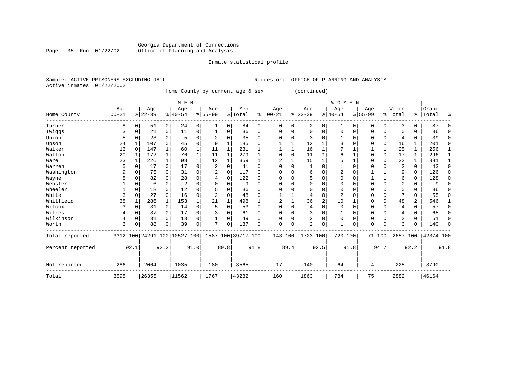#### Georgia Department of Corrections Page 35 Run 01/22/02 Office of Planning and Analysis

#### Inmate statistical profile

|                | PAMPIE: ACIIVE PRISONERS EACHODING O |  |
|----------------|--------------------------------------|--|
| Active inmates | 01/22/2002                           |  |

Sample: ACTIVE PRISONERS EXCLUDING JAIL **Requestor:** OFFICE OF PLANNING AND ANALYSIS

Home County by current age & sex (continued)

|                  |           |              |           |                | M E N                        |              |                |              |                    |             |            |             |                |      | <b>WOMEN</b>   |          |           |              |                |             |           |          |
|------------------|-----------|--------------|-----------|----------------|------------------------------|--------------|----------------|--------------|--------------------|-------------|------------|-------------|----------------|------|----------------|----------|-----------|--------------|----------------|-------------|-----------|----------|
|                  | Age       |              | Age       |                | Age                          |              | Age            |              | Men                |             | Age        |             | Age            |      | Age            |          | Age       |              | Women          |             | Grand     |          |
| Home County      | $00 - 21$ |              | $ 22-39 $ |                | $8 40-54$                    |              | $8 55-99$      |              | %   Total          | ႜ           | $ 00 - 21$ |             | $ 22-39$       |      | $8 40-54$      |          | $ 55-99 $ |              | % Total        | ి           | Total     | ႜ        |
| Turner           | 8         | $\Omega$     | 51        | $\overline{0}$ | 24                           | 0            |                | 0            | 84                 | $\mathbf 0$ | $\Omega$   | $\Omega$    | 2              | 0    | 1              | 0        | 0         | 0            | 3              | 0           | 87        | 0        |
| Twiggs           | 3         | $\Omega$     | 21        | $\mathbf 0$    | 11                           | 0            |                | 0            | 36                 | $\mathbf 0$ | $\Omega$   | $\Omega$    | $\Omega$       | 0    | $\Omega$       | 0        | 0         | 0            | U              | 0           | 36        | $\Omega$ |
| Union            | 5         | $\Omega$     | 23        | $\mathbf 0$    | 5                            | 0            | $\overline{c}$ | $\Omega$     | 35                 | $\mathbf 0$ |            | O           | 3              | 0    |                | $\Omega$ | 0         | $\mathbf 0$  | 4              | 0           | 39        | 0        |
| Upson            | 24        |              | 107       | $\Omega$       | 45                           | $\Omega$     | 9              | $\mathbf{1}$ | 185                | $\Omega$    |            |             | 12             |      |                | $\Omega$ | 0         | 0            | 16             | 1           | 201       | $\Omega$ |
| Walker           | 13        | $\Omega$     | 147       |                | 60                           | $\mathbf{1}$ | 11             | $\mathbf{1}$ | 231                |             |            |             | 16             |      |                |          |           | $\mathbf{1}$ | 25             |             | 256       |          |
| Walton           | 20        |              | 172       | 1              | 76                           | 1            | 11             | 1            | 279                |             |            | $\Omega$    | 11             |      | 6              |          |           | $\mathbf 0$  | 17             |             | 296       |          |
| Ware             | 23        | $\mathbf{1}$ | 226       | $\mathbf{1}$   | 98                           | $\mathbf{1}$ | 12             | 1            | 359                |             |            |             | 15             |      | 5              | 1        | 0         | $\mathbf 0$  | 22             | 1           | 381       |          |
| Warren           | 5         | $\Omega$     | 17        | $\mathbf 0$    | 17                           | 0            | $\overline{2}$ | 0            | 41                 | $\Omega$    | $\Omega$   | $\Omega$    |                | 0    |                | 0        |           | $\Omega$     | $\overline{2}$ | $\Omega$    | 43        | $\Omega$ |
| Washington       | 9         | $\Omega$     | 75        | $\Omega$       | 31                           | $\Omega$     |                | $\Omega$     | 117                | $\Omega$    | ∩          |             | 6              | O    |                | $\Omega$ |           |              | 9              | $\mathbf 0$ | 126       | 0        |
| Wayne            | 8         | $\Omega$     | 82        |                | 28                           | 0            |                | 0            | 122                | $\Omega$    |            |             | 5              | 0    | $\Omega$       | $\Omega$ |           | $\mathbf{1}$ | 6              | $\mathbf 0$ | 128       | 0        |
| Webster          |           | $\Omega$     | 6         | 0              | 2                            | 0            |                | $\Omega$     | 9                  | $\Omega$    |            |             | O              | 0    |                | O        |           | $\Omega$     | U              | $\Omega$    |           | 0        |
| Wheeler          |           | $\Omega$     | 18        | 0              | 12                           | $\Omega$     |                | $\Omega$     | 36                 | $\Omega$    | ∩          |             | O              | 0    | $\Omega$       | $\Omega$ | 0         | $\Omega$     | $\Omega$       | $\Omega$    | 36        | 0        |
| White            | 3         | $\Omega$     | 27        | $\Omega$       | 16                           | 0            |                | 0            | 48                 | $\Omega$    |            |             | 4              | 0    | $\overline{2}$ | O        |           | $\mathbf 0$  | 7              | 0           | 55        | 0        |
| Whitfield        | 38        | 1            | 286       | 1              | 153                          |              | 21             | $\mathbf{1}$ | 498                |             | 2          |             | 36             | 2    | 10             |          | 0         | $\Omega$     | 48             | 2           | 546       |          |
| Wilcox           |           | $\Omega$     | 31        | 0              | 14                           | 0            |                | $\Omega$     | 53                 | $\Omega$    |            |             | 4              | 0    | $\Omega$       | $\Omega$ | 0         | $\Omega$     | 4              | 0           | 57        | $\Omega$ |
| Wilkes           |           | $\Omega$     | 37        | $\overline{0}$ | 17                           | 0            |                | 0            | 61                 | $\Omega$    |            |             | 3              | 0    |                | 0        | 0         | $\Omega$     | 4              | 0           | 65        | 0        |
| Wilkinson        | 4         | $\Omega$     | 31        | $\Omega$       | 13                           | 0            |                | 0            | 49                 | $\Omega$    | ∩          |             | $\overline{2}$ | 0    | $\Omega$       | $\Omega$ | 0         | $\mathbf 0$  | $\overline{2}$ | 0           | 51        | 0        |
| Worth            | 3         | $\Omega$     | 88        | $\Omega$       | 39                           | 0            | $\mathbf{r}$   | $\Omega$     | 137                | $\Omega$    | $\Omega$   | $\mathbf 0$ | $\overline{2}$ | 0    | $\mathbf{1}$   | 0        | O         | $\Omega$     | 3              | 0           | 140       | $\Omega$ |
| Total reported   |           |              |           |                | 3312 100 24291 100 10527 100 |              |                |              | 1587 100 39717 100 |             | 143        | 100         | 1723 100       |      | 720 100        |          |           | 71 100       | 2657 100       |             | 42374 100 |          |
| Percent reported |           | 92.1         |           | 92.2           |                              | 91.0         |                | 89.8         |                    | 91.8        |            | 89.4        |                | 92.5 |                | 91.8     |           | 94.7         |                | 92.2        |           | 91.8     |
| Not reported     | 286       |              | 2064      |                | 1035                         |              | 180            |              | 3565               |             | 17         |             | 140            |      | 64             |          | 4         |              | 225            |             | 3790      |          |
| Total            | 3598      |              | 26355     |                | 11562                        |              | 1767           |              | 43282              |             | 160        |             | 1863           |      | 784            |          | 75        |              | 2882           |             | 46164     |          |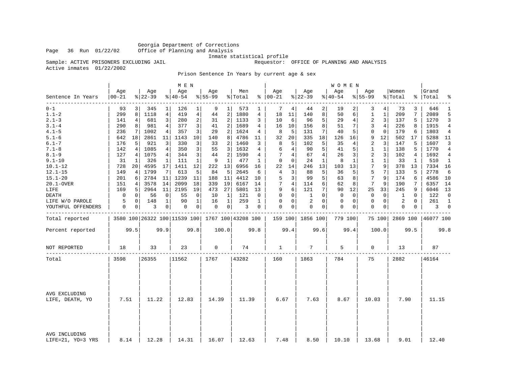Georgia Department of Corrections<br>Page 36 Run 01/22/02 Office of Planning and Analysis Office of Planning and Analysis

# Inmate statistical profile

Sample: ACTIVE PRISONERS EXCLUDING JAIL **Requestor:** OFFICE OF PLANNING AND ANALYSIS

Active inmates 01/22/2002

Prison Sentence In Years by current age & sex

|                                    |             |                 |           |                 | M E N     |                         |             |                |                                                     |              |                |             |              |                | <b>WOMEN</b> |             |                |                |          |          |           |                |
|------------------------------------|-------------|-----------------|-----------|-----------------|-----------|-------------------------|-------------|----------------|-----------------------------------------------------|--------------|----------------|-------------|--------------|----------------|--------------|-------------|----------------|----------------|----------|----------|-----------|----------------|
|                                    | Age         |                 | Age       |                 | Age       |                         | Age         |                | Men                                                 |              | Age            |             | Age          |                | Age          |             | Age            |                | Women    |          | Grand     |                |
| Sentence In Years                  | $00 - 21$   |                 | $8 22-39$ |                 | $8 40-54$ |                         | $8 55-99$   |                | % Total                                             |              | $% 100-21$     |             | $ 22-39$     |                | $ 40-54$     |             | $8155 - 99$    |                | % Total  |          | %   Total | ٩,             |
| ------------<br>$0 - 1$            | 93          | 3               | 345       | 1               | 126       | 1                       | 9           | 1 <sup>1</sup> | 573                                                 | 1            | 7              | 4           | 44           | 2              | 19           | 2           | 3              | 4              | 73       | 3        | 646       | 1              |
| $1.1 - 2$                          | 299         | 8               | 1118      | 4               | 419       | 4                       | 44          | 2              | 1880                                                | 4            | 18             | 11          | 140          | 8              | 50           | 6           | 1              | 1              | 209      | 7        | 2089      | 5              |
| $2.1 - 3$                          | 141         | $4\vert$        | 681       | $\overline{3}$  | 280       | $\overline{\mathbf{c}}$ | 31          | 2              | 1133                                                | 3            | 10             | 6           | 96           | 5              | 29           | 4           | $\overline{2}$ | 3              | 137      | 5        | 1270      | 3              |
| $3.1 - 4$                          | 290         | 8               | 981       | $4\overline{ }$ | 377       | 3                       | 41          | 2              | 1689                                                | 4            | 16             | 10          | 156          | 8              | 51           | 7           | 3              | $\overline{4}$ | 226      | 8        | 1915      | $\overline{4}$ |
| $4.1 - 5$                          | 236         | 7               | 1002      | 4               | 357       | 3                       | 29          | 2              | 1624                                                | 4            | 8              | 5           | 131          | 7              | 40           | 5           | 0              | $\mathbf 0$    | 179      | 6        | 1803      | $\overline{4}$ |
| $5.1 - 6$                          | 642         | 18              | 2861      | 11              | 1143      | 10                      | 140         | 8              | 4786                                                | 11           | 32             | 20          | 335          | 18             | 126          | 16          | 9              | 12             | 502      | 17       | 5288      | -11            |
| $6.1 - 7$                          | 176         | 5               | 921       | 3               | 330       | 3                       | 33          | 2              | 1460                                                | 3            | 8              | 5           | 102          | 5              | 35           | 4           | 2              | 3              | 147      | 5        | 1607      | 3              |
| $7.1 - 8$                          | 142         | 4               | 1085      | $\overline{4}$  | 350       | 3                       | 55          | $\overline{3}$ | 1632                                                | 4            | 6              | 4           | 90           | 5              | 41           | 5           | 1              | 1              | 138      | 5        | 1770      | $\overline{4}$ |
| $8.1 - 9$                          | 127         | $\vert 4 \vert$ | 1075      | $\overline{4}$  | 344       | 3                       | 44          | 2              | 1590                                                | 4            | 7              | 4           | 67           | $\overline{4}$ | 26           | 3           | 2              | 3              | 102      | 4        | 1692      | $\overline{4}$ |
| $9.1 - 10$                         | 31          | 1               | 326       | $\mathbf 1$     | 111       | $\mathbf{1}$            | 9           | 1              | 477                                                 | $\mathbf{1}$ | $\mathbf 0$    | $\mathbf 0$ | 24           | 1              | 8            | 1           | $\mathbf{1}$   | $\mathbf{1}$   | 33       | 1        | 510       | $\mathbf{1}$   |
| $10.1 - 12$                        | 728         | 20              | 4595      | 17              | 1411      | 12                      | 222         | 13             | 6956                                                | 16           | 22             | 14          | 246          | 13             | 103          | 13          | 7              | 9              | 378      | 13       | 7334      | 16             |
| $12.1 - 15$                        | 149         | 4               | 1799      | 7               | 613       | 5                       | 84          | 5              | 2645                                                | 6            | $\overline{4}$ | 3           | 88           | 5              | 36           | 5           | 5              | 7              | 133      | 5        | 2778      | 6              |
| $15.1 - 20$                        | 201         | 6               | 2784      | 11              | 1239      | 11                      | 188         | 11             | 4412                                                | 10           | 5              | 3           | 99           | 5              | 63           | 8           | 7              | 9              | 174      | 6        | 4586      | 10             |
| 20.1-OVER                          | 151         | 4               | 3578      | 14              | 2099      | 18                      | 339         | 19             | 6167                                                | 14           | 7              | 4           | 114          | 6              | 62           | 8           | 7              | 9              | 190      | 7        | 6357      | 14             |
| LIFE                               | 169         | 5               | 2964      | 11              | 2195      | 19                      | 473         | 27             | 5801                                                | 13           | 9              | 6           | 121          | 7              | 90           | 12          | 25             | 33             | 245      | 9        | 6046      | 13             |
| <b>DEATH</b>                       | $\mathbf 0$ | 0               | 56        | $\mathbf 0$     | 55        | 0                       | 10          | 1              | 121                                                 | $\Omega$     | $\Omega$       | $\mathbf 0$ | $\mathbf{1}$ | $\Omega$       | $\mathbf 0$  | $\Omega$    | $\Omega$       | $\Omega$       | 1        | $\Omega$ | 122       | $\Omega$       |
| LIFE W/O PAROLE                    | 5           | 0               | 148       | $\mathbf{1}$    | 90        | $\mathbf{1}$            | 16          | $\mathbf{1}$   | 259                                                 | $\mathbf{1}$ | $\mathbf 0$    | $\mathbf 0$ | 2            | $\mathbf 0$    | 0            | $\mathbf 0$ | $\mathbf 0$    | $\mathbf 0$    | 2        | $\Omega$ | 261       | $\mathbf{1}$   |
| YOUTHFUL OFFENDERS                 | 0           | 0               | 3         | $\overline{0}$  | 0         | 0                       | 0           | 0 <sup>1</sup> | 3                                                   | 0            | $\mathbf 0$    | 0           | $\mathbf 0$  | 0              | 0            | 0           | $\mathbf 0$    | 0              | 0        | 0        | 3         | $\mathbf 0$    |
| Total reported                     |             |                 |           |                 |           |                         |             |                | 3580 100 26322 100 11539 100   1767 100   43208 100 |              | 159 100        |             | 1856 100     |                | 779 100      |             |                | 75 100         | 2869 100 |          | 46077 100 |                |
|                                    |             |                 |           |                 |           |                         |             |                |                                                     |              |                |             |              |                |              |             |                |                |          |          |           |                |
| Percent reported                   |             | 99.5            |           | 99.9            |           | 99.8                    |             | 100.0          |                                                     | 99.8         |                | 99.4        |              | 99.6           |              | 99.4        |                | 100.0          |          | 99.5     |           | 99.8           |
| NOT REPORTED                       | 18          |                 | 33        |                 | 23        |                         | $\mathbf 0$ |                | 74                                                  |              | 1              |             | 7            |                | 5            |             | $\mathbf 0$    |                | 13       |          | 87        |                |
|                                    |             |                 |           |                 |           |                         |             |                |                                                     |              |                |             |              |                |              |             |                |                |          |          |           |                |
| Total                              | 3598        |                 | 26355     |                 | 11562     |                         | 1767        |                | 43282                                               |              | 160            |             | 1863         |                | 784          |             | 75             |                | 2882     |          | 46164     |                |
|                                    |             |                 |           |                 |           |                         |             |                |                                                     |              |                |             |              |                |              |             |                |                |          |          |           |                |
| AVG EXCLUDING                      |             |                 |           |                 |           |                         |             |                |                                                     |              |                |             |              |                |              |             |                |                |          |          |           |                |
| LIFE, DEATH, YO                    | 7.51        |                 | 11.22     |                 | 12.83     |                         | 14.39       |                | 11.39                                               |              | 6.67           |             | 7.63         |                | 8.67         |             | 10.03          |                | 7.90     |          | 11.15     |                |
|                                    |             |                 |           |                 |           |                         |             |                |                                                     |              |                |             |              |                |              |             |                |                |          |          |           |                |
| AVG INCLUDING<br>LIFE=21, YO=3 YRS | 8.14        |                 | 12.28     |                 | 14.31     |                         | 16.07       |                | 12.63                                               |              | 7.48           |             | 8.50         |                | 10.10        |             | 13.68          |                | 9.01     |          | 12.40     |                |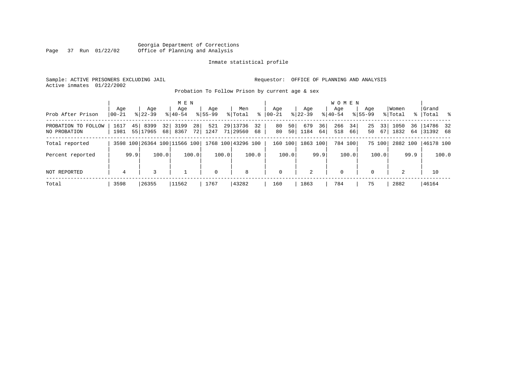|      |  |                 | Georgia Department of Corrections |
|------|--|-----------------|-----------------------------------|
| Page |  | 37 Run 01/22/02 | Office of Planning and Analysis   |

Sample: ACTIVE PRISONERS EXCLUDING JAIL **Requestor:** OFFICE OF PLANNING AND ANALYSIS Active inmates 01/22/2002

Probation To Follow Prison by current age & sex

|                                        | Aqe          | Age                                 | M E N<br>Aqe                                    | Age         | Men                           | Aqe                               | Aqe                     | W O M E N<br>Aqe       | Age                  | Women        | Grand                      |
|----------------------------------------|--------------|-------------------------------------|-------------------------------------------------|-------------|-------------------------------|-----------------------------------|-------------------------|------------------------|----------------------|--------------|----------------------------|
| Prob After Prison                      | $ 00-21$     | $8122 - 39$                         | $8140 - 54$                                     | $8155 - 99$ | ⊱<br>% Total                  | $ 00-21 $                         | $8 22-39$               | $8 40-54$              | $8155 - 99$          | % Total      | %   Total %                |
| PROBATION TO<br>FOLLOW<br>NO PROBATION | 1617<br>1981 | 45 <br>8399<br>32<br>55 17965<br>68 | 28<br>3199<br>8367<br>72                        | 521<br>1247 | 29 13736<br>32<br>71 29560 68 | 50 <sup>1</sup><br>80<br>50<br>80 | 679<br>36<br>1184<br>64 | 266<br>34<br>518<br>66 | 25<br>33<br>50<br>67 | 1050<br>1832 | 36 14786 32<br>64 31392 68 |
| Total reported                         |              |                                     | 3598 100 26364 100 11566 100 1768 100 43296 100 |             |                               | 160<br>100                        | 1863 100                | 784 100                | 75 100               | 2882 100     | 46178 100                  |
| Percent reported                       | 99.9         | 100.0                               | 100.0                                           | 100.0       | 100.0                         | 100.0                             | 99.9                    | 100.0                  | 100.0                | 99.9         | 100.0                      |
| NOT REPORTED                           | 4            | 3                                   |                                                 | $\mathbf 0$ | 8                             | $\mathbf 0$                       | 2                       | $\mathbf 0$            | $\Omega$             | 2            | 10                         |
| Total                                  | 3598         | 26355                               | 11562                                           | 1767        | 43282                         | 160                               | 1863                    | 784                    | 75                   | 2882         | 46164                      |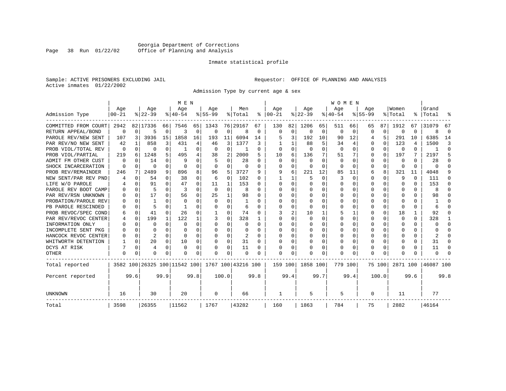#### Georgia Department of Corrections Page 38 Run 01/22/02 Office of Planning and Analysis

# Inmate statistical profile

|  |                           | Sample: ACTIVE PRISONERS EXCLUDING JAIL |  |
|--|---------------------------|-----------------------------------------|--|
|  | Active inmates 01/22/2002 |                                         |  |

Requestor: OFFICE OF PLANNING AND ANALYSIS

Admission Type by current age & sex

|                      |            |          |           |          | M E N                        |          |           |          |                    |          |               |          |          |          | <b>WOMEN</b> |          |             |          |          |                |           |          |
|----------------------|------------|----------|-----------|----------|------------------------------|----------|-----------|----------|--------------------|----------|---------------|----------|----------|----------|--------------|----------|-------------|----------|----------|----------------|-----------|----------|
|                      | Age        |          | Age       |          | Age                          |          | Age       |          | Men                |          | Age           |          | Age      |          | Age          |          | Age         |          | Women    |                | Grand     |          |
| Admission Type       | $ 00 - 21$ |          | $ 22-39 $ |          | $ 40-54$                     |          | $8 55-99$ |          | % Total            |          | $8   00 - 21$ |          | $ 22-39$ |          | $ 40-54$     |          | $8155 - 99$ |          | % Total  |                | %   Total | °        |
| COMMITTED FROM COURT | 2942       |          | 82 17336  | 66       | 7546                         | 65       | 1343      |          | 76 29167           | 67       | 130           | 82       | 1206     | 65       | 511          | 66       | 65          | 87       | 1912     | 67             | 31079     | 67       |
| RETURN APPEAL/BOND   | 0          | 0        | 5         | 0        | 3                            | $\Omega$ | 0         | 0        | 8                  | 0        | <sup>0</sup>  | 0        | 0        | 0        | 0            | 0        | $\Omega$    | 0        | $\Omega$ | 0              | 8         | ſ        |
| PAROLE REV/NEW SENT  | 107        | 3        | 3936      | 15       | 1858                         | 16       | 193       | 11       | 6094               | 14       |               | 3        | 192      | 10       | 90           | 12       | 4           | 5        | 291      | 10             | 6385      | 14       |
| PAR REV/NO NEW SENT  | 42         | 1        | 858       | 3        | 431                          | 4        | 46        | 3        | 1377               | 3        |               |          | 88       | 5        | 34           | 4        | $\Omega$    | $\Omega$ | 123      | $\overline{4}$ | 1500      | κ        |
| PROB VIOL/TOTAL REV  | $\Omega$   | 0        | n         | $\Omega$ |                              | $\Omega$ | $\Omega$  | $\Omega$ |                    | $\Omega$ | <sup>0</sup>  | $\Omega$ | $\Omega$ | $\Omega$ | $\Omega$     | $\Omega$ | O           | $\Omega$ | $\Omega$ | 0              |           | $\Omega$ |
| PROB VIOL/PARTIAL    | 219        | 6        | 1248      | 5        | 495                          | 4        | 38        | 2        | 2000               | 5        | 10            | 6        | 136      | 7        | 51           | 7        | $\Omega$    | $\Omega$ | 197      | 7              | 2197      | 5        |
| ADMIT FM OTHER CUST  | 0          | U        | 14        | $\Omega$ | 9                            | $\Omega$ | 5         | 0        | 28                 | $\Omega$ | <sup>0</sup>  | 0        | 0        | O        | 0            | $\Omega$ | $\Omega$    | $\Omega$ | 0        | 0              | 28        | ∩        |
| SHOCK INCARCERATION  | $\Omega$   | 0        | C         | $\Omega$ | $\Omega$                     | $\Omega$ | $\Omega$  | $\Omega$ |                    | $\Omega$ |               | $\Omega$ | $\Omega$ | 0        | 0            | n        | $\Omega$    | $\Omega$ | $\Omega$ | 0              | Ω         |          |
| PROB REV/REMAINDER   | 246        | 7        | 2489      | 9        | 896                          | 8        | 96        | 5        | 3727               |          |               | 6        | 221      | 12       | 85           | 11       | 6           | 8        | 321      | 11             | 4048      |          |
| NEW SENT/PAR REV PND |            | 0        | 54        | $\Omega$ | 38                           | $\Omega$ | 6         | $\Omega$ | 102                | $\Omega$ |               |          | 5        | $\Omega$ | 3            | $\Omega$ | $\Omega$    | $\Omega$ | 9        | $\Omega$       | 111       | n        |
| LIFE W/O PAROLE      |            | O        | 91        | $\Omega$ | 47                           | $\Omega$ | 11        | 1        | 153                | $\Omega$ | <sup>0</sup>  | $\cap$   | $\Omega$ | O        | O            | n        | ∩           | $\Omega$ | O        | 0              | 153       | n        |
| PAROLE REV BOOT CAMP |            | O        | 5         | $\Omega$ | 3                            |          | $\Omega$  | U        | 8                  | n        | n             |          | $\Omega$ | O        | O            | $\Omega$ | ∩           |          | O        | 0              | 8         |          |
| PAR REV/RSN UNKNOWN  |            | O        | 17        | $\Omega$ | 56                           | $\Omega$ | 25        |          | 98                 | ∩        |               |          | $\Omega$ | O        | O            | $\Omega$ | ∩           |          |          | U              | 98        |          |
| PROBATION/PAROLE REV |            | O        |           | $\Omega$ | $\Omega$                     |          | U         | U        |                    |          |               |          | $\Omega$ | U        | O            | $\Omega$ | ∩           | $\Omega$ |          | 0              |           |          |
| PB PAROLE RESCINDED  |            | $\Omega$ |           | $\Omega$ |                              |          | O         | U        | 6                  |          | <sup>0</sup>  | U        | $\Omega$ | O        | <sup>0</sup> | 0        | $\Omega$    | $\Omega$ | -C       | 0              |           |          |
| PROB REVOC/SPEC COND | 6          | 0        | 41        | $\Omega$ | 26                           | $\Omega$ |           | U        | 74                 | ∩        |               |          | 10       | 1        |              |          | ∩           | $\Omega$ | 18       | 1              | 92        | ∩        |
| PAR REV/REVOC CENTER | 4          | 0        | 199       | 1        | 122                          |          |           | $\Omega$ | 328                |          | ∩             |          | $\Omega$ | O        | O            | 0        | ∩           | $\Omega$ | $\Omega$ | 0              | 328       |          |
| INFORMATION ONLY     |            | $\Omega$ | O         | $\Omega$ | $\Omega$                     | $\Omega$ |           | U        | O                  | ∩        | ∩             | 0        | O        | O        | O            | $\Omega$ | ∩           | $\Omega$ | O        | 0              | U         | $\Omega$ |
| INCOMPLETE SENT PKG  |            | $\Omega$ | O         | $\Omega$ | ∩                            |          |           | 0        | O                  | ∩        |               | 0        | $\Omega$ | O        | O            | $\Omega$ | ∩           | $\Omega$ |          | 0              |           |          |
| HANCOCK REVOC CENTER |            | $\Omega$ | 2         | $\Omega$ | $\Omega$                     |          | O         | 0        | 2                  | $\Omega$ |               | U        | $\Omega$ | 0        | $\Omega$     | $\Omega$ | $\Omega$    | $\Omega$ |          | 0              |           | ſ        |
| WHITWORTH DETENTION  |            | $\Omega$ | 20        | $\Omega$ | 10                           | $\Omega$ | 0         | $\Omega$ | 31                 | $\Omega$ |               | $\Omega$ | $\Omega$ | 0        | 0            | 0        | $\Omega$    | $\Omega$ |          | 0              | 31        | ∩        |
| DCYS AT RISK         |            | $\Omega$ | 4         | $\Omega$ | $\Omega$                     | $\Omega$ | O         | 0        | 11                 | $\Omega$ |               | 0        |          | 0        | 0            | $\Omega$ | $\Omega$    | $\Omega$ |          | 0              | 11        | ∩        |
| <b>OTHER</b>         | 0          | 0        | U         | 0        | $\Omega$                     | 0        | U         | 0        | U                  | ∩        | ∩             | U        | ∩        | U        | $\Omega$     | $\Omega$ | $\Omega$    | $\Omega$ |          | U              | U         |          |
| Total reported       |            |          |           |          | 3582 100 26325 100 11542 100 |          |           |          | 1767 100 43216 100 |          | 159 100       |          | 1858 100 |          | 779 100      |          |             | 75 100   | 2871 100 |                | 46087 100 |          |
| Percent reported     |            | 99.6     |           | 99.9     |                              | 99.8     |           | 100.0    |                    | 99.8     |               | 99.4     |          | 99.7     |              | 99.4     |             | 100.0    |          | 99.6           |           | 99.8     |
| UNKNOWN              | 16         |          | 30        |          | 20                           |          | 0         |          | 66                 |          | 1             |          | 5        |          | 5            |          | $\Omega$    |          | 11       |                | 77        |          |
| Total                | 3598       |          | 26355     |          | 11562                        |          | 1767      |          | 43282              |          | 160           |          | 1863     |          | 784          |          | 75          |          | 2882     |                | 46164     |          |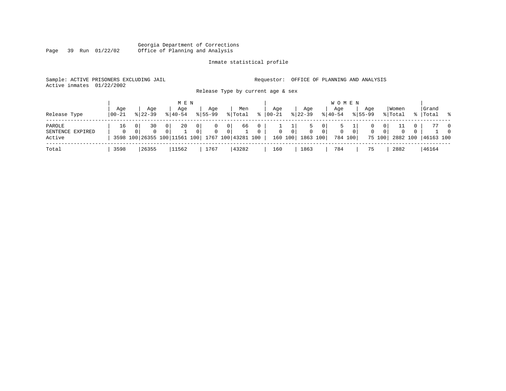#### Georgia Department of Corrections Page 39 Run 01/22/02 Office of Planning and Analysis

# Inmate statistical profile

|  | Sample: ACTIVE PRISONERS EXCLUDING JAIL |  |  |                                   |  | Requestor: OFFICE OF PLANNING AND ANALYSIS |  |
|--|-----------------------------------------|--|--|-----------------------------------|--|--------------------------------------------|--|
|  | Active inmates 01/22/2002               |  |  |                                   |  |                                            |  |
|  |                                         |  |  | Release Type by current age & sex |  |                                            |  |

|                  |                |                    |                | M E N                        |   |                    |                |                    |           |                   |                |                  |                | <b>WOMEN</b>     |          |                    |          |                  |                    |                |
|------------------|----------------|--------------------|----------------|------------------------------|---|--------------------|----------------|--------------------|-----------|-------------------|----------------|------------------|----------------|------------------|----------|--------------------|----------|------------------|--------------------|----------------|
| Release Type     | Age<br>  00-21 | Aqe<br>$8122 - 39$ |                | Age<br>$8140 - 54$           |   | Aqe<br>$8155 - 99$ |                | Men<br>% Total     | $\approx$ | Age<br>$100 - 21$ |                | Aqe<br>$8 22-39$ |                | Aqe<br>$8 40-54$ |          | Aqe<br>$8155 - 99$ |          | Women<br>% Total | Grand<br>%   Total | $\frac{1}{6}$  |
| PAROLE           | 16             | 30                 | 0 <sup>1</sup> | 20                           | 0 |                    | $\overline{0}$ | 66                 | 0         |                   |                | 5                | 0 <sup>1</sup> |                  |          |                    | 0        |                  |                    | $\overline{0}$ |
| SENTENCE EXPIRED | $\Omega$       | $\Omega$           | $\Omega$       |                              | 0 | $\Omega$           | 0 <sup>1</sup> |                    | $\Omega$  | $\Omega$          | $\overline{0}$ | $\mathbf{0}$     | 0 <sup>1</sup> |                  | $\Omega$ | $\mathbf{0}$       | $\Omega$ | $\Omega$         |                    | $\Omega$       |
| Active           |                |                    |                | 3598 100 26355 100 11561 100 |   |                    |                | 1767 100 43281 100 |           |                   | 160 100        | 1863 100         |                | 784 100          |          |                    | 75 100   | 2882 100         | 46163 100          |                |
| Total            | 3598           | 26355              |                | 11562                        |   | 1767               |                | 43282              |           | 160               |                | 1863             |                | 784              |          | 75                 |          | 2882             | 46164              |                |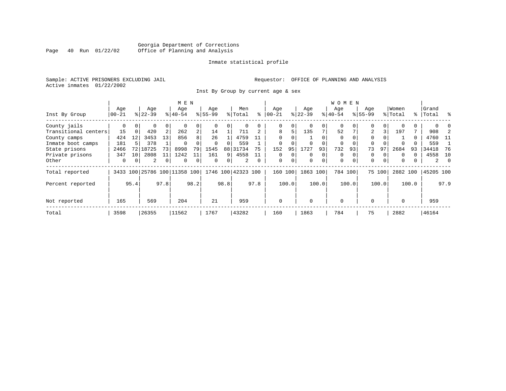# Georgia Department of Corrections<br>Page 40 Run 01/22/02 Office of Planning and Analysis Office of Planning and Analysis

#### Inmate statistical profile

Sample: ACTIVE PRISONERS EXCLUDING JAIL **Requestor:** OFFICE OF PLANNING AND ANALYSIS Active inmates 01/22/2002

Inst By Group by current age & sex

|                      |          |                 |                |          | M E N                        |                |             |      |                    |             |              |       |           |          | W O M E N   |          |             |        |          |       |           |          |
|----------------------|----------|-----------------|----------------|----------|------------------------------|----------------|-------------|------|--------------------|-------------|--------------|-------|-----------|----------|-------------|----------|-------------|--------|----------|-------|-----------|----------|
|                      | Age      |                 | Age            |          | Age                          |                | Age         |      | Men                |             | Age          |       | Age       |          | Aqe         |          | Age         |        | Women    |       | Grand     |          |
| Inst By Group        | $ 00-21$ |                 | $ 22-39 $      |          | $8 40-54$                    |                | $8155 - 99$ |      | % Total            | ⊱           | $00 - 21$    |       | $ 22-39 $ |          | $ 40-54 $   |          | $8155 - 99$ |        | % Total  |       | %   Total | ္က       |
| County jails         | 0        |                 | 0              | $\Omega$ | $\Omega$                     |                |             | 0    |                    |             | $\Omega$     |       | $\Omega$  |          | 0           |          | $\Omega$    |        |          |       |           |          |
| Transitional centers | 15       | $\Omega$        | 420            | 2        | 262                          | 2 <sub>1</sub> | 14          |      | 711                |             | 8            | 5     | 135       |          | 52          |          | 2           | 3      | 197      |       | 908       |          |
| County camps         | 424      | 12              | 3453           | 13       | 856                          | 8              | 26          |      | 4759               |             | $\Omega$     |       |           |          | $\Omega$    |          | $\Omega$    |        |          | 0     | 4760      | $-11$    |
| Inmate boot camps    | 181      |                 | 378            |          | $\Omega$                     |                | $\Omega$    | 0    | 559                |             | $\Omega$     |       | $\Omega$  |          | $\Omega$    | $\Omega$ | $\Omega$    |        | $\Omega$ |       | 559       |          |
| State prisons        | 2466     | 72 l            | 18725          | 73       | 8998                         | 79             | 1545        |      | 88 31734           | 75          | 152          | 95    | 1727      | 93       | 732         | 93       | 73          | 97     | 2684     | 93    | 34418     | 76       |
| Private prisons      | 347      | 10 <sup>1</sup> | 2808           | 11       | 1242                         |                | 161         | 9    | 4558               | 11          | $\Omega$     |       | $\Omega$  | $\Omega$ | $\mathbf 0$ | $\Omega$ | 0           |        | $\Omega$ | 0     | 4558      | 10       |
| Other                | 0        |                 | $\overline{a}$ | 0        | $\mathbf 0$                  | 0              | $\mathbf 0$ | 0    | 2                  | $\mathbf 0$ | 0            | 0     | 0         | 0        | $\mathbf 0$ | $\Omega$ | 0           | 0      | $\Omega$ | 0     | 2         | $\Omega$ |
| Total reported       |          |                 |                |          | 3433 100 25786 100 11358 100 |                |             |      | 1746 100 42323 100 |             | 160          | 100   | 1863 100  |          | 784 100     |          |             | 75 100 | 2882 100 |       | 45205 100 |          |
| Percent reported     |          | 95.4            |                | 97.8     |                              | 98.2           |             | 98.8 |                    | 97.8        |              | 100.0 |           | 100.0    |             | 100.0    |             | 100.0  |          | 100.0 |           | 97.9     |
| Not reported         | 165      |                 | 569            |          | 204                          |                | 21          |      | 959                |             | $\mathbf{0}$ |       | $\Omega$  |          | $\mathbf 0$ |          | $\Omega$    |        | $\Omega$ |       | 959       |          |
| Total                | 3598     |                 | 26355          |          | 11562                        |                | 1767        |      | 43282              |             | 160          |       | 1863      |          | 784         |          | 75          |        | 2882     |       | 46164     |          |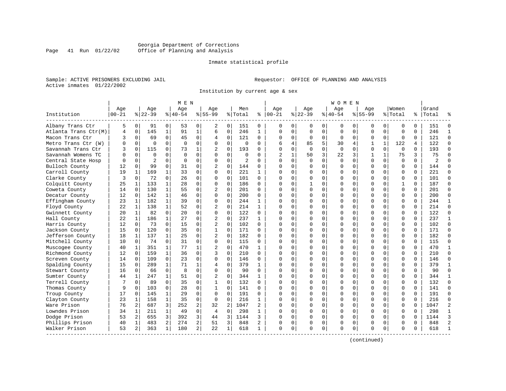### Georgia Department of Corrections<br>Page 41 Run 01/22/02 Office of Planning and Analysis Page 41 Run 01/22/02 Office of Planning and Analysis

#### Inmate statistical profile

Sample: ACTIVE PRISONERS EXCLUDING JAIL **Requestor:** OFFICE OF PLANNING AND ANALYSIS Active inmates 01/22/2002

Institution by current age & sex

|                        |           |                |                |              | M E N     |                |                |                |                |                |          |                |             |          | <b>WOMEN</b> |             |              |              |              |          |           |                |
|------------------------|-----------|----------------|----------------|--------------|-----------|----------------|----------------|----------------|----------------|----------------|----------|----------------|-------------|----------|--------------|-------------|--------------|--------------|--------------|----------|-----------|----------------|
|                        | Age       |                | Age            |              | Age       |                | Aqe            |                | Men            |                | Age      |                | Age         |          | Aqe          |             | Aqe          |              | Women        |          | Grand     |                |
| Institution            | $00 - 21$ |                | $ 22-39 $      |              | $8 40-54$ |                | $8 55-99$      |                | % Total        | ႜ              | $ 00-21$ |                | $ 22-39 $   |          | $8 40-54$    |             | $8155 - 99$  |              | % Total      |          | %   Total |                |
| Albany Trans Ctr       | 5         | 0              | 91             | 0            | 53        | $\Omega$       | 2              | $\overline{0}$ | 151            | $\Omega$       | $\Omega$ | $\Omega$       | 0           | 0        | 0            | 0           | 0            | 0            | 0            | $\Omega$ | 151       |                |
| Atlanta Trans Ctr(M)   | 4         | 0              | 145            | $\mathbf{1}$ | 91        | $\mathbf{1}$   | 6              | 0              | 246            | $\mathbf{1}$   | $\Omega$ | $\Omega$       | $\mathbf 0$ | $\Omega$ | $\Omega$     | $\mathbf 0$ | $\Omega$     | $\Omega$     | $\mathbf 0$  | $\Omega$ | 246       | $\mathbf{1}$   |
| Macon Trans Ctr        |           | $\Omega$       | 69             | $\Omega$     | 45        | $\Omega$       | 4              | 0              | 121            | $\Omega$       | $\Omega$ | $\Omega$       | $\Omega$    | $\Omega$ | O            | $\Omega$    | U            | $\mathbf 0$  | $\Omega$     | $\Omega$ | 121       | $\Omega$       |
| Metro Trans Ctr<br>(W) |           | $\Omega$       | $\Omega$       | $\Omega$     | $\Omega$  | $\Omega$       | $\Omega$       | $\Omega$       | $\Omega$       | $\Omega$       | 6        | $\overline{4}$ | 85          | 5        | 30           | 4           |              | $\mathbf{1}$ | 122          | 4        | 122       | $\Omega$       |
| Savannah Trans Ctr     |           | $\Omega$       | 115            | $\Omega$     | 73        | 1              |                | $\Omega$       | 193            | U              | ∩        | U              | $\Omega$    | $\Omega$ | $\Omega$     | $\Omega$    | O            | $\Omega$     | $\Omega$     | $\Omega$ | 193       | $\Omega$       |
| Savannah Womens TC     |           | $\Omega$       | $\Omega$       | $\Omega$     | $\Omega$  | $\Omega$       | <sup>0</sup>   | 0              | $\Omega$       | <sup>n</sup>   |          |                | 50          | 3        | 22           | 3           | $\mathbf{1}$ | 1            | 75           | 3        | 75        | ∩              |
| Central State Hosp     |           | $\Omega$       | $\overline{2}$ | $\Omega$     | $\Omega$  | $\Omega$       | 0              | $\Omega$       | $\overline{2}$ | $\Omega$       | $\Omega$ | $\Omega$       | $\Omega$    | $\Omega$ | $\Omega$     | $\Omega$    | U            | $\Omega$     | $\Omega$     | $\Omega$ | 2         |                |
| Bulloch County         | 12        | 0              | 99             | $\mathbf 0$  | 31        | $\Omega$       | 2              | 0              | 144            | $\Omega$       |          | $\Omega$       | 0           | O        |              | $\Omega$    | O            | $\mathbf 0$  | $\mathbf 0$  | $\Omega$ | 144       |                |
| Carroll County         | 19        | 1              | 169            | 1            | 33        | $\Omega$       | $\Omega$       | $\Omega$       | 221            | $\mathbf{1}$   | $\Omega$ | $\Omega$       | $\Omega$    | O        |              | $\Omega$    | O            | $\Omega$     | $\Omega$     | $\Omega$ | 221       | $\Omega$       |
| Clarke County          | 3         | 0              | 72             | $\Omega$     | 26        | 0              | $\Omega$       | $\Omega$       | 101            | $\Omega$       | $\Omega$ | $\Omega$       | O           | O        | U            | $\Omega$    | O            | 0            | $\mathbf 0$  | $\Omega$ | 101       | $\Omega$       |
| Colquitt County        | 25        | 1              | 133            | 1            | 28        | $\Omega$       | $\Omega$       | $\Omega$       | 186            | $\Omega$       | $\Omega$ |                |             | O        |              | $\Omega$    | U            | 0            | $\mathbf{1}$ | $\Omega$ | 187       | $\Omega$       |
| Coweta County          | 14        | 0              | 130            | $\mathbf{1}$ | 55        | $\Omega$       | 2              | $\Omega$       | 201            | $\Omega$       | $\Omega$ | $\Omega$       | $\Omega$    | O        | U            | $\Omega$    | O            | $\Omega$     | $\mathbf 0$  | $\Omega$ | 201       | $\Omega$       |
| Decatur County         | 12        | 0              | 142            | $\mathbf{1}$ | 46        | $\Omega$       | 0              | 0              | 200            | $\Omega$       | $\Omega$ | $\Omega$       | O           | O        |              | $\Omega$    | O            | $\mathbf 0$  | $\mathbf 0$  | $\Omega$ | 200       | $\Omega$       |
| Effingham County       | 23        | 1              | 182            | $\mathbf{1}$ | 39        | $\Omega$       | $\Omega$       | 0              | 244            | 1              | $\Omega$ | $\Omega$       |             | O        |              | $\Omega$    | O            | 0            | $\mathbf 0$  | $\Omega$ | 244       | $\mathbf{1}$   |
| Floyd County           | 22        | 1              | 138            | $\mathbf{1}$ | 52        | 0              | $\overline{2}$ | 0              | 214            | $\mathbf{1}$   | $\Omega$ | $\Omega$       | O           | U        |              | $\Omega$    | O            | $\Omega$     | $\mathbf 0$  | $\Omega$ | 214       | $\Omega$       |
| Gwinnett County        | 20        | 1              | 82             | $\Omega$     | 20        | $\Omega$       | $\Omega$       | $\Omega$       | 122            | $\Omega$       |          | O              | O           | U        |              | $\Omega$    | U            | 0            | $\Omega$     | $\Omega$ | 122       | $\Omega$       |
| Hall County            | 22        | $\mathbf{1}$   | 186            | $\mathbf{1}$ | 27        | $\Omega$       | $\overline{2}$ | $\Omega$       | 237            | $\mathbf{1}$   |          |                | U           | O        |              | $\Omega$    | O            | $\Omega$     | $\Omega$     | $\Omega$ | 237       | $\mathbf{1}$   |
| Harris County          | 12        | $\Omega$       | 73             | $\Omega$     | 15        | $\Omega$       | $\overline{2}$ | $\Omega$       | 102            | $\Omega$       |          | U              | O           | O        |              | $\Omega$    | O            | $\Omega$     | $\Omega$     | $\Omega$ | 102       | $\Omega$       |
| Jackson County         | 15        | $\mathbf 0$    | 120            | $\mathbf 0$  | 35        | $\Omega$       | $\mathbf{1}$   | 0              | 171            | $\Omega$       |          | $\Omega$       | O           | O        |              | $\Omega$    | O            | $\Omega$     | $\mathbf 0$  | $\Omega$ | 171       | $\Omega$       |
| Jefferson County       | 18        | 1              | 137            | $\mathbf{1}$ | 25        | $\Omega$       | $\overline{c}$ | $\Omega$       | 182            | $\Omega$       | $\Omega$ | O              |             | U        |              | $\Omega$    | O            | 0            | $\Omega$     | $\Omega$ | 182       | $\Omega$       |
| Mitchell County        | 10        | $\Omega$       | 74             | $\Omega$     | 31        | $\Omega$       | $\Omega$       | $\Omega$       | 115            | $\Omega$       | $\Omega$ | O              | O           | U        |              | $\Omega$    | U            | $\Omega$     | $\Omega$     | $\Omega$ | 115       | $\Omega$       |
| Muscogee County        | 40        | 1              | 351            | $\mathbf 1$  | 77        |                | $\overline{2}$ | $\Omega$       | 470            | 1              |          |                | C           | U        |              | $\Omega$    | U            | 0            | $\Omega$     | $\Omega$ | 470       | -1             |
| Richmond County        | 12        | $\Omega$       | 159            | $\mathbf{1}$ | 36        | $\Omega$       | ς              | $\Omega$       | 210            | $\cap$         | ∩        | ∩              | U           | U        |              | $\Omega$    | U            | 0            | $\Omega$     | $\Omega$ | 210       | $\cap$         |
| Screven County         | 14        | 0              | 109            | $\Omega$     | 23        | $\Omega$       | $\Omega$       | $\Omega$       | 146            | $\Omega$       | $\Omega$ | $\Omega$       | O           | O        |              | $\Omega$    | U            | $\Omega$     | $\mathbf 0$  | $\Omega$ | 146       | ∩              |
| Spalding County        | 15        | 0              | 289            | $\mathbf{1}$ | 71        | 1              | 4              | 0              | 379            | $\mathbf{1}$   | $\Omega$ | $\Omega$       |             | O        |              | 0           | O            | $\mathbf 0$  | $\mathbf 0$  | $\Omega$ | 379       | $\mathbf{1}$   |
| Stewart County         | 16        | $\Omega$       | 66             | $\mathbf 0$  | 8         | $\Omega$       | $\Omega$       | $\Omega$       | 90             | $\Omega$       | $\Omega$ | $\Omega$       | $\cap$      | O        |              | $\Omega$    | O            | 0            | $\mathbf 0$  | $\Omega$ | 90        | $\Omega$       |
| Sumter County          | 44        | 1              | 247            | 1            | 51        | 0              | 2              | $\Omega$       | 344            | $\mathbf{1}$   | $\Omega$ | $\Omega$       | O           | O        |              | $\Omega$    | O            | 0            | $\mathbf 0$  | $\Omega$ | 344       | $\mathbf{1}$   |
| Terrell County         |           | $\Omega$       | 89             | $\Omega$     | 35        | $\Omega$       | $\mathbf{1}$   | $\Omega$       | 132            | $\Omega$       |          |                | O           | O        |              | $\Omega$    | O            | 0            | $\Omega$     | $\Omega$ | 132       | $\Omega$       |
| Thomas County          | 9         | $\Omega$       | 103            | $\Omega$     | 28        | $\Omega$       | $\mathbf{1}$   | $\Omega$       | 141            | $\Omega$       | ∩        | U              | $\cap$      | O        |              | $\Omega$    | O            | 0            | $\Omega$     | $\Omega$ | 141       | $\Omega$       |
| Troup County           | 17        | $\Omega$       | 145            | $\mathbf{1}$ | 29        | $\Omega$       | $\Omega$       | $\Omega$       | 191            | $\Omega$       |          | $\Omega$       | $\Omega$    | O        |              | $\Omega$    | O            | $\Omega$     | $\Omega$     | $\Omega$ | 191       | $\Omega$       |
| Clayton County         | 23        | $\mathbf{1}$   | 158            | $\mathbf{1}$ | 35        | $\Omega$       | $\Omega$       | $\Omega$       | 216            | $\mathbf{1}$   |          | $\Omega$       |             | 0        |              | $\Omega$    | O            | $\Omega$     | $\mathbf 0$  | $\Omega$ | 216       | $\Omega$       |
| Ware Prison            | 76        | $\overline{a}$ | 687            | 3            | 252       | $\overline{a}$ | 32             | $\overline{a}$ | 1047           | $\overline{2}$ | $\Omega$ | $\Omega$       | O           | 0        |              | $\Omega$    | U            | $\Omega$     | $\Omega$     | $\Omega$ | 1047      | $\overline{2}$ |
| Lowndes Prison         | 34        | 1              | 211            | $\mathbf{1}$ | 49        | $\Omega$       | 4              | 0              | 298            | 1              | $\Omega$ | $\Omega$       | O           | U        | O            | $\Omega$    | U            | $\Omega$     | $\mathbf 0$  | $\Omega$ | 298       | $\mathbf{1}$   |
| Dodge Prison           | 53        | 2              | 655            | 3            | 392       | 3              | 44             | 3              | 1144           | ς              |          | U              | O           | $\Omega$ |              | $\mathbf 0$ | O            | 0            | $\mathbf 0$  | $\Omega$ | 1144      | 3              |
| Phillips Prison        | 40        | 1              | 483            | 2            | 274       | $\overline{a}$ | 51             | 3              | 848            | 2              | $\Omega$ | $\Omega$       | O           | 0        | Λ            | $\Omega$    | U            | 0            | $\Omega$     | $\Omega$ | 848       | $\mathfrak{D}$ |
| Walker Prison          | 53        | 2              | 363            | $\mathbf{1}$ | 180       | $\overline{2}$ | 22             | 1              | 618            | 1              | $\Omega$ | 0              | $\Omega$    | 0        | O            | 0           | U            | 0            | $\Omega$     | 0        | 618       |                |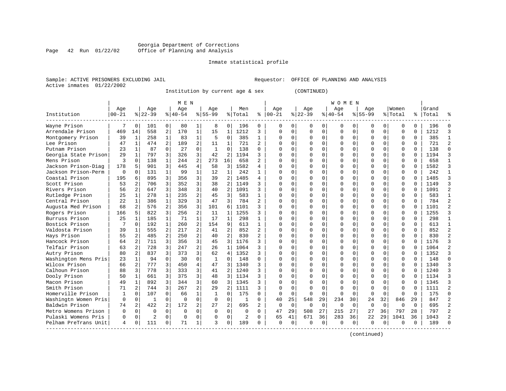#### Georgia Department of Corrections Page 42 Run 01/22/02 Office of Planning and Analysis

#### Inmate statistical profile

|                | Sample: ACTIVE PRISONERS EXCLUDING JAIL |  |
|----------------|-----------------------------------------|--|
| Active inmates | 01/22/2002                              |  |

L Sample: ACTIVE PRINCE OF PLANNING AND ANALYSIS

Institution by current age & sex (CONTINUED)

|                      |            |                |           |                | M E N     |                |              |                |                |                |            |          |              |          | W O M E N |             |             |             |             |          |           |                |
|----------------------|------------|----------------|-----------|----------------|-----------|----------------|--------------|----------------|----------------|----------------|------------|----------|--------------|----------|-----------|-------------|-------------|-------------|-------------|----------|-----------|----------------|
|                      | Age        |                | Age       |                | Age       |                | Aqe          |                | Men            |                | Age        |          | Age          |          | Aqe       |             | Aqe         |             | Women       |          | Grand     |                |
| Institution          | $ 00 - 21$ |                | $8 22-39$ |                | $8 40-54$ |                | $8 55-99$    |                | % Total        | ៖              | $ 00 - 21$ |          | $ 22-39$     |          | $8 40-54$ |             | $8155 - 99$ |             | % Total     |          | %   Total |                |
| Wayne Prison         |            | O              | 101       | 0              | 80        |                | 8            | 0              | 196            | 0              | ∩          | $\Omega$ | $\Omega$     | 0        | $\Omega$  | 0           | 0           | 0           | $\Omega$    | $\Omega$ | 196       |                |
| Arrendale Prison     | 469        | 14             | 558       | 2              | 170       | 1              | 15           | $\mathbf{1}$   | 1212           | 3              | $\Omega$   | $\Omega$ | $\Omega$     | O        | U         | $\Omega$    | U           | 0           | $\Omega$    | $\Omega$ | 1212      | 3              |
| Montgomery Prison    | 39         | 1              | 258       | $\mathbf{1}$   | 83        | 1              | 5            | $\Omega$       | 385            | 1              | ∩          | $\Omega$ | O            | $\Omega$ | O         | $\Omega$    | U           | $\Omega$    | $\Omega$    | $\Omega$ | 385       | -1             |
| Lee Prison           | 47         | $\mathbf{1}$   | 474       | $\overline{a}$ | 189       | 2              | 11           | $\mathbf{1}$   | 721            | $\overline{2}$ |            | $\cap$   | O            | $\Omega$ |           | $\Omega$    | U           | $\Omega$    | $\Omega$    | $\Omega$ | 721       | $\overline{2}$ |
| Putnam Prison        | 23         | 1              | 87        | $\Omega$       | 27        | $\Omega$       | 1            | 0              | 138            | $\Omega$       |            | $\Omega$ |              | O        |           | $\Omega$    |             | $\mathbf 0$ | $\mathbf 0$ | $\Omega$ | 138       |                |
| Georgia State Prison | 29         | $\mathbf{1}$   | 797       | 3              | 326       | 3              | 42           | 2              | 1194           | ς              |            | $\cap$   |              | U        |           | $\Omega$    | U           | 0           | $\mathbf 0$ | $\Omega$ | 1194      | 3              |
| Mens Prison          | 3          | $\Omega$       | 138       | $\mathbf{1}$   | 244       | 2              | 273          | 16             | 658            | $\overline{a}$ |            | U        |              | U        |           | $\Omega$    | U           | 0           | $\mathbf 0$ | $\Omega$ | 658       | $\mathbf{1}$   |
| Jackson Prison-Diag  | 178        | 5              | 901       | 3              | 445       | 4              | 58           | 3              | 1582           | 4              |            | $\Omega$ |              | U        |           | $\Omega$    | U           | 0           | $\Omega$    | $\Omega$ | 1582      | 3              |
| Jackson Prison-Perm  | $\Omega$   | $\Omega$       | 131       | $\mathbf{1}$   | 99        |                | 12           | $\mathbf{1}$   | 242            |                |            | O        | O            | U        |           | $\Omega$    | U           | 0           | $\Omega$    | $\Omega$ | 242       | $\mathbf{1}$   |
| Coastal Prison       | 195        | 6              | 895       | 3              | 356       | 3              | 39           | 2              | 1485           | 4              |            |          |              | U        |           | $\Omega$    | U           | 0           | $\Omega$    |          | 1485      | 3              |
| Scott Prison         | 53         | 2              | 706       | 3              | 352       | 3              | 38           | 2              | 1149           | ς              |            | U        | U            | U        |           | $\Omega$    | U           | 0           | $\Omega$    | $\cap$   | 1149      | 3              |
| Rivers Prison        | 56         | $\overline{2}$ | 647       | 3              | 348       | 3              | 40           | $\overline{a}$ | 1091           | ς              |            | $\cap$   | U            | U        |           | $\Omega$    | U           | 0           | $\Omega$    | $\Omega$ | 1091      | $\overline{a}$ |
| Rutledge Prison      | 25         | 1              | 278       | $\mathbf{1}$   | 235       | 2              | 45           | 3              | 583            | 1              |            | $\Omega$ | O            | O        |           | U           | U           | 0           | $\mathbf 0$ | $\Omega$ | 583       | $\mathbf{1}$   |
| Central Prison       | 22         | $\mathbf{1}$   | 386       | $\mathbf{1}$   | 329       | 3              | 47           | 3              | 784            | $\overline{2}$ |            | $\Omega$ | 0            | U        |           | $\mathbf 0$ | U           | 0           | $\mathbf 0$ | $\Omega$ | 784       | $\overline{2}$ |
| Augusta Med Prison   | 68         | 2              | 576       | $\overline{2}$ | 356       | 3              | 101          | 6              | 1101           | 3              |            | O        |              | U        |           | $\Omega$    | U           | 0           | $\mathbf 0$ | $\Omega$ | 1101      |                |
| Rogers Prison        | 166        | 5              | 822       | 3              | 256       | $\overline{2}$ | 11           | $\mathbf{1}$   | 1255           | 3              |            | O        |              | U        |           | $\Omega$    | U           | 0           | $\Omega$    | $\Omega$ | 1255      | 3              |
| Burruss Prison       | 25         | $\mathbf{1}$   | 185       | 1              | 71        |                | 17           | $\mathbf{1}$   | 298            | 1              |            | O        | O            | U        |           | $\Omega$    | U           | 0           | $\Omega$    | $\Omega$ | 298       | $\mathbf{1}$   |
| Bostick Prison       |            | $\Omega$       | 192       | $\mathbf{1}$   | 260       | $\mathfrak{D}$ | 154          | 9              | 613            | 1              |            |          |              | O        |           | $\Omega$    |             | 0           | $\Omega$    | U        | 613       |                |
| Valdosta Prison      | 39         | 1              | 555       | $\overline{a}$ | 217       |                | 41           | $\overline{a}$ | 852            | $\overline{a}$ |            | U        |              | U        |           | $\Omega$    | O           | $\Omega$    | $\Omega$    | $\cap$   | 852       | $\overline{2}$ |
| Hays Prison          | 55         | $\overline{a}$ | 485       | $\overline{a}$ | 250       | $\overline{2}$ | 40           | $\overline{a}$ | 830            | $\overline{a}$ | ∩          | $\Omega$ | U            | O        |           | $\Omega$    | U           | $\Omega$    | $\Omega$    | $\Omega$ | 830       | $\mathcal{D}$  |
| Hancock Prison       | 64         | $\overline{2}$ | 711       | 3              | 356       | 3              | 45           | 3              | 1176           | ς              |            | $\cap$   | O            | O        |           | $\Omega$    | U           | 0           | $\mathbf 0$ | $\Omega$ | 1176      | 3              |
| Telfair Prison       | 63         | 2              | 728       | 3              | 247       | 2              | 26           | $\mathbf{1}$   | 1064           | ς              |            | $\Omega$ | O            | U        |           | 0           | U           | 0           | $\Omega$    | $\Omega$ | 1064      | 2              |
| Autry Prison         | 80         | $\overline{a}$ | 837       | 3              | 373       | 3              | 62           | 4              | 1352           | ς              |            | $\Omega$ |              | U        |           | $\Omega$    | U           | 0           | $\mathbf 0$ | $\Omega$ | 1352      | 3              |
| Washington Mens Pris | 23         | $\mathbf{1}$   | 94        | $\Omega$       | 30        | $\Omega$       | $\mathbf{1}$ | $\Omega$       | 148            | $\Omega$       |            | U        |              | U        |           | $\Omega$    | U           | 0           | $\Omega$    | $\Omega$ | 148       | $\Omega$       |
| Wilcox Prison        | 66         | $\overline{2}$ | 777       | 3              | 450       | 4              | 47           | 3              | 1340           | ζ              |            | U        |              | U        |           | $\Omega$    | U           | 0           | $\Omega$    | $\Omega$ | 1340      | 3              |
| Calhoun Prison       | 88         | 3              | 778       | 3              | 333       | 3              | 41           | $\overline{a}$ | 1240           | ζ              |            | O        | O            | U        |           | $\Omega$    | U           | 0           | $\mathbf 0$ | $\Omega$ | 1240      | 3              |
| Dooly Prison         | 50         | $\mathbf{1}$   | 661       | 3              | 375       | 3              | 48           | 3              | 1134           | ζ              |            |          |              | U        |           | $\Omega$    | U           | 0           | $\Omega$    |          | 1134      | 3              |
| Macon Prison         | 49         | 1              | 892       | ς              | 344       | 3              | 60           | 3              | 1345           | ς              |            |          |              | O        |           | $\Omega$    | O           | 0           | $\Omega$    |          | 1345      | 3              |
| Smith Prison         | 71         | 2              | 744       | 3              | 267       | $\overline{2}$ | 29           | 2              | 1111           | 3              | ∩          | $\Omega$ | <sup>0</sup> | U        |           | $\Omega$    | U           | 0           | $\Omega$    | $\cap$   | 1111      | $\overline{a}$ |
| Homerville Prison    |            | $\Omega$       | 107       | $\Omega$       | 66        | $\mathbf{1}$   | -1           | $\Omega$       | 175            | $\Omega$       | $\Omega$   | $\Omega$ | <sup>0</sup> | $\Omega$ | $\Omega$  | $\Omega$    | $\Omega$    | $\Omega$    | $\Omega$    | $\Omega$ | 175       | $\Omega$       |
| Washingtn Women Pris | $\Omega$   | 0              | 1         | $\Omega$       | $\Omega$  | $\Omega$       | $\Omega$     | $\Omega$       |                | $\Omega$       | 40         | 25       | 548          | 29       | 234       | 30          | 24          | 32          | 846         | 29       | 847       | $\overline{c}$ |
| Baldwin Prison       | 74         | 2              | 422       | 2              | 172       | 2              | 27           | $\overline{a}$ | 695            |                | $\Omega$   | $\Omega$ | 0            | $\Omega$ | $\Omega$  | $\Omega$    | $\Omega$    | $\mathbf 0$ | $\Omega$    | $\Omega$ | 695       | $\overline{2}$ |
| Metro Womens Prison  | $\Omega$   | $\Omega$       | $\Omega$  | $\Omega$       | $\Omega$  | $\Omega$       | $\Omega$     | $\Omega$       | $\Omega$       | $\Omega$       | 47         | 29       | 508          | 27       | 215       | 27          | 27          | 36          | 797         | 28       | 797       | $\mathcal{L}$  |
| Pulaski Womens Pris  | $\Omega$   | $\Omega$       | 2         | $\Omega$       | $\Omega$  | $\Omega$       | $\Omega$     | $\Omega$       | $\overline{2}$ | $\Omega$       | 65         | 41       | 671          | 36       | 283       | 36          | 22          | 29          | 1041        | 36       | 1043      | $\mathfrak{D}$ |
| Pelham PreTrans Unit | 4          | $\Omega$       | 111       | $\Omega$       | 71        |                | ς            | 0              | 189            | <sup>0</sup>   | $\Omega$   | $\Omega$ | <sup>0</sup> | 0        | U         | $\Omega$    | O           | $\Omega$    | $\Omega$    | $\Omega$ | 189       |                |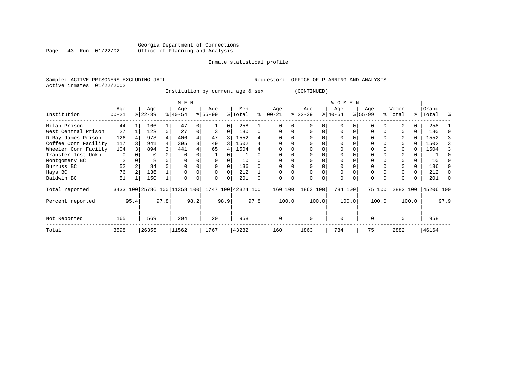# Georgia Department of Corrections<br>Page 43 Run 01/22/02 Office of Planning and Analysis Office of Planning and Analysis

#### Inmate statistical profile

Active inmates 01/22/2002

Sample: ACTIVE PRISONERS EXCLUDING JAIL **Requestor:** OFFICE OF PLANNING AND ANALYSIS

Institution by current age & sex (CONTINUED)

|                      |                |      |           |      | M E N                        |      |                    |          |         |      |           |          |           |       | W O M E N |       |          |        |          |       |           |      |
|----------------------|----------------|------|-----------|------|------------------------------|------|--------------------|----------|---------|------|-----------|----------|-----------|-------|-----------|-------|----------|--------|----------|-------|-----------|------|
|                      | Age            |      | Age       |      | Age                          |      | Age                |          | Men     |      | Age       |          | Age       |       | Age       |       | Age      |        | Women    |       | Grand     |      |
| Institution          | $ 00 - 21$     |      | $ 22-39 $ |      | $8 40-54$                    |      | $ 55-99$           |          | % Total | ి    | $00 - 21$ |          | $ 22-39 $ |       | $ 40-54 $ |       | $ 55-99$ |        | % Total  |       | %   Total | ႜ    |
| Milan Prison         | 44             |      | 166       |      | 47                           |      |                    | $\Omega$ | 258     |      |           |          |           |       | $\Omega$  |       | U        |        |          |       | 258       |      |
| West Central Prison  | 27             |      | 123       |      | 27                           | 0    |                    | $\Omega$ | 180     | 0    |           |          | $\Omega$  |       | $\Omega$  |       | $\Omega$ |        |          |       | 180       |      |
| D Ray James Prison   | 126            |      | 973       |      | 406                          |      | 47                 | 3        | 1552    |      |           |          |           |       | 0         |       | 0        |        |          | 0     | 1552      |      |
| Coffee Corr Facility | 117            |      | 941       | 4    | 395                          |      | 49                 | 3        | 1502    | 4    |           |          |           |       | 0         |       |          |        |          |       | 1502      |      |
| Wheeler Corr Facilty | 104            |      | 894       |      | 441                          |      | 65                 |          | 1504    |      | $\Omega$  |          |           |       | U         |       | O        |        |          | 0     | 1504      |      |
| Transfer Inst Unkn   | $\Omega$       |      | O         |      |                              |      |                    |          |         |      |           |          |           |       |           |       |          |        |          |       |           |      |
| Montgomery BC        | $\overline{c}$ |      | 8         |      |                              |      |                    |          | 10      |      |           |          |           |       |           |       |          |        |          |       | 10        |      |
| Burruss BC           | 52             |      | 84        |      |                              |      |                    | 0        | 136     |      | $\Omega$  |          |           |       | $\Omega$  |       | $\Omega$ |        |          | 0     | 136       |      |
| Hays BC              | 76             |      | 136       |      |                              |      | 0                  | $\Omega$ | 212     |      |           |          |           |       | 0         |       | $\Omega$ |        |          | 0     | 212       |      |
| Baldwin BC           | 51             |      | 150       |      | 0                            |      | $\Omega$           | 0        | 201     |      | 0         | $\Omega$ | $\Omega$  | 0     | 0         | 0     | 0        |        | O        | 0     | 201       |      |
| Total reported       |                |      |           |      | 3433 100 25786 100 11358 100 |      | 1747 100 42324 100 |          |         |      | 160 100   |          | 1863 100  |       | 784 100   |       |          | 75 100 | 2882 100 |       | 45206 100 |      |
| Percent reported     |                | 95.4 |           | 97.8 |                              | 98.2 |                    | 98.9     |         | 97.8 |           | 100.0    |           | 100.0 |           | 100.0 |          | 100.0  |          | 100.0 |           | 97.9 |
| Not Reported         | 165            |      | 569       |      | 204                          |      | 2.0                |          | 958     |      | $\Omega$  |          | $\Omega$  |       | $\Omega$  |       | $\Omega$ |        | $\Omega$ |       | 958       |      |
| Total                | 3598           |      | 26355     |      | 11562                        |      | 1767               |          | 43282   |      | 160       |          | 1863      |       | 784       |       | 75       |        | 2882     |       | 46164     |      |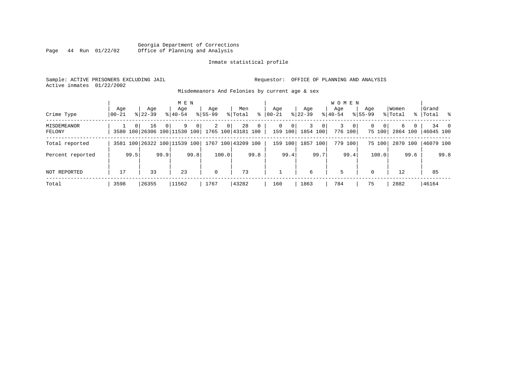### Georgia Department of Corrections<br>Page 44 Run 01/22/02 Office of Planning and Analysis Page 44 Run 01/22/02 Office of Planning and Analysis

#### Inmate statistical profile

Sample: ACTIVE PRISONERS EXCLUDING JAIL **Requestor:** OFFICE OF PLANNING AND ANALYSIS Active inmates 01/22/2002

Misdemeanors And Felonies by current age & sex

| Crime Type                   | Age<br>$00 - 21$ |          | Age<br>$8122 - 39$                 |          | M E N<br>Age<br>$8140 - 54$ |      | Aqe<br>$8155 - 99$ |                | Men<br>% Total           | ွေ             | Aqe<br>$ 00-21 $ |                                     | Aqe<br>$ 22-39 $ |         | <b>WOMEN</b><br>Aqe<br>$8 40-54$ |                         | Aqe<br>$8155 - 99$ |                    | Women<br>% Total |      | Grand<br>%   Total % |      |
|------------------------------|------------------|----------|------------------------------------|----------|-----------------------------|------|--------------------|----------------|--------------------------|----------------|------------------|-------------------------------------|------------------|---------|----------------------------------|-------------------------|--------------------|--------------------|------------------|------|----------------------|------|
| <b>MISDEMEANOR</b><br>FELONY |                  | $\Omega$ | 16<br>3580 100 26306 100 11530 100 | $\Omega$ | 9                           | 0    | 2                  | 0 <sup>1</sup> | 28<br>1765 100 43181 100 | $\overline{0}$ |                  | $\Omega$<br>$\mathbf{0}$<br>159 100 | 3<br>1854 100    | $\circ$ | 3                                | $\mathbf{0}$<br>776 100 | 0                  | $\Omega$<br>75 100 | 6<br>2864 100    | 0    | 46045 100            | 34 0 |
| Total reported               |                  |          | 3581 100 26322 100 11539 100       |          |                             |      |                    |                | 1767 100 43209 100       |                | 159              | 100                                 | 1857 100         |         |                                  | 779 100                 |                    | 75 100             | 2870 100         |      | 46079 100            |      |
| Percent reported             |                  | 99.5     |                                    | 99.9     |                             | 99.8 |                    | 100.0          |                          | 99.8           |                  | 99.4                                |                  | 99.7    |                                  | 99.4                    |                    | 100.0              |                  | 99.6 |                      | 99.8 |
| NOT REPORTED                 | 17               |          | 33                                 |          | 23                          |      | $\mathbf 0$        |                | 73                       |                |                  |                                     | 6                |         | 5                                |                         | $\Omega$           |                    | 12               |      | 85                   |      |
| Total                        | 3598             |          | 26355                              |          | 11562                       |      | 1767               |                | 43282                    |                | 160              |                                     | 1863             |         | 784                              |                         | 75                 |                    | 2882             |      | 46164                |      |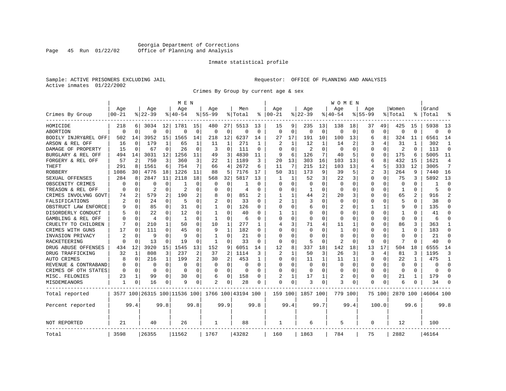# Georgia Department of Corrections<br>Page 45 Run 01/22/02 Office of Planning and Analysis Office of Planning and Analysis

#### Inmate statistical profile

Sample: ACTIVE PRISONERS EXCLUDING JAIL **Requestor:** OFFICE OF PLANNING AND ANALYSIS Active inmates 01/22/2002

Crimes By Group by current age & sex

|                      |                |             |                |              | M E N                        |          |                |              |                    |          |                |              |                |          | W O M E N      |             |             |          |              |          |           |                |
|----------------------|----------------|-------------|----------------|--------------|------------------------------|----------|----------------|--------------|--------------------|----------|----------------|--------------|----------------|----------|----------------|-------------|-------------|----------|--------------|----------|-----------|----------------|
|                      | Age            |             | Age            |              | Age                          |          | Aqe            |              | Men                |          | Age            |              | Age            |          | Aqe            |             | Aqe         |          | Women        |          | Grand     |                |
| Crimes By Group      | $00 - 21$      |             | $ 22-39$       |              | $8140 - 54$                  |          | 855-99         |              | % Total            | ႜ        | $ 00-21$       |              | $8$   22-39    |          | $8140 - 54$    |             | $8155 - 99$ |          | % Total      | ి        | Total     |                |
| HOMICIDE             | 218            | 6           | 3034           | 12           | 1781                         | 15       | 480            | 27           | 5513               | 13       | 15             | 9            | 235            | 13       | 138            | 18          | 37          | 49       | 425          | 15       | 5938      | 13             |
| ABORTION             | $\Omega$       | $\mathbf 0$ | O              | $\mathbf 0$  | $\Omega$                     | $\Omega$ | $\Omega$       | $\mathbf 0$  | $\Omega$           | $\Omega$ | $\Omega$       | $\Omega$     | $\Omega$       | 0        | $\Omega$       | $\mathbf 0$ | $\Omega$    | $\Omega$ | $\Omega$     | $\Omega$ | $\Omega$  | $\Omega$       |
| BODILY INJRY&REL OFF | 502            | 14          | 3952           | 15           | 1565                         | 14       | 218            | 12           | 6237               | 14       | 27             | 17           | 191            | 10       | 100            | 13          | 6           | 8        | 324          | 11       | 6561      | 14             |
| ARSON & REL OFF      | 16             | 0           | 179            | 1            | 65                           | 1        | 11             | 1            | 271                | 1        | 2              |              | 12             | 1        | 14             | 2           | 3           |          | 31           | 1        | 302       | 1              |
| DAMAGE OF PROPERTY   | 15             | $\mathbf 0$ | 67             | $\Omega$     | 26                           | $\Omega$ | 3              | $\Omega$     | 111                | $\Omega$ | $\Omega$       | $\Omega$     | $\overline{2}$ | O        | $\Omega$       | $\Omega$    | $\Omega$    | $\Omega$ | 2            | $\Omega$ | 113       | $\Omega$       |
| BURGLARY & REL OFF   | 494            | 14          | 3031           | 12           | 1256                         | 11       | 49             | 3            | 4830               | 11       | 9              | 6            | 126            | 7        | 40             | 5           | $\Omega$    | $\Omega$ | 175          | 6        | 5005      | 11             |
| FORGERY & REL OFF    | 57             | 2           | 750            | 3            | 360                          | 3        | 22             | $\mathbf{1}$ | 1189               | 3        | 20             | 13           | 303            | 16       | 103            | 13          | 6           | 8        | 432          | 15       | 1621      | $\overline{4}$ |
| THEFT                | 291            | 8           | 1561           | 6            | 754                          |          | 66             | 4            | 2672               | 6        | 11             | 7            | 215            | 12       | 103            | 13          | 4           | 5        | 333          | 12       | 3005      | 7              |
| <b>ROBBERY</b>       | 1086           | 30          | 4776           | 18           | 1226                         | 11       | 88             | 5            | 7176               | 17       | 50             | 31           | 173            | 9        | 39             | 5           | 2           | 3        | 264          | 9        | 7440      | 16             |
| SEXUAL OFFENSES      | 284            | 8           | 2847           | 11           | 2118                         | 18       | 568            | 32           | 5817               | 13       | 1              |              | 52             | 3        | 22             | 3           | 0           | 0        | 75           | 3        | 5892      | 13             |
| OBSCENITY CRIMES     | O              | $\Omega$    | U              | 0            | 1                            | $\Omega$ | O              | $\Omega$     | 1                  | U        | ∩              | <sup>0</sup> | $\Omega$       | U        | $\Omega$       | $\Omega$    | O           | 0        | $\Omega$     | 0        | 1         | $\Omega$       |
| TREASON & REL OFF    | O              | 0           | 2              | $\Omega$     | $\overline{2}$               | $\Omega$ | O              | 0            | 4                  | $\Omega$ | $\Omega$       | $\Omega$     | 1              | 0        | $\Omega$       | $\Omega$    | $\Omega$    | $\Omega$ | $\mathbf{1}$ | $\Omega$ | 5         | $\Omega$       |
| CRIMES INVOLVNG GOVT | 74             | 2           | 579            | 2            | 190                          | 2        | 8              | 0            | 851                | 2        | 1              |              | 44             | 2        | 20             | 3           | 0           | $\Omega$ | 65           | 2        | 916       | $\overline{2}$ |
| FALSIFICATIONS       | $\overline{c}$ | $\Omega$    | 24             | $\Omega$     | 5                            | $\Omega$ | $\overline{c}$ | $\Omega$     | 33                 | $\Omega$ | $\overline{2}$ |              | 3              | 0        | $\Omega$       | $\Omega$    | 0           | 0        | 5            | $\Omega$ | 38        | $\Omega$       |
| OBSTRUCT LAW ENFORCE | q              | $\Omega$    | 85             | $\Omega$     | 31                           | $\Omega$ | -1             | 0            | 126                | O        | $\Omega$       | <sup>0</sup> | б              | U        | 2              | $\Omega$    |             | 1        | 9            | O        | 135       | $\Omega$       |
| DISORDERLY CONDUCT   |                | O           | 22             | $\Omega$     | 12                           | O        |                | 0            | 40                 |          |                |              | 0              | U        | O              | $\Omega$    | Ω           | 0        |              |          | 41        | $\Omega$       |
| GAMBLING & REL OFF   | O              | $\Omega$    | $\overline{4}$ | $\Omega$     | -1                           | $\Omega$ | -1             | 0            | 6                  | ∩        | ∩              | <sup>0</sup> | 0              | U        | $\Omega$       | ∩           | U           | 0        | $\Omega$     | 0        | 6         | $\Omega$       |
| CRUELTY TO CHILDREN  |                | $\Omega$    | 210            | $\mathbf{1}$ | 50                           | $\Omega$ | 10             | 1            | 277                | 1.       | 4              | 3            | 71             | 4        | 11             | 1           | 0           | $\Omega$ | 86           | 3        | 363       | 1              |
| CRIMES WITH GUNS     | 17             | 0           | 111            | 0            | 45                           | $\Omega$ | 9              | 1            | 182                | $\Omega$ | $\Omega$       | $\Omega$     | 0              | 0        | 1              | 0           | 0           | $\Omega$ | 1            | $\Omega$ | 183       | $\Omega$       |
| INVASION PRIVACY     | $\overline{c}$ | $\Omega$    | 9              | $\Omega$     | 9                            | $\Omega$ | $\mathbf{1}$   | $\Omega$     | 21                 | $\Omega$ | $\Omega$       | 0            | $\Omega$       | 0        | $\Omega$       | $\Omega$    | 0           | 0        | $\Omega$     | O        | 2.1       | $\Omega$       |
| <b>RACKETEERING</b>  | O              | $\mathbf 0$ | 13             | $\Omega$     | 19                           | O        | -1             | $\Omega$     | 33                 | $\Omega$ | $\Omega$       | $\Omega$     | 5              | $\Omega$ | $\mathfrak{D}$ | $\Omega$    | 0           | $\Omega$ | 7            | $\Omega$ | 40        | $\Omega$       |
| DRUG ABUSE OFFENSES  | 434            | 12          | 3920           | 15           | 1545                         | 13       | 152            | 9            | 6051               | 14       | 12             | 8            | 337            | 18       | 142            | 18          | 13          | 17       | 504          | 18       | 6555      | 14             |
| DRUG TRAFFICKING     | 32             | 1           | 808            | 3            | 237                          | 2        | 37             | 2            | 1114               | 3        | 2              |              | 50             | 3        | 26             | 3           | 3           | 4        | 81           | 3        | 1195      | 3              |
| AUTO CRIMES          | 8              | 0           | 216            | $\mathbf{1}$ | 199                          | 2        | 30             | 2            | 453                | -1       | $\Omega$       | 0            | 11             | 1        | 11             | 1           | 0           | 0        | 22           | 1        | 475       | 1              |
| REVENUE & CONTRABAND | 0              | 0           | $\Omega$       | $\mathbf 0$  | $\mathbf 0$                  | $\Omega$ | 0              | 0            | 0                  | $\Omega$ | $\Omega$       | $\Omega$     | 0              | 0        | $\Omega$       | 0           | $\Omega$    | 0        | $\mathbf 0$  | 0        | O         | $\Omega$       |
| CRIMES OF OTH STATES | $\Omega$       | 0           | $\Omega$       | 0            | $\Omega$                     | $\Omega$ | $\Omega$       | 0            | $\Omega$           | $\Omega$ | $\Omega$       | $\Omega$     | $\Omega$       | U        | $\Omega$       | 0           | 0           | $\Omega$ | $\Omega$     | $\Omega$ | $\Omega$  | $\Omega$       |
| MISC. FELONIES       | 23             | 1           | 99             | $\Omega$     | 30                           | $\Omega$ | 6              | 0            | 158                | O        | $\overline{2}$ |              | 17             | 1        | 2              | $\Omega$    | 0           | 0        | 21           | 1        | 179       | $\Omega$       |
| MISDEMEANORS         | 1              | 0           | 16             | 0            | 9                            | 0        | 2              | 0            | 28                 |          | $\Omega$       | 0            | 3              | 0        | 3              | 0           | 0           | 0        | 6            |          | 34        | $\Omega$       |
| Total reported       |                |             |                |              | 3577 100 26315 100 11536 100 |          |                |              | 1766 100 43194 100 |          | 159 100        |              | 1857 100       |          | 779 100        |             |             | 75 100   | 2870 100     |          | 46064 100 |                |
| Percent reported     |                | 99.4        |                | 99.8         |                              | 99.8     |                | 99.9         |                    | 99.8     |                | 99.4         |                | 99.7     |                | 99.4        |             | 100.0    |              | 99.6     |           | 99.8           |
| <b>NOT REPORTED</b>  | 21             |             | 40             |              | 26                           |          | 1              |              | 88                 |          | 1              |              | 6              |          | 5              |             | 0           |          | 12           |          | 100       |                |
| Total                | 3598           |             | 26355          |              | 11562                        |          | 1767           |              | 43282              |          | 160            |              | 1863           |          | 784            |             | 75          |          | 2882         |          | 46164     |                |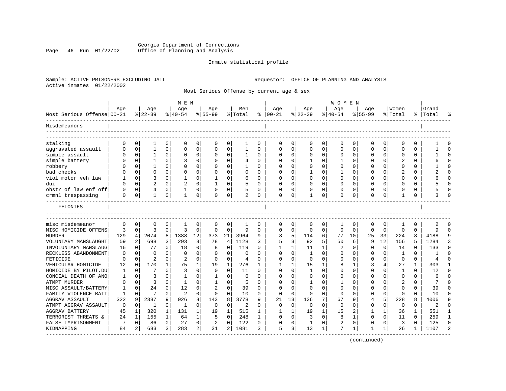### Georgia Department of Corrections<br>Page 46 Run 01/22/02 Office of Planning and Analysis Page 46 Run 01/22/02 Office of Planning and Analysis

#### Inmate statistical profile

Active inmates 01/22/2002

Sample: ACTIVE PRISONERS EXCLUDING JAIL **Requestor:** OFFICE OF PLANNING AND ANALYSIS

Most Serious Offense by current age & sex

|                            |             |                |                |              | M E N          |                |                |              |                |              |              |          |             |          | <b>WOMEN</b> |             |             |              |               |              |           |                |
|----------------------------|-------------|----------------|----------------|--------------|----------------|----------------|----------------|--------------|----------------|--------------|--------------|----------|-------------|----------|--------------|-------------|-------------|--------------|---------------|--------------|-----------|----------------|
|                            | Age         |                | Age            |              | Age            |                | Age            |              | Men            |              | Age          |          | Age         |          | Age          |             | Age         |              | Women         |              | Grand     |                |
| Most Serious Offense 00-21 |             |                | $8 22-39$      |              | $8 40-54$      |                | $8 55-99$      |              | % Total        | ႜ            | $ 00 - 21$   |          | $ 22-39 $   |          | $8 40-54$    |             | $8155 - 99$ |              | % Total       |              | %   Total | 昙              |
| Misdemeanors               |             |                |                |              |                |                |                |              |                |              |              |          |             |          |              |             |             |              |               |              |           |                |
| stalking                   | $\Omega$    | 0              | 1              | 0            | 0              | 0              | $\Omega$       | 0            | 1              | 0            | <sup>0</sup> | 0        | O           | 0        | $\Omega$     | 0           | O           | 0            | ∩             | 0            |           | $\Omega$       |
| aggravated assault         | $\Omega$    | 0              | $\mathbf{1}$   | 0            | $\mathbf 0$    | 0              | $\Omega$       | $\mathbf 0$  | 1              | 0            | $\Omega$     | 0        | $\Omega$    | 0        | $\Omega$     | 0           | U           | 0            | $\Omega$      | 0            |           | $\Omega$       |
| simple assault             |             | $\mathbf 0$    | 1              | 0            | $\Omega$       | 0              | 0              | 0            |                | $\Omega$     |              |          | $\Omega$    | 0        |              | 0           |             | $\Omega$     | $\Omega$      | $\Omega$     |           | $\Omega$       |
| simple battery             |             | $\Omega$       | 1              | $\Omega$     | 3              | $\Omega$       | $\Omega$       | $\Omega$     | 4              | $\Omega$     | <sup>0</sup> | 0        | -1          | U        | -1           | $\Omega$    | U           | 0            | $\mathcal{D}$ | $\Omega$     |           | $\Omega$       |
| robbery                    |             | $\Omega$       | 1              | $\Omega$     | 0              | 0              | O              | 0            |                | $\Omega$     | <sup>0</sup> | 0        | 0           | 0        | O            | $\Omega$    |             | 0            | $\Omega$      | 0            |           | ∩              |
| bad checks                 |             | 0              | 0              | 0            | $\mathbf 0$    | 0              | 0              | $\mathbf 0$  | $\Omega$       | 0            |              | $\Omega$ | 1           | 0        |              | 0           | U           | 0            | 2             | 0            |           | $\Omega$       |
| viol motor veh law         |             | $\Omega$       | 3              | 0            | $\mathbf{1}$   | $\Omega$       | $\mathbf{1}$   | $\Omega$     | 6              | $\Omega$     |              | $\Omega$ | $\Omega$    | $\Omega$ | O            | $\Omega$    | U           | 0            | $\Omega$      | $\Omega$     |           | $\Omega$       |
| dui                        | ∩           | $\Omega$       | $\overline{2}$ | $\Omega$     | $\overline{2}$ | $\mathbf 0$    | $\mathbf{1}$   | $\mathbf 0$  | 5              | $\Omega$     | <sup>0</sup> | 0        | $\Omega$    | $\Omega$ | $\Omega$     | $\Omega$    | U           | $\Omega$     | $\Omega$      | 0            |           | $\Omega$       |
| obstr of law enf off       |             | $\mathbf 0$    | 4              | 0            |                | 0              | O              | 0            |                | $\Omega$     |              |          | 0           | 0        |              | n           |             | 0            | $\Omega$      | 0            |           | ∩              |
| crmnl trespassing          | $\Omega$    | 0              | 1              | 0            | 1              | 0              | 0              | 0            | $\overline{c}$ | 0            | 0            | 0        | 1           | 0        | 0            | 0           | U           | 0            | 1             | 0            |           | ∩              |
| FELONIES                   |             |                |                |              |                |                |                |              |                |              |              |          |             |          |              |             |             |              |               |              |           |                |
| misc misdemeanor           | $\Omega$    | 0              | 0              | 0            | 1              | 0              | 0              | 0            |                | 0            | <sup>0</sup> | 0        | 0           | 0        | 1            | 0           | 0           | 0            |               | 0            |           |                |
| MISC HOMICIDE OFFENS       | 3           | 0              | 3              | 0            | $\overline{3}$ | 0              | 0              | $\mathbf 0$  | 9              | $\Omega$     | $\Omega$     | $\Omega$ | $\mathbf 0$ | $\Omega$ | $\Omega$     | $\Omega$    | $\Omega$    | $\Omega$     | $\Omega$      | $\Omega$     | 9         | $\Omega$       |
| <b>MURDER</b>              | 129         | $\overline{4}$ | 2074           | 8            | 1388           | 12             | 373            | 21           | 3964           | 9            | 8            | 5        | 114         | 6        | 77           | 10          | 25          | 33           | 224           | 8            | 4188      | 9              |
| VOLUNTARY MANSLAUGHT       | 59          | 2              | 698            | 3            | 293            | 3              | 78             | 4            | 1128           | 3            |              | 3        | 92          | 5        | 50           | 6           | 9           | 12           | 156           | 5            | 1284      | 3              |
| INVOLUNTARY MANSLAUG       | 16          | 0              | 77             | $\Omega$     | 18             | 0              | 8              | 0            | 119            | $\Omega$     |              | 1        | 11          | 1        | 2            | $\Omega$    | U           | 0            | 14            | $\Omega$     | 133       | $\Omega$       |
| RECKLESS ABANDONMENT       | $\mathbf 0$ | 0              | $\Omega$       | 0            | $\mathbf 0$    | $\mathbf 0$    | $\Omega$       | 0            | $\mathbf 0$    | $\Omega$     | $\Omega$     | $\Omega$ | 1           | $\Omega$ | $\Omega$     | $\Omega$    | U           | 0            | 1             | $\Omega$     |           | $\Omega$       |
| FETICIDE                   | $\Omega$    | 0              | 2              | 0            | 2              | $\Omega$       | $\Omega$       | 0            | 4              | $\Omega$     |              | $\Omega$ | $\Omega$    | O        |              | $\Omega$    | O           | 0            | $\Omega$      | $\Omega$     |           | $\Omega$       |
| VEHICULAR HOMICIDE         | 12          | $\Omega$       | 170            | $\mathbf{1}$ | 75             | $\mathbf{1}$   | 19             | $\mathbf{1}$ | 276            | 1            |              | 1        | 15          | 1        |              | 1           | 3           | 4            | 27            | $\mathbf{1}$ | 303       | 1              |
| HOMICIDE BY PILOT, DU      | 1           | $\Omega$       | 7              | $\Omega$     | $\overline{3}$ | $\Omega$       | $\Omega$       | $\Omega$     | 11             | $\Omega$     | <sup>0</sup> | $\Omega$ | -1          | $\Omega$ |              | $\Omega$    | U           | 0            | -1            | 0            | 12        | $\Omega$       |
| CONCEAL DEATH OF ANO       | 1           | 0              | 3              | 0            | 1              | 0              | 1              | $\mathbf 0$  | 6              | $\Omega$     |              | $\Omega$ | 0           | U        |              | $\Omega$    | U           | 0            | $\mathbf{0}$  | $\Omega$     | 6         | $\Omega$       |
| ATMPT MURDER               | $\Omega$    | 0              | 3              | 0            | 1              | 0              | $\mathbf{1}$   | 0            | 5              | $\Omega$     |              | $\Omega$ | 1           | U        |              | $\Omega$    | U           | $\Omega$     | 2             | $\Omega$     | 7         | $\Omega$       |
| MISC ASSAULT/BATTERY       | 1           | $\Omega$       | 24             | $\Omega$     | 12             | 0              | $\overline{c}$ | $\mathbf 0$  | 39             | $\Omega$     | ∩            | U        | $\Omega$    | 0        | $\Omega$     | $\Omega$    | U           | 0            | $\Omega$      | 0            | 39        | $\Omega$       |
| FAMILY VIOLENCE BATT       | 1           | 0              |                | $\Omega$     | $\overline{2}$ | 0              | $\Omega$       | 0            | 10             | $\Omega$     |              | $\Omega$ | $\Omega$    | $\Omega$ | $\Omega$     | $\Omega$    | U           | $\Omega$     | $\Omega$      | O            | 10        | $\Omega$       |
| <b>AGGRAV ASSAULT</b>      | 322         | 9              | 2387           | 9            | 926            | 8              | 143            | 8            | 3778           | q            | 21           | 13       | 136         | 7        | 67           |             | 4           | 5            | 228           | R            | 4006      | 9              |
| ATMPT AGGRAV ASSAULT       | 0           | 0              | 1              | 0            | -1             | 0              | 0              | 0            | 2              | $\Omega$     | <sup>0</sup> | $\Omega$ | 0           | $\Omega$ | $\Omega$     | $\Omega$    | O           | 0            | $\Omega$      | $\Omega$     | 2         | $\Omega$       |
| <b>AGGRAV BATTERY</b>      | 45          | 1              | 320            | $\mathbf{1}$ | 131            | 1              | 19             | $\mathbf{1}$ | 515            | 1            |              | 1        | 19          | 1        | 15           | 2           | 1           | $\mathbf{1}$ | 36            | 1            | 551       | $\mathbf{1}$   |
| TERRORIST THREATS &        | 24          | $\mathbf{1}$   | 155            | $\mathbf{1}$ | 64             | $\mathbf{1}$   | 5              | $\mathbf 0$  | 248            | $\mathbf{1}$ | $\Omega$     | $\Omega$ | 3           | $\Omega$ | 8            | $\mathbf 1$ | $\Omega$    | $\Omega$     | 11            | $\Omega$     | 259       | $\mathbf{1}$   |
| FALSE IMPRISONMENT         | 7           | 0              | 86             | 0            | 27             | 0              | $\overline{2}$ | $\mathbf 0$  | 122            | 0            | <sup>0</sup> | $\Omega$ | 1           | 0        | 2            | 0           | U           | 0            | 3             | $\Omega$     | 125       | $\Omega$       |
| KIDNAPPING                 | 84          | 2              | 683            | 3            | 283            | $\overline{a}$ | 31             | 2            | 1081           | 3            | 5            | 3        | 13          | 1        |              | 1           |             | 1            | 26            |              | 1107      | $\mathfrak{D}$ |
|                            |             |                |                |              |                |                |                |              |                |              |              |          |             |          |              |             |             |              |               |              |           |                |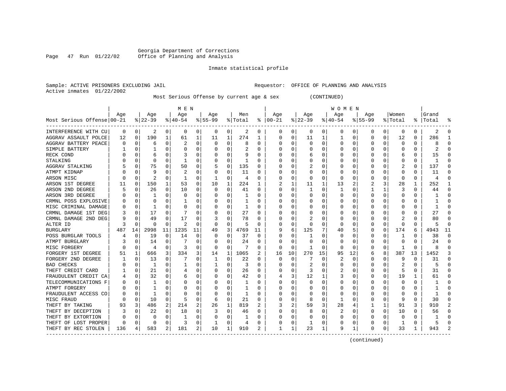# Georgia Department of Corrections<br>Page 47 Run 01/22/02 Office of Planning and Analysis Office of Planning and Analysis

Inmate statistical profile

Sample: ACTIVE PRISONERS EXCLUDING JAIL **Requestor:** OFFICE OF PLANNING AND ANALYSIS Active inmates 01/22/2002

Most Serious Offense by current age & sex (CONTINUED)

|                            |     |          |          |          | M E N          |          |           |   |         |              |               |              |           |    | WOMEN        |             |          |             |              |          |              |                |
|----------------------------|-----|----------|----------|----------|----------------|----------|-----------|---|---------|--------------|---------------|--------------|-----------|----|--------------|-------------|----------|-------------|--------------|----------|--------------|----------------|
|                            | Age |          | Age      |          | Aqe            |          | Aqe       |   | Men     |              | Aqe           |              | Aqe       |    | Aqe          |             | Aqe      |             | Women        |          | Grand        |                |
| Most Serious Offense 00-21 |     |          | $ 22-39$ |          | $8 40-54$      |          | $8 55-99$ |   | % Total |              | $8   00 - 21$ |              | $ 22-39 $ |    | $ 40-54$     |             | $ 55-99$ |             | % Total      |          | %   Total    | ႜ              |
| INTERFERENCE WITH CU       | 0   | 0        | 2        | 0        | 0              | $\Omega$ | 0         | 0 | 2       | 0            | 0             | 0            | 0         | 0  | 0            | 0           | 0        | 0           | 0            | 0        | 2            | 0              |
| AGGRAV ASSAULT POLCE       | 12  | 0        | 190      | 1        | 61             | 1        | 11        | 1 | 274     | 1            | $\Omega$      | 0            | 11        | 1  | 1            | 0           | $\Omega$ | $\mathbf 0$ | 12           | $\Omega$ | 286          | $\mathbf{1}$   |
| AGGRAV BATTERY PEACE       |     | $\Omega$ | 6        | $\Omega$ | 2              | $\Omega$ | $\Omega$  | 0 | 8       | $\Omega$     | 0             | O            | $\Omega$  | 0  | O            | 0           | O        | 0           | 0            | 0        | 8            | U              |
| SIMPLE BATTERY             |     | $\Omega$ |          | U        | $\Omega$       | $\Omega$ | C         | 0 | 2       | $\Omega$     | 0             | 0            | 0         | 0  | O            | $\mathbf 0$ | O        | $\Omega$    | 0            | $\Omega$ |              | U              |
| RECK COND                  |     | $\Omega$ | 6        | U        | 3              | $\Omega$ |           | 0 | 9       | $\Omega$     |               | O            | 6         | 0  |              | 0           |          | $\mathbf 0$ | 6            | 0        | 15           | $\cap$         |
| STALKING                   |     | $\Omega$ | $\Omega$ | n        | 1              | $\Omega$ |           | U | 1       | $\Omega$     |               | O            | $\Omega$  | O  |              | $\Omega$    |          | $\Omega$    | $\Omega$     | $\Omega$ | $\mathbf{1}$ | $\Omega$       |
| AGGRAV STALKING            |     | $\Omega$ | 75       | 0        | 50             | 0        |           | 0 | 135     | 0            | 0             | 0            | 2         | 0  | 0            | 0           | 0        | $\Omega$    | 2            | $\Omega$ | 137          | $\Omega$       |
| ATMPT KIDNAP               |     | $\Omega$ | 9        | 0        | 2              | $\Omega$ | C         | 0 | 11      | $\Omega$     | 0             | O            | 0         | 0  | 0            | $\Omega$    |          | $\Omega$    | 0            | $\Omega$ | 11           | O              |
| ARSON MISC                 |     | $\Omega$ | 2        | 0        |                | $\Omega$ | 1         | 0 | 4       | $\Omega$     | 0             | 0            | $\Omega$  | 0  | 0            | $\Omega$    |          | $\Omega$    | $\Omega$     | 0        | 4            | $\Omega$       |
| ARSON 1ST DEGREE           | 11  | $\Omega$ | 150      | 1        | 53             | $\Omega$ | 10        | 1 | 224     |              |               | 1            | 11        | 1  | 13           | 2           |          | 3           | 28           | 1        | 252          | $\mathbf{1}$   |
| ARSON 2ND DEGREE           |     | $\Omega$ | 26       | $\Omega$ | 10             | 0        | O         | U | 41      | <sup>0</sup> | 0             | O            | -1        | 0  | 1            | O           |          | 1           | 3            | 0        | 44           | 0              |
| ARSON 3RD DEGREE           |     | $\Omega$ |          | $\Omega$ | $\Omega$       | $\Omega$ | C         | 0 |         | O            | 0             | 0            | 0         | O  | O            | $\Omega$    | O        | $\Omega$    | $\Omega$     | O        |              | $\cap$         |
| CRMNL POSS EXPLOSIVE       |     | $\Omega$ | U        | U        |                | $\Omega$ |           | 0 |         | O            |               | O            | 0         | 0  |              | 0           |          | $\mathbf 0$ | $\Omega$     | $\Omega$ |              | O              |
| MISC CRIMINAL DAMAGE       |     | $\Omega$ |          | $\Omega$ | $\Omega$       | $\Omega$ |           | 0 | 1       | $\Omega$     | U             | O            | $\Omega$  | 0  | O            | $\Omega$    | O        | $\Omega$    | $\Omega$     | $\Omega$ |              | $\Omega$       |
| CRMNL DAMAGE 1ST DEG       |     | $\Omega$ | 17       | $\Omega$ |                | $\Omega$ | C         | 0 | 27      | $\Omega$     | 0             | O            | $\Omega$  | 0  | O            | $\Omega$    | O        | $\Omega$    | O            | $\Omega$ | 27           | $\Omega$       |
| CRMNL DAMAGE 2ND DEG       |     | $\Omega$ | 49       | $\Omega$ | 17             | $\Omega$ | 3         | 0 | 78      | 0            | 0             | O            | 2         | 0  | O            | $\Omega$    | 0        | $\Omega$    | 2            | $\Omega$ | 80           | O              |
| ALTER ID                   |     | $\Omega$ | n        | 0        | $\overline{2}$ | O        | 0         | 0 |         | O            | 0             | 0            | 0         | 0  | 0            | 0           |          | 0           | 0            | 0        |              | $\Omega$       |
| <b>BURGLARY</b>            | 487 | 14       | 2998     | 11       | 1235           | 11       | 49        | 3 | 4769    | 11           | 9             | 6            | 125       |    | 40           | 5           | O        | 0           | 174          | 6        | 4943         | 11             |
| POSS BURGLAR TOOLS         |     | 0        | 19       | $\Omega$ | 14             | $\Omega$ | O         | O | 37      | 0            | O             | O            | -1        | O  | O            | O           | O        | 0           | 1            | O        | 38           | $\Omega$       |
| ATMPT BURGLARY             |     | $\Omega$ | 14       | $\Omega$ |                | $\Omega$ | C         | 0 | 24      | $\Omega$     | U             | $\Omega$     | $\Omega$  | O  | O            | $\Omega$    | O        | $\Omega$    | $\Omega$     | $\Omega$ | 2.4          | $\Omega$       |
| MISC FORGERY               |     | $\Omega$ | 4        | $\Omega$ | 3              | $\Omega$ | $\Omega$  | 0 |         | $\Omega$     | $\Omega$      | $\Omega$     | -1        | 0  | O            | $\Omega$    |          | $\mathbf 0$ | 1            | $\Omega$ |              | $\Omega$       |
| FORGERY 1ST DEGREE         | 51  | 1        | 666      | 3        | 334            | 3        | 14        | 1 | 1065    |              | 16            | 10           | 270       | 15 | 95           | 12          | 6        | 8           | 387          | 13       | 1452         | 3              |
| FORGERY 2ND DEGREE         |     | 0        | 13       | $\Omega$ |                | $\Omega$ |           | 0 | 22      | $\Omega$     | 0             | 0            | 7         | 0  | 2            | 0           | 0        | 0           | 9            | 0        | 31           | $\Omega$       |
| <b>BAD CHECKS</b>          |     | 0        | 1        | $\Omega$ |                | 0        |           | 0 | 3       | 0            | O             | O            | 2         | 0  | O            | 0           | 0        | 0           |              | $\Omega$ | 5            | 0              |
| THEFT CREDIT CARD          |     | $\Omega$ | 21       | $\Omega$ |                | 0        |           | 0 | 26      | O            |               | O            | 3         | 0  |              | 0           |          | 0           | 5            | 0        | 31           | $\cap$         |
| FRAUDULENT CREDIT CA       |     | $\Omega$ | 32       | $\Omega$ | 6              | $\Omega$ | C         | 0 | 42      | $\Omega$     | 4             | 3            | 12        |    |              | $\Omega$    | O        | $\Omega$    | 19           | 1        | 61           | U              |
| TELECOMMUNICATIONS F       |     | $\Omega$ |          | U        | $\Omega$       | $\Omega$ | C         | U |         | O            | U             | O            | $\Omega$  | O  | O            | O           | O        | $\Omega$    | $\Omega$     | O        |              | U              |
| ATMPT FORGERY              |     | $\Omega$ |          | U        | $\Omega$       | $\Omega$ | $\left($  | 0 |         | <sup>0</sup> | O             | 0            | 0         | O  | O            | $\Omega$    | O        | $\Omega$    | O            | O        |              | U              |
| FRAUDULENT ACCESS CO       |     | $\Omega$ |          | $\Omega$ | $\Omega$       | $\Omega$ | C         | 0 |         | $\Omega$     |               | 0            | 0         | 0  | 0            | $\Omega$    |          | $\Omega$    | 0            | 0        |              | U              |
| MISC FRAUD                 |     | 0        | 10       | 0        | 5              | $\Omega$ | 6         | 0 | 21      | $\Omega$     |               | O            | 8         | 0  | $\mathbf{1}$ | 0           |          | $\mathbf 0$ | 9            | $\Omega$ | 30           | U              |
| THEFT BY TAKING            | 93  | 3        | 486      | 2        | 214            | 2        | 26        | 1 | 819     | 2            |               | 2            | 59        | 3  | 28           | 4           |          | 1           | 91           | 3        | 910          | 2              |
| THEFT BY DECEPTION         |     | 0        | 22       | 0        | 18             | 0        | 3         | 0 | 46      | 0            | 0             | 0            | 8         | 0  |              | 0           | 0        | $\mathbf 0$ | 10           | 0        | 56           | $\Omega$       |
| THEFT BY EXTORTION         |     | $\Omega$ | 0        | 0        |                | $\Omega$ |           | 0 |         | 0            |               | O            | 0         | 0  | O            | 0           | 0        | $\mathbf 0$ | 0            | 0        |              | $\Omega$       |
| THEFT OF LOST PROPER       |     | $\Omega$ | $\Omega$ | 0        | 3              | $\Omega$ |           | 0 | 4       | $\Omega$     |               | 0            |           | O  |              | 0           |          | 0           | $\mathbf{1}$ | O        |              | $\Omega$       |
| THEFT BY REC STOLEN        | 136 | 4        | 583      | 2        | 181            | 2        | 10        | 1 | 910     | 2            | 1             | $\mathbf{1}$ | 23        | 1  | 9            | 1           | O        | $\mathbf 0$ | 33           | 1        | 943          | $\mathfrak{D}$ |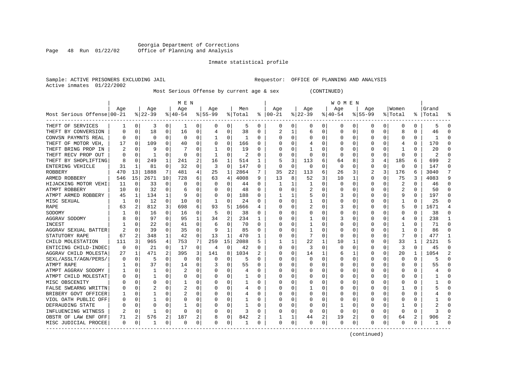# Georgia Department of Corrections<br>Page 48 Run 01/22/02 Office of Planning and Analysis Page 48 Run 01/22/02 Office of Planning and Analysis

#### Inmate statistical profile

|  |                           | Sample: ACTIVE PRISONERS EXCLUDING JAI |  |
|--|---------------------------|----------------------------------------|--|
|  | Active inmates 01/22/2002 |                                        |  |

IL SAMPLE: SAMPLE: OFFICE OF PLANNING AND ANALYSIS

Most Serious Offense by current age & sex (CONTINUED)

|                                        |          |          |           |                | M E N        |          |             |             |                |              |               |          |             |   | W O M E N |             |             |          |             |          |           |          |
|----------------------------------------|----------|----------|-----------|----------------|--------------|----------|-------------|-------------|----------------|--------------|---------------|----------|-------------|---|-----------|-------------|-------------|----------|-------------|----------|-----------|----------|
|                                        | Aqe      |          | Age       |                | Aqe          |          | Aqe         |             | Men            |              | Age           |          | Aqe         |   | Aqe       |             | Aqe         |          | Women       |          | Grand     |          |
| Most Serious Offense 00-21             |          |          | $8 22-39$ |                | $8 40-54$    |          | $8155 - 99$ |             | % Total        |              | $8   00 - 21$ |          | $8$   22-39 |   | $ 40-54$  |             | $8155 - 99$ |          | % Total     |          | %   Total |          |
| THEFT OF SERVICES                      | -1       | 0        | 3         | 0              | -1           | 0        | $\Omega$    | 0           | 5              | 0            | $\Omega$      | 0        | 0           | 0 | 0         | 0           | 0           | 0        | 0           | 0        | 5         | $\Omega$ |
| THEFT BY CONVERSION                    |          | $\Omega$ | 18        | 0              | 16           | 0        | 4           | 0           | 38             | 0            | 2             |          | 6           | O |           | 0           | U           | 0        | 8           | 0        | 46        |          |
| CONVSN PAYMNTS REAL                    |          | 0        | O         | 0              | 0            | 0        |             | 0           |                | 0            |               | U        | O           | U |           | 0           |             | U        | O           | O        |           |          |
| THEFT OF MOTOR VEH,                    | 17       | $\Omega$ | 109       | U              | 40           | 0        |             | 0           | 166            | O            |               |          |             | U |           | $\Omega$    |             | U        |             | 0        | 170       |          |
| THEFT BRING PROP IN                    |          | $\Omega$ |           | U              |              | 0        | 1           | U           | 19             | $\Omega$     |               |          |             | U |           | $\Omega$    |             | U        |             | $\Omega$ | 20        |          |
| THEFT RECV PROP OUT                    |          | $\Omega$ | -1        | U              | $\Omega$     | $\Omega$ | -1          | 0           | $\overline{c}$ | <sup>0</sup> |               | $\Omega$ | U           | U |           | $\Omega$    | U           | $\Omega$ | $\Omega$    | 0        | 2         |          |
| THEFT BY SHOPLIFTING                   |          | $\Omega$ | 249       | 1              | 241          | 2        | 16          | 1           | 514            | 1            |               | 3        | 113         | 6 | 64        | 8           | 3           | 4        | 185         | 6        | 699       |          |
| ENTERING VEHICLE                       | 31       | 1        | 81        | 0              | 32           | 0        | 3           | $\mathbf 0$ | 147            | $\Omega$     |               | $\Omega$ | $\Omega$    | O |           | $\mathbf 0$ | $\Omega$    | 0        | $\mathbf 0$ | $\Omega$ | 147       |          |
| ROBBERY                                | 470      | 13       | 1888      | 7              | 481          | 4        | 25          | 1           | 2864           |              | 35            | 22       | 113         | 6 | 26        | 3           | 2           | 3        | 176         | 6        | 3040      | 7        |
| ARMED ROBBERY                          | 546      | 15       | 2671      | 10             | 728          | 6        | 63          | 4           | 4008           | 9            | 13            | 8        | 52          | 3 | 10        | 1           | 0           | U        | 75          | 3        | 4083      | 9        |
| HIJACKING MOTOR VEHI                   | 11       | $\Omega$ | 33        | 0              | <sup>0</sup> | 0        | O           | 0           | 44             | $\Omega$     |               |          |             | O |           | $\Omega$    | 0           | U        | 2           | $\Omega$ | 46        | ∩        |
| ATMPT ROBBERY                          | 10       | 0        | 32        | 0              | 6            | 0        |             | 0           | 48             | $\Omega$     |               |          |             | U |           | n           | U           | U        | 2           | $\Omega$ | 50        |          |
| ATMPT ARMED ROBBERY                    | 45       | 1        | 134       | 1              |              | 0        |             | $\Omega$    | 188            | $\Omega$     |               |          | 5           | U |           | $\Omega$    | U           | U        | g           | $\Omega$ | 197       |          |
| MISC SEXUAL                            |          | $\Omega$ | 12        | 0              | 10           | 0        | -1          | 0           | 24             | $\Omega$     |               |          |             | U |           | $\Omega$    | U           | 0        | -1          | $\Omega$ | 25        |          |
| RAPE                                   | 63       | 2        | 812       | $\overline{3}$ | 698          | 6        | 93          | 5           | 1666           | 4            |               | O        | 2           | U | 3         | $\Omega$    |             | 0        | 5           | $\Omega$ | 1671      |          |
| SODOMY                                 |          | $\Omega$ | 16        | 0              | 16           | 0        | 5           | 0           | 38             | $\Omega$     |               | $\Omega$ |             | 0 |           | 0           |             | 0        | 0           | $\Omega$ | 38        |          |
| AGGRAV SODOMY                          |          | $\Omega$ | 97        | 0              | 95           | 1        | 34          | 2           | 234            | 1            |               | O        |             | U |           | $\Omega$    | U           | 0        | 4           | 0        | 238       | -1       |
| INCEST                                 |          | $\Omega$ | 22        | 0              | 41           | 0        | 6           | 0           | 70             | $\Omega$     |               | O        |             | U |           | $\Omega$    | U           | U        |             | $\Omega$ | 71        | $\cap$   |
| AGGRAV SEXUAL BATTER                   |          | $\Omega$ | 39        | 0              | 35           | 0        | 9           | 1           | 85             | $\Omega$     |               |          |             | U |           | $\Omega$    | U           | 0        |             | O        | 86        |          |
| STATUTORY RAPE                         | 67       | 2        | 348       | 1              | 42           | 0        | 13          | 1           | 470            |              |               |          |             | 0 |           | 0           |             | 0        |             |          | 477       |          |
| CHILD MOLESTATION                      | 111      | 3        | 965       | 4              | 753          | 7        | 259         | 15          | 2088           |              |               |          | 22          | 1 | 10        | 1           | O           | U        | 33          |          | 2121      |          |
| ENTICING CHILD-INDEC                   | $\Omega$ | $\Omega$ | 21        | 0              | 17           | 0        | 4           | $\Omega$    | 42             | $\Omega$     |               | O        | 3           | U |           | $\Omega$    | U           | U        | 3           | $\Omega$ | 45        |          |
| AGGRAV CHILD MOLESTA                   | 27       | 1        | 471       | 2              | 395          | 3        | 141         | 8           | 1034           |              |               | 0        | 14          | 1 | 6         | 1           | 0           | 0        | 20          | 1        | 1054      | 2        |
| SEXL/ASSLT/AGN/PERS/                   |          | 0        | 5         | 0              | $\Omega$     | 0        | $\Omega$    | $\mathbf 0$ | 5              | $\Omega$     |               | O        | 0           | 0 |           | 0           | 0           | 0        | 0           | $\Omega$ |           |          |
| ATMPT RAPE                             |          | $\Omega$ | 37        | 0              | 14           | 0        |             | 0           | 55             | $\Omega$     |               | O        |             | U |           | $\mathbf 0$ | 0           | 0        | O           | 0        | 55        |          |
| ATMPT AGGRAV SODOMY                    |          | 0        |           | U              | 2            | 0        |             | 0           | 4              | $\Omega$     |               | O        |             | U |           | 0           | O           | U        | O           | $\Omega$ |           | ∩        |
| ATMPT CHILD MOLESTAT                   |          | 0        |           | U              | 0            | 0        | U           | 0           |                | 0            |               |          | O           | U |           | 0           | 0           | U        | O           | 0        |           | ∩        |
| MISC OBSCENITY                         |          | $\Omega$ | U         | U              |              | 0        | U           | 0           |                | 0            |               |          | 0           | U |           | 0           | U           | U        | O           | 0        |           |          |
| FALSE SWEARNG WRITTN                   |          | O        |           |                | 2            | 0        |             | 0           | 4              |              |               |          |             | U |           | 0           |             | O        |             |          |           |          |
| BRIBERY GOVT OFFICER                   |          | $\Omega$ |           |                |              | 0        |             | U           | 4              | O            |               |          | O           | U |           | $\Omega$    |             | U        | n           | U        |           |          |
| VIOL OATH PUBLIC OFF                   |          | ∩        |           | U              | O            | 0        |             | 0           |                | 0            |               | U        | O           | U |           | $\Omega$    |             | O        | O           | O        |           |          |
| DEFRAUDING STATE                       |          | ∩        |           | U              |              | U        |             | 0           | 1              | O            |               | U        | O           | U |           | 0           |             | 0        |             | U        |           |          |
| INFLUENCING WITNESS                    | 2        | 0        |           | U              | $\Omega$     | 0        |             | 0           | 3              | 0            |               | O        | O           | U |           | 0           |             | 0        | 0           | 0        |           |          |
| OBSTR OF LAW ENF OFF                   | 71       | 2        | 576       | 2              | 187          | 2        | 8           | 0           | 842            | 2            |               | 1        | 44          | 2 | 19        | 2           | O           | 0        | 64          | 2        | 906       |          |
| MISC JUDICIAL PROCEE<br>-------------- | $\Omega$ | 0        | -1        | 0              | $\Omega$     | 0        | U           | 0           | 1              | $\Omega$     | $\Omega$      | 0        | U           | 0 | ∩         | 0           | O           | 0        | $\Omega$    | 0        |           |          |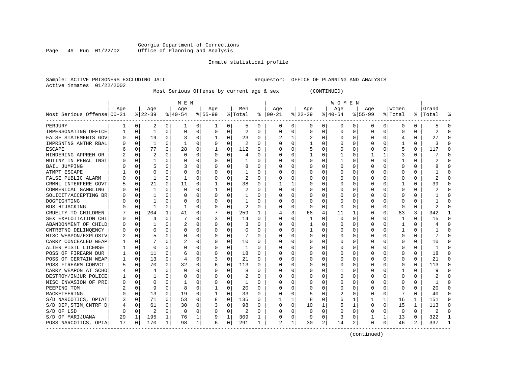# Georgia Department of Corrections<br>Page 49 Run 01/22/02 Office of Planning and Analysis Page 49 Run 01/22/02 Office of Planning and Analysis

#### Inmate statistical profile

|  |                           | Sample: ACTIVE PRISONERS EXCLUDING JAI |  |
|--|---------------------------|----------------------------------------|--|
|  | Active inmates 01/22/2002 |                                        |  |

IL SAMPLE: SAMPLE: OFFICE OF PLANNING AND ANALYSIS

Most Serious Offense by current age & sex (CONTINUED)

|                            |     |             |              |              | M E N          |          |              |              |                |              |                |          |           |          | <b>WOMEN</b> |          |           |              |                |              |                |              |
|----------------------------|-----|-------------|--------------|--------------|----------------|----------|--------------|--------------|----------------|--------------|----------------|----------|-----------|----------|--------------|----------|-----------|--------------|----------------|--------------|----------------|--------------|
|                            | Age |             | Age          |              | Aqe            |          | Age          |              | Men            |              | Age            |          | Age       |          | Aqe          |          | Age       |              | Women          |              | Grand          |              |
| Most Serious Offense 00-21 |     |             | $ 22-39$     |              | $ 40-54$       |          | $8 55-99$    |              | % Total        |              | $8   00 - 21$  |          | $ 22-39$  |          | $ 40-54$     |          | $8 55-99$ |              | % Total        |              | %   Total      | ៖            |
| PERJURY                    |     | 0           | 2            | 0            | -1             | 0        | 1            | 0            | 5              | 0            | $\Omega$       | $\Omega$ | 0         | 0        | 0            | 0        | 0         | 0            | $\Omega$       | 0            |                | $\Omega$     |
| IMPERSONATING OFFICE       |     | $\Omega$    | -1           | 0            | $\Omega$       | $\Omega$ | 0            | 0            | 2              | $\Omega$     | $\Omega$       | $\Omega$ | $\Omega$  | 0        |              | 0        | 0         | 0            | $\Omega$       | 0            |                | $\Omega$     |
| FALSE STATEMENTS GOV       |     | $\Omega$    | 19           | $\Omega$     | 3              | $\Omega$ | -1           | $\Omega$     | 23             | $\Omega$     |                |          | 2         | $\Omega$ |              | $\Omega$ | U         | $\Omega$     | $\overline{4}$ | $\Omega$     | 27             | $\Omega$     |
| IMPRSNTNG ANTHR RBAL       |     | $\Omega$    | $\mathbf{1}$ | $\Omega$     | -1             | $\Omega$ | $\Omega$     | $\Omega$     | $\mathcal{D}$  | $\Omega$     | $\Omega$       | $\Omega$ | -1        | $\Omega$ |              | $\Omega$ | U         | $\Omega$     | -1             | $\Omega$     |                | $\Omega$     |
| <b>ESCAPE</b>              |     | $\Omega$    | 77           | 0            | 28             | $\Omega$ | -1           | $\Omega$     | 112            | 0            |                | $\Omega$ | 5         | $\Omega$ |              | $\Omega$ | 0         | 0            | 5              | 0            | 117            | $\Omega$     |
| HINDERING APPREH OR        |     | $\Omega$    | 2            | 0            | $\Omega$       | $\Omega$ | 0            | 0            | 4              | O            |                | $\Omega$ |           | 0        |              | $\Omega$ |           | 1            | 3              | 0            |                | $\Omega$     |
| MUTINY IN PENAL INST       |     | $\Omega$    |              | 0            | $\Omega$       | 0        | U            | 0            |                | O            | $\Omega$       | $\Omega$ | O         | 0        |              | $\Omega$ | 0         | 0            |                | 0            |                | $\Omega$     |
| <b>BAIL JUMPING</b>        |     | $\Omega$    | 5            | 0            | 3              | O        | U            | $\Omega$     | 8              | $\Omega$     | $\Omega$       | $\Omega$ | C         | O        |              | $\Omega$ | Ω         | U            | ∩              | 0            |                | $\Omega$     |
| ATMPT ESCAPE               |     | $\Omega$    | O            |              | $\Omega$       | O        | O            | $\Omega$     | -1             | 0            | O              | $\Omega$ | C         | O        |              | $\Omega$ | Ω         | U            | U              | 0            |                | $\Omega$     |
| FALSE PUBLIC ALARM         |     | $\Omega$    | 1            | N            | -1             | O        | U            | $\Omega$     | $\overline{2}$ | O            |                | $\Omega$ | O         | O        |              | $\Omega$ |           | U            |                | O            |                | $\Omega$     |
| CRMNL INTERFERE GOVT       |     | $\Omega$    | 21           | $\Omega$     | 11             | $\Omega$ | $\mathbf{1}$ | O            | 38             | O            |                |          |           | O        |              | $\Omega$ |           | O            |                | $\Omega$     | 39             | $\Omega$     |
| COMMERICAL GAMBLING        |     | $\Omega$    | 1            | 0            | $\Omega$       | $\Omega$ | $\mathbf{1}$ | O            | $\overline{2}$ | $\Omega$     | $\Omega$       | $\Omega$ | C         | $\Omega$ |              | $\Omega$ | Ω         | U            | $\Omega$       | $\Omega$     |                | $\Omega$     |
| SOLICIT/ACCEPTING BR       |     | $\Omega$    |              | 0            | $\Omega$       | 0        | O            | 0            |                | O            | O              | $\Omega$ | C         | 0        |              | ∩        | Ω         | 0            | ∩              | 0            |                | ∩            |
| DOGFIGHTING                |     | $\Omega$    |              | U            | $\Omega$       | O        | 0            | $\Omega$     | 1              | O            |                | $\Omega$ | $\Omega$  | 0        |              | $\Omega$ |           | 0            | $\Omega$       | U            |                | $\Omega$     |
| <b>BUS HIJACKING</b>       |     | $\Omega$    | -1           | 0            | 1              | 0        | 0            | 0            | $\overline{2}$ | O            |                | $\Omega$ | $\Omega$  | 0        |              | $\Omega$ |           | 0            | $\Omega$       | $\Omega$     |                | $\Omega$     |
| CRUELTY TO CHILDREN        |     | $\Omega$    | 204          | $\mathbf{1}$ | 41             | $\Omega$ |              | $\Omega$     | 259            | $\mathbf{1}$ |                | 3        | 68        | 4        | 11           | 1        | U         | $\Omega$     | 83             | 3            | 342            | 1            |
| SEX EXPLOITATION CHI       |     | $\Omega$    | 4            | 0            | 7              | 0        | ζ            | $\Omega$     | 14             | $\Omega$     | $\Omega$       | $\Omega$ | -1        | $\Omega$ | $\Omega$     | $\Omega$ | U         | 0            | -1             | <sup>0</sup> | 15             | $\Omega$     |
| ABANDONMENT OF CHILD       |     | $\Omega$    |              | U            | 2              | O        | U            | $\Omega$     | 3              | O            | $\Omega$       | $\Omega$ |           | $\Omega$ |              | $\Omega$ | U         | U            | -1             | 0            |                | $\Omega$     |
| CNTRBTNG DELINQENCY        |     | $\Omega$    | U            | U            | $\Omega$       | O        | U            | O            |                |              |                |          | -1        | O        |              | $\Omega$ |           | O            | -1             |              |                | $\Omega$     |
| MISC WEAPON/EXPLOSIV       |     | $\Omega$    | 5            | O            | $\Omega$       | $\Omega$ | $\Omega$     | $\Omega$     |                | $\Omega$     | $\Omega$       | $\Omega$ | $\bigcap$ | $\Omega$ |              | $\Omega$ | Ω         | U            | $\Omega$       | $\Omega$     |                | $\cap$       |
| CARRY CONCEALED WEAP       |     | $\Omega$    |              | N            | 2              | 0        | 0            | 0            | 10             | O            | $\Omega$       | $\Omega$ | $\Omega$  | 0        |              | $\Omega$ | Ω         | U            | ∩              | 0            | 10             | ∩            |
| ALTER PISTL LICENSE        |     | $\Omega$    | O            | U            | $\Omega$       | $\Omega$ | U            | $\Omega$     | 1              | O            | O              | $\Omega$ | O         | $\Omega$ |              | $\Omega$ | Ω         | U            | $\Omega$       | 0            |                | ∩            |
| POSS OF FIREARM DUR        |     | $\Omega$    | 11           | 0            | 6              | 0        | U            | $\Omega$     | 18             | $\Omega$     | O              | $\Omega$ | O         | $\Omega$ |              | $\Omega$ |           | U            | $\Omega$       | $\Omega$     | 18             | $\Omega$     |
| POSS OF CERTAIN WEAP       |     | 0           | 13           | $\Omega$     | $\overline{4}$ | $\Omega$ |              | 0            | 21             | $\Omega$     |                | $\Omega$ | O         | O        |              | $\Omega$ |           | O            | $\Omega$       | $\Omega$     | 21             | $\Omega$     |
| POSS FIREARM CONVCT        |     | $\Omega$    | 70           | $\Omega$     | 32             | $\Omega$ | б            | $\Omega$     | 113            | $\Omega$     | $\Omega$       | $\Omega$ | C         | O        |              | $\Omega$ | Ω         | U            | $\Omega$       | $\Omega$     | 113            | $\Omega$     |
| CARRY WEAPON AT SCHO       |     | $\Omega$    | 4            | 0            | $\Omega$       | 0        | U            | 0            | 8              | O            | O              | $\Omega$ | C         | O        |              | $\Omega$ | Ω         | U            |                | O            | q              | $\Omega$     |
| DESTROY/INJUR POLICE       |     | 0           |              | U            | $\Omega$       | O        | U            | $\Omega$     | 2              | O            | $\Omega$       | $\Omega$ | O         | O        |              | 0        |           | U            | $\Omega$       | O            |                | $\Omega$     |
| MISC INVASION OF PRI       |     | $\Omega$    | U            | U            |                |          | U            | U            |                | O            |                | U        | O         | N        |              | $\Omega$ |           | U            | ∩              | O            |                | $\Omega$     |
| PEEPING TOM                |     | $\Omega$    | 9            | 0            |                | O        |              | O            | 20             | O            | $\Omega$       | $\Omega$ | C         | O        |              | $\Omega$ | U         | O            | $\Omega$       | $\Omega$     | 20             | $\Omega$     |
| RACKETEERING               |     | $\Omega$    | 13           | 0            | 19             | $\Omega$ | -1           | $\Omega$     | 33             | $\Omega$     | $\Omega$       | $\Omega$ | 5         | 0        |              | $\Omega$ | U         | $\Omega$     | 7              | $\Omega$     | 40             | $\Omega$     |
| S/D NARCOTICS, OPIAT       | 3   | $\Omega$    | 71           | $\Omega$     | 53             | $\Omega$ | 8            | $\Omega$     | 135            | 0            |                |          | 8         | 0        | 6            | 1        |           | $\mathbf{1}$ | 16             | 1            | 151            | $\Omega$     |
| S/D DEP, STIM, CNTRF D     |     | 0           | 61           | $\Omega$     | 30             | $\Omega$ | 3            | 0            | 98             | $\Omega$     | $\Omega$       | $\Omega$ | 10        | 1        |              | 1        | U         | $\Omega$     | 15             | $\mathbf{1}$ | 113            | $\Omega$     |
| S/D OF LSD                 |     | $\mathbf 0$ | 2            | $\Omega$     | $\Omega$       | $\Omega$ |              | 0            | 2              | $\Omega$     |                | $\Omega$ | 0         | 0        |              | $\Omega$ | Ω         | 0            | $\Omega$       | $\Omega$     | $\overline{2}$ | $\Omega$     |
| S/D OF MARIJUANA           | 29  | 1           | 195          | 1            | 76             | 1        |              | $\mathbf{1}$ | 309            | 1            | $\Omega$       | $\Omega$ | g         | 0        | 3            | 0        |           | 1            | 13             | $\Omega$     | 322            | $\mathbf{1}$ |
| POSS NARCOTICS, OPIA       | 17  | 0           | 170          | 1            | 98             | 1        | б            | 0            | 291            | 1            | $\mathfrak{D}$ | 1        | 30        | 2        | 14           | 2        | 0         | 0            | 46             | 2            | 337            | $\mathbf{1}$ |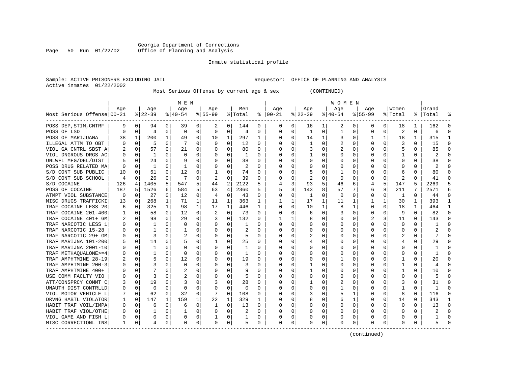### Georgia Department of Corrections<br>Page 50 Run 01/22/02 Office of Planning and Analysis Page 50 Run 01/22/02 Office of Planning and Analysis

#### Inmate statistical profile

# Active inmates 01/22/2002

Sample: ACTIVE PRISONERS EXCLUDING JAIL **Requestor:** OFFICE OF PLANNING AND ANALYSIS

Most Serious Offense by current age & sex (CONTINUED)

| Men<br>Women<br>Age<br>Age<br>Age<br>Age<br>Age<br>Age<br>Age<br>Age<br>Most Serious Offense 00-21<br>$8 22-39$<br>$ 55-99$<br>$ 22-39$<br>$8 40-54$<br>% Total<br>$8   00 - 21$<br>$ 40-54$<br>$8155 - 99$<br>%   Total<br>% Total<br>POSS DEP, STIM, CNTRF<br>9<br>0<br>94<br>0<br>39<br>0<br>2<br>0<br>144<br>0<br>0 <sup>1</sup><br>16<br>$1\vert$<br>2<br>0<br>0<br>0<br>18<br>0<br>1<br>$\overline{2}$<br>$\mathbf 0$<br>0<br>$\mathbf 0$<br>0<br>0<br>1<br>0<br>0<br>$\Omega$<br>0<br>$\Omega$<br>POSS OF LSD<br>0<br>$\overline{4}$<br>0<br><sup>0</sup><br>0<br>4<br>1<br>1<br>200<br>$\mathbf{1}$<br>10<br>297<br>1<br>14<br>1<br>$\mathbf{1}$<br>18<br>1<br>POSS OF MARIJUANA<br>38<br>49<br>0<br>1<br>0<br>0<br>3<br>0 | Grand<br>န္<br>162<br>n<br>6<br>315<br>15<br>∩<br>85<br>2<br>38<br>2<br>n |
|------------------------------------------------------------------------------------------------------------------------------------------------------------------------------------------------------------------------------------------------------------------------------------------------------------------------------------------------------------------------------------------------------------------------------------------------------------------------------------------------------------------------------------------------------------------------------------------------------------------------------------------------------------------------------------------------------------------------------------|---------------------------------------------------------------------------|
|                                                                                                                                                                                                                                                                                                                                                                                                                                                                                                                                                                                                                                                                                                                                    |                                                                           |
|                                                                                                                                                                                                                                                                                                                                                                                                                                                                                                                                                                                                                                                                                                                                    |                                                                           |
|                                                                                                                                                                                                                                                                                                                                                                                                                                                                                                                                                                                                                                                                                                                                    |                                                                           |
|                                                                                                                                                                                                                                                                                                                                                                                                                                                                                                                                                                                                                                                                                                                                    |                                                                           |
|                                                                                                                                                                                                                                                                                                                                                                                                                                                                                                                                                                                                                                                                                                                                    |                                                                           |
| 5<br>7<br>$\Omega$<br>12<br>0<br>$\mathbf{1}$<br>0<br>2<br>0<br>3<br>ILLEGAL ATTM TO OBT<br>0<br>U<br>$\Omega$<br>$\Omega$<br>$\Omega$<br><sup>0</sup><br>U<br>O<br>$\Omega$<br>O                                                                                                                                                                                                                                                                                                                                                                                                                                                                                                                                                  |                                                                           |
| VIOL GA CNTRL SBST A<br>0<br>57<br>0<br>21<br>$\Omega$<br>80<br>0<br>0<br>2<br>$\Omega$<br>0<br>5<br>$\Omega$<br>$\Omega$<br>3<br>0<br>$\Omega$<br>2<br>0                                                                                                                                                                                                                                                                                                                                                                                                                                                                                                                                                                          |                                                                           |
| VIOL DNGROUS DRGS AC<br>0<br>0<br>0<br>1<br>0<br>0<br>0<br>0<br>0<br>0<br>1<br>0<br>0<br>0<br>1                                                                                                                                                                                                                                                                                                                                                                                                                                                                                                                                                                                                                                    |                                                                           |
| $\Omega$<br>0<br>0<br>UNLWFL MFG/DEL/DIST<br>0<br>24<br>g<br>$\Omega$<br>O<br>38<br>$\Omega$<br>$\Omega$<br>0<br>0<br>U<br>0<br>$\Omega$<br>$\Omega$                                                                                                                                                                                                                                                                                                                                                                                                                                                                                                                                                                               |                                                                           |
| 2<br>POSS DRUG RELATED MA<br>0<br>1<br>$\Omega$<br>1<br>0<br>O<br>0<br>$\Omega$<br>∩<br>0<br>$\Omega$<br>0<br>0<br>0<br>$\Omega$<br>O<br>O<br>O<br>O                                                                                                                                                                                                                                                                                                                                                                                                                                                                                                                                                                               |                                                                           |
| S/D CONT SUB PUBLIC<br>51<br>12<br>0<br>74<br>0<br>0<br>$\Omega$<br>0<br><sup>0</sup><br>0<br>5<br>0<br>0<br>10<br>0<br>0<br>6<br>0                                                                                                                                                                                                                                                                                                                                                                                                                                                                                                                                                                                                | 80<br>∩                                                                   |
| 2<br>0<br>39<br>0<br>$\overline{\mathbf{c}}$<br>S/D CONT SUB SCHOOL<br>0<br>26<br>0<br>0<br>2<br>0<br>0<br>0<br>O<br>4<br>0<br>O<br>0                                                                                                                                                                                                                                                                                                                                                                                                                                                                                                                                                                                              | 41                                                                        |
| 5<br>2122<br>5<br>S/D COCAINE<br>126<br>1405<br>547<br>5<br>2<br>5<br>3<br>93<br>5<br>147<br>4<br>44<br>46<br>6<br>4<br>4                                                                                                                                                                                                                                                                                                                                                                                                                                                                                                                                                                                                          | 2269                                                                      |
| 1526<br>2360<br>3<br>8<br>POSS OF COCAINE<br>187<br>584<br>5<br>63<br>4<br>5<br>143<br>57<br>7<br>8<br>211<br>7<br>5<br>6<br>5<br>6                                                                                                                                                                                                                                                                                                                                                                                                                                                                                                                                                                                                | 2571<br>б                                                                 |
| 0<br>0<br>0<br>0<br>ATMPT VIOL SUBSTANCE<br>0<br>27<br>0<br>12<br>0<br>43<br>0<br>$\Omega$<br>1<br>0<br>0<br>0<br>4<br>0<br>0<br>1                                                                                                                                                                                                                                                                                                                                                                                                                                                                                                                                                                                                 | 44<br>$\Omega$                                                            |
| $\mathbf{1}$<br>MISC DRUGS TRAFFICKI<br>268<br>1<br>363<br>1<br>17<br>$\mathbf 1$<br>1<br>30<br>0<br>71<br>1<br>11<br>1<br>1<br>1<br>13<br>1<br>11<br>1                                                                                                                                                                                                                                                                                                                                                                                                                                                                                                                                                                            | 393<br>-1                                                                 |
| $\mathbf{1}$<br>$\mathbf{1}$<br>TRAF COCAINE LESS 20<br>0<br>325<br>98<br>1<br>17<br>446<br>$\mathbf{1}$<br>$\Omega$<br>0<br>10<br>1<br>1<br>$\Omega$<br>$\Omega$<br>18<br>$\mathbf{1}$<br>8<br>6                                                                                                                                                                                                                                                                                                                                                                                                                                                                                                                                  | 464<br>$\mathbf{1}$                                                       |
| TRAF COCAINE 201-400<br>58<br>$\Omega$<br>12<br>2<br>0<br>73<br>$\Omega$<br>9<br>0<br>0<br>$\Omega$<br>∩<br>0<br>0<br>3<br>0<br>U<br>$\Omega$<br>6                                                                                                                                                                                                                                                                                                                                                                                                                                                                                                                                                                                 | 82<br>$\Omega$                                                            |
| TRAF COCAINE 401+ GM<br>0<br>98<br>29<br>0<br>0<br>132<br>0<br>3<br>11<br>2<br>$\Omega$<br>1<br>8<br>0<br>0<br>0<br>$\Omega$                                                                                                                                                                                                                                                                                                                                                                                                                                                                                                                                                                                                       | 143<br>$\Omega$                                                           |
| TRAF NARCOTIC LESS 1<br>0<br>0<br>0<br>0<br>1<br>0<br>0<br>0<br>0<br>0<br>0<br>0<br>0<br>1<br>0<br>0                                                                                                                                                                                                                                                                                                                                                                                                                                                                                                                                                                                                                               |                                                                           |
| TRAF NARCOTIC 15-28<br>0<br>1<br>$\Omega$<br>0<br>$\Omega$<br>0<br>U<br>$\Omega$<br>$\Omega$<br>O<br>$\Omega$<br><sup>0</sup><br>0<br>$\Omega$                                                                                                                                                                                                                                                                                                                                                                                                                                                                                                                                                                                     |                                                                           |
| TRAF NARCOTIC 29+ GM<br>3<br>0<br>2<br>0<br>0<br>5<br>0<br>2<br>0<br>2<br>$\Omega$<br>U<br>0<br>0<br>n<br>O<br>0<br>O<br>0<br>O                                                                                                                                                                                                                                                                                                                                                                                                                                                                                                                                                                                                    | 7                                                                         |
| TRAF MARIJNA 101-200<br>0<br>14<br>$\Omega$<br>5<br>0<br>25<br>$\Omega$<br>0<br>0<br>0<br>0<br>4<br>5<br>0<br>4<br>O<br>0<br>1                                                                                                                                                                                                                                                                                                                                                                                                                                                                                                                                                                                                     | 29                                                                        |
| TRAF MARIJNA 2001-10<br>$\Omega$<br>0<br>0<br>0<br>0<br>1<br>0<br>0<br>0<br>0<br>O<br>0<br>0<br>O<br>O<br>0<br>ı                                                                                                                                                                                                                                                                                                                                                                                                                                                                                                                                                                                                                   |                                                                           |
| TRAF METHAQUALONE>=4<br>$\mathbf 0$<br>$\mathbf{1}$<br>O<br>0<br>1<br>$\Omega$<br>0<br>$\mathbf 0$<br>0<br>O<br>O<br>O<br>0<br>U<br>O<br>C<br>O                                                                                                                                                                                                                                                                                                                                                                                                                                                                                                                                                                                    |                                                                           |
| TRAF AMPHTMINE 28-19<br>$\mathbf 0$<br>5<br>12<br>$\Omega$<br>19<br>U<br>$\Omega$<br>O<br>$\Omega$<br>∩<br>0<br>$\Omega$<br>U<br>0<br>U<br>0<br>$\Omega$                                                                                                                                                                                                                                                                                                                                                                                                                                                                                                                                                                           | 20<br>∩                                                                   |
| TRAF AMPHTMINE 200-3<br>0<br>3<br>$\Omega$<br>3<br>0<br>0<br>U<br>0<br>$\Omega$<br><sup>0</sup><br>0<br>0<br>0<br>U<br>O<br>0<br>0<br>0                                                                                                                                                                                                                                                                                                                                                                                                                                                                                                                                                                                            | ∩                                                                         |
| TRAF AMPHTMINE 400+<br>0<br>0<br>0<br>2<br>0<br>9<br>0<br>0<br>0<br>O                                                                                                                                                                                                                                                                                                                                                                                                                                                                                                                                                                                                                                                              | 10                                                                        |
| USE COMM FACLTY VIO<br>0<br>3<br>0<br>$\Omega$<br>5<br>∩<br>0<br>$\Omega$<br>U<br>0<br>U<br>$\cap$<br>$\Omega$<br>O<br>0<br>O                                                                                                                                                                                                                                                                                                                                                                                                                                                                                                                                                                                                      |                                                                           |
| 19<br>28<br>ATT/CONSPRCY COMMT C<br>0<br>U<br>З<br>0<br>$\Omega$<br>0<br>U<br>2<br>0<br>U<br>3<br>$\Omega$<br>3<br>3<br>0<br>O<br>1<br>O                                                                                                                                                                                                                                                                                                                                                                                                                                                                                                                                                                                           | 31                                                                        |
| UNAUTH DIST CONTRLLD<br>0<br>$\Omega$<br>0<br>0<br>0<br>0<br>$\Omega$<br>0<br>O<br>$\Omega$<br>$\Omega$<br>0<br>$\Omega$<br>0<br>0<br>O<br>0                                                                                                                                                                                                                                                                                                                                                                                                                                                                                                                                                                                       |                                                                           |
| 0<br>32<br>0<br>0<br>0<br>62<br>0<br>108<br>0<br>1<br>$\Omega$<br>8<br>VIOL MOTOR VEHICLE L<br>0<br>3<br>0<br>O                                                                                                                                                                                                                                                                                                                                                                                                                                                                                                                                                                                                                    | 116                                                                       |
| 1<br>159<br>22<br>1<br>329<br>DRVNG HABTL VIOLATOR<br>$\mathbf 0$<br>147<br>1<br>1<br>$\Omega$<br>0<br>8<br>0<br>1<br>$\Omega$<br>$\Omega$<br>14<br>$\Omega$<br>1<br>6                                                                                                                                                                                                                                                                                                                                                                                                                                                                                                                                                             | 343                                                                       |
| $\Omega$<br>HABIT TRAF VOIL/IMPA<br>0<br>$\Omega$<br>0<br>1<br>13<br>$\Omega$<br>∩<br>0<br>0<br>0<br>$\Omega$<br>$\Omega$<br>$\Omega$<br>6<br>6<br>$\Omega$<br>$\Omega$<br>0<br>$\Omega$                                                                                                                                                                                                                                                                                                                                                                                                                                                                                                                                           | 13<br>∩                                                                   |
| HABIT TRAF VIOL/OTHE<br>0<br>$\Omega$<br>0<br>$\Omega$<br>2<br>0<br>0<br>$\Omega$<br>$\Omega$<br>1<br>$\Omega$<br>$\Omega$<br><sup>0</sup><br>$\Omega$<br>0<br>0<br>$\Omega$<br>$\Omega$<br>-1<br>0                                                                                                                                                                                                                                                                                                                                                                                                                                                                                                                                | ∩<br>2                                                                    |
| 0<br>VIOL GAME AND FISH L<br>0<br>$\Omega$<br>0<br>0<br>0<br>0<br>0<br>0<br>0<br>O<br>0<br>0<br>0<br>0<br>0<br>1<br>0                                                                                                                                                                                                                                                                                                                                                                                                                                                                                                                                                                                                              |                                                                           |
| MISC CORRECTIONL INS<br>0<br>0<br>0<br>0<br>0<br>0<br>0<br>0<br>0<br>0<br>5<br>0<br><sup>0</sup><br>0<br>U<br>U<br>$\Omega$<br>0<br>1<br>4                                                                                                                                                                                                                                                                                                                                                                                                                                                                                                                                                                                         |                                                                           |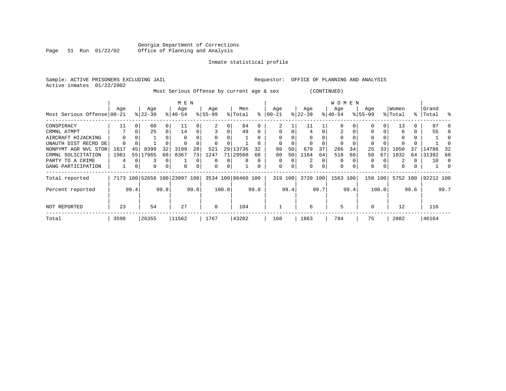#### Georgia Department of Corrections Page 51 Run 01/22/02 Office of Planning and Analysis

# Inmate statistical profile

| Sample: ACTIVE PRISONERS EXCLUDING JAIL<br>Active inmates | 01/22/2002 |          |                              |                |              |      |                                           |          |                    |           | Requestor: |      | OFFICE OF PLANNING AND ANALYSIS |          |                  |      |             |       |          |      |           |          |
|-----------------------------------------------------------|------------|----------|------------------------------|----------------|--------------|------|-------------------------------------------|----------|--------------------|-----------|------------|------|---------------------------------|----------|------------------|------|-------------|-------|----------|------|-----------|----------|
|                                                           |            |          |                              |                |              |      | Most Serious Offense by current age & sex |          |                    |           |            |      |                                 |          | (CONTINUED)      |      |             |       |          |      |           |          |
|                                                           | Aqe        |          | Age                          |                | M E N<br>Age |      | Age                                       |          | Men                |           | Aqe        |      | Age                             |          | W O M E N<br>Age |      | Age         |       | Women    |      | Grand     |          |
| Most Serious Offense 00-21                                |            |          | $ 22 - 39 $                  |                | $8140 - 54$  |      | $8 55-99$                                 |          | % Total            | $\approx$ | 00-21      |      | $ 22-39 $                       |          | $ 40-54 $        |      | $8155 - 99$ |       | % Total  |      | %   Total |          |
| CONSPIRACY                                                | 11         | $\Omega$ | 60                           | $\overline{0}$ | 11           |      |                                           |          | 84                 |           |            |      | 11                              |          |                  |      |             |       | 13       |      | 97        |          |
| CRMNL ATMPT                                               |            | $\Omega$ | 25                           | $\overline{0}$ | 14           |      |                                           | $\Omega$ | 49                 |           | $\Omega$   |      | 4                               | $\Omega$ |                  |      |             |       | 6        | 0    | 55        |          |
| AIRCRAFT HIJACKING                                        |            |          |                              |                |              |      |                                           |          |                    |           |            |      | $\Omega$                        |          |                  |      |             |       |          |      |           |          |
| UNAUTH DIST RECRD DE                                      | $\Omega$   |          |                              |                |              |      |                                           |          |                    |           |            |      | $\Omega$                        |          |                  |      |             |       |          |      |           | $\Omega$ |
| NONPYMT AGR NVL STOR                                      | 1617       | 45       | 8399                         | 32             | 3199         | 28   | 521                                       | 29       | 13736              | 32        | 80         | 50   | 679                             | 37       | 266              | 34   | 25          | 33    | 1050     | 37   | 14786     | 32       |
| CRMNL SOLICITATION                                        | 1981       |          | 55 17965                     | 68             | 8367         | 73   | 1247                                      |          | 71 29560           | 68        | 80         | 50   | 1184                            | 64       | 518              | 66   | 50          | 67    | 1832     | 64   | 31392     | 68       |
| PARTY TO A CRIME                                          |            |          |                              | 0              |              |      | $\Omega$                                  | U        |                    |           | 0          |      | 2                               | 0        | $\Omega$         |      | 0           |       |          |      | 10        | 0        |
| GANG PARTICIPATION                                        |            | 0        |                              | 0              | $\Omega$     |      | $\Omega$                                  | 0        |                    |           | 0          |      | $\Omega$                        |          | $\Omega$         |      | $\Omega$    |       | $\Omega$ |      |           | $\Omega$ |
| Total reported                                            |            |          | 7173 100 52656 100 23097 100 |                |              |      |                                           |          | 3534 100 86460 100 |           | 319 100    |      | 3720 100                        |          | 1563 100         |      | 150 100     |       | 5752 100 |      | 92212 100 |          |
| Percent reported                                          |            | 99.4     |                              | 99.8           |              | 99.8 |                                           | 100.0    |                    | 99.8      |            | 99.4 |                                 | 99.7     |                  | 99.4 |             | 100.0 |          | 99.6 |           | 99.7     |
| NOT REPORTED                                              | 23         |          | 54                           |                | 27           |      | 0                                         |          | 104                |           |            |      | 6                               |          | 5                |      | $\Omega$    |       | 12       |      | 116       |          |
| Total                                                     | 3598       |          | 26355                        |                | 11562        |      | 1767                                      |          | 43282              |           | 160        |      | 1863                            |          | 784              |      | 75          |       | 2882     |      | 46164     |          |